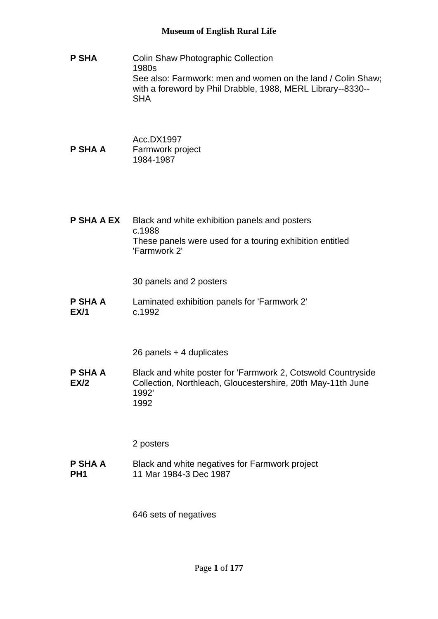- **P SHA** Colin Shaw Photographic Collection 1980s See also: Farmwork: men and women on the land / Colin Shaw; with a foreword by Phil Drabble, 1988, MERL Library--8330-- SHA
- Acc.DX1997 **P SHA A** Farmwork project 1984-1987
- **P SHA A EX** Black and white exhibition panels and posters c.1988 These panels were used for a touring exhibition entitled 'Farmwork 2'

30 panels and 2 posters

**P SHA A EX/1** Laminated exhibition panels for 'Farmwork 2' c.1992

26 panels + 4 duplicates

**P SHA A EX/2** Black and white poster for 'Farmwork 2, Cotswold Countryside Collection, Northleach, Gloucestershire, 20th May-11th June 1992' 1992

2 posters

**P SHA A PH1** Black and white negatives for Farmwork project 11 Mar 1984-3 Dec 1987

646 sets of negatives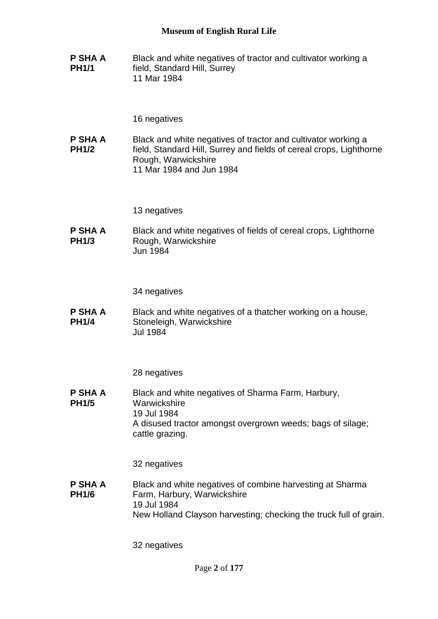**P SHA A PH1/1** Black and white negatives of tractor and cultivator working a field, Standard Hill, Surrey 11 Mar 1984

### 16 negatives

**P SHA A PH1/2** Black and white negatives of tractor and cultivator working a field, Standard Hill, Surrey and fields of cereal crops, Lighthorne Rough, Warwickshire 11 Mar 1984 and Jun 1984

13 negatives

**P SHA A PH1/3** Black and white negatives of fields of cereal crops, Lighthorne Rough, Warwickshire Jun 1984

34 negatives

**P SHA A PH1/4** Black and white negatives of a thatcher working on a house, Stoneleigh, Warwickshire Jul 1984

28 negatives

**P SHA A PH1/5** Black and white negatives of Sharma Farm, Harbury, **Warwickshire** 19 Jul 1984 A disused tractor amongst overgrown weeds; bags of silage; cattle grazing.

32 negatives

**P SHA A PH1/6** Black and white negatives of combine harvesting at Sharma Farm, Harbury, Warwickshire 19 Jul 1984 New Holland Clayson harvesting; checking the truck full of grain.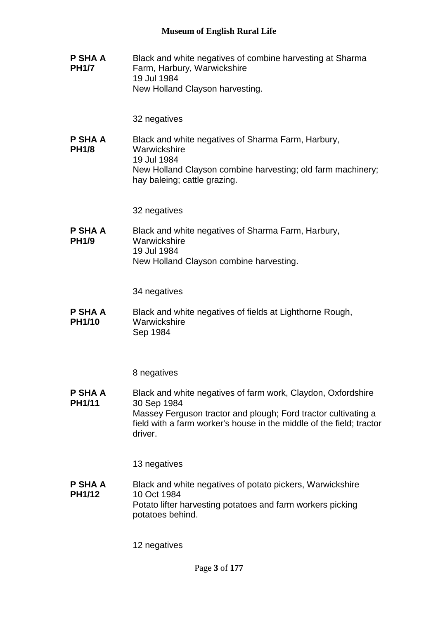**P SHA A PH1/7** Black and white negatives of combine harvesting at Sharma Farm, Harbury, Warwickshire 19 Jul 1984 New Holland Clayson harvesting.

32 negatives

**P SHA A PH1/8** Black and white negatives of Sharma Farm, Harbury, **Warwickshire** 19 Jul 1984 New Holland Clayson combine harvesting; old farm machinery; hay baleing; cattle grazing.

32 negatives

**P SHA A PH1/9** Black and white negatives of Sharma Farm, Harbury, **Warwickshire** 19 Jul 1984 New Holland Clayson combine harvesting.

34 negatives

**P SHA A PH1/10** Black and white negatives of fields at Lighthorne Rough, Warwickshire Sep 1984

8 negatives

**P SHA A PH1/11** Black and white negatives of farm work, Claydon, Oxfordshire 30 Sep 1984 Massey Ferguson tractor and plough; Ford tractor cultivating a field with a farm worker's house in the middle of the field; tractor driver.

13 negatives

**P SHA A PH1/12** Black and white negatives of potato pickers, Warwickshire 10 Oct 1984 Potato lifter harvesting potatoes and farm workers picking potatoes behind.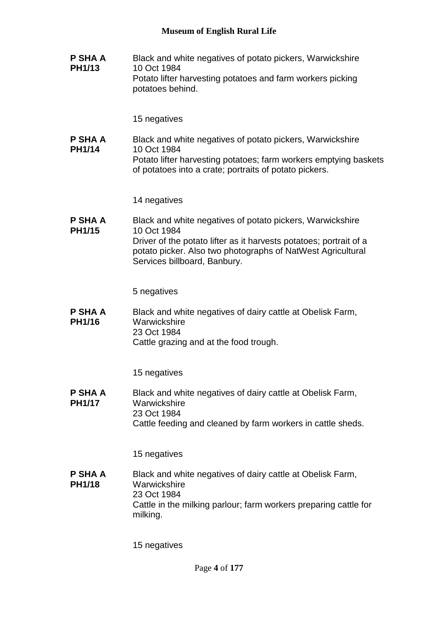**P SHA A PH1/13** Black and white negatives of potato pickers, Warwickshire 10 Oct 1984 Potato lifter harvesting potatoes and farm workers picking potatoes behind.

15 negatives

**P SHA A PH1/14** Black and white negatives of potato pickers, Warwickshire 10 Oct 1984 Potato lifter harvesting potatoes; farm workers emptying baskets of potatoes into a crate; portraits of potato pickers.

14 negatives

**P SHA A PH1/15** Black and white negatives of potato pickers, Warwickshire 10 Oct 1984 Driver of the potato lifter as it harvests potatoes; portrait of a potato picker. Also two photographs of NatWest Agricultural Services billboard, Banbury.

5 negatives

**P SHA A PH1/16** Black and white negatives of dairy cattle at Obelisk Farm, **Warwickshire** 23 Oct 1984 Cattle grazing and at the food trough.

15 negatives

**P SHA A PH1/17** Black and white negatives of dairy cattle at Obelisk Farm, **Warwickshire** 23 Oct 1984 Cattle feeding and cleaned by farm workers in cattle sheds.

15 negatives

**P SHA A PH1/18** Black and white negatives of dairy cattle at Obelisk Farm, **Warwickshire** 23 Oct 1984 Cattle in the milking parlour; farm workers preparing cattle for milking.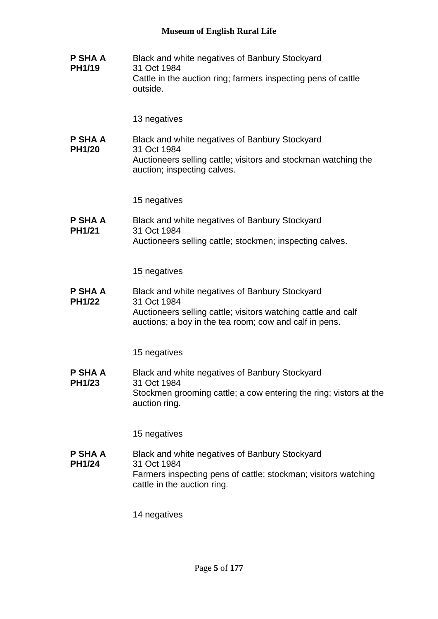**P SHA A PH1/19** Black and white negatives of Banbury Stockyard 31 Oct 1984 Cattle in the auction ring; farmers inspecting pens of cattle outside.

13 negatives

**P SHA A PH1/20** Black and white negatives of Banbury Stockyard 31 Oct 1984 Auctioneers selling cattle; visitors and stockman watching the auction; inspecting calves.

15 negatives

**P SHA A PH1/21** Black and white negatives of Banbury Stockyard 31 Oct 1984 Auctioneers selling cattle; stockmen; inspecting calves.

15 negatives

**P SHA A PH1/22** Black and white negatives of Banbury Stockyard 31 Oct 1984 Auctioneers selling cattle; visitors watching cattle and calf auctions; a boy in the tea room; cow and calf in pens.

15 negatives

**P SHA A PH1/23** Black and white negatives of Banbury Stockyard 31 Oct 1984 Stockmen grooming cattle; a cow entering the ring; vistors at the auction ring.

15 negatives

**P SHA A PH1/24** Black and white negatives of Banbury Stockyard 31 Oct 1984 Farmers inspecting pens of cattle; stockman; visitors watching cattle in the auction ring.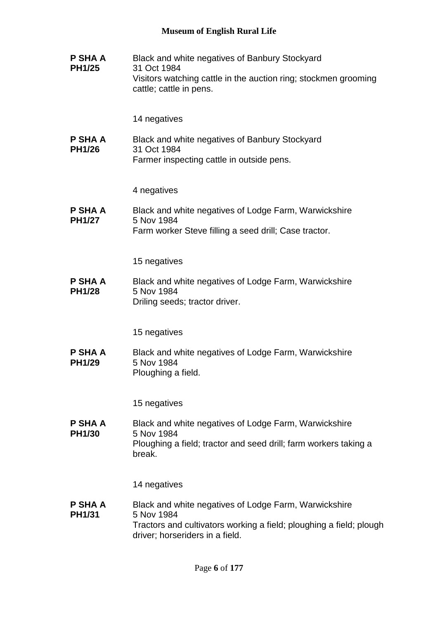| P SHA A<br><b>PH1/25</b>        | Black and white negatives of Banbury Stockyard<br>31 Oct 1984<br>Visitors watching cattle in the auction ring; stockmen grooming<br>cattle; cattle in pens.                   |
|---------------------------------|-------------------------------------------------------------------------------------------------------------------------------------------------------------------------------|
|                                 | 14 negatives                                                                                                                                                                  |
| P SHA A<br><b>PH1/26</b>        | Black and white negatives of Banbury Stockyard<br>31 Oct 1984<br>Farmer inspecting cattle in outside pens.                                                                    |
|                                 | 4 negatives                                                                                                                                                                   |
| P SHA A<br><b>PH1/27</b>        | Black and white negatives of Lodge Farm, Warwickshire<br>5 Nov 1984<br>Farm worker Steve filling a seed drill; Case tractor.                                                  |
|                                 | 15 negatives                                                                                                                                                                  |
| P SHA A<br><b>PH1/28</b>        | Black and white negatives of Lodge Farm, Warwickshire<br>5 Nov 1984<br>Driling seeds; tractor driver.                                                                         |
|                                 | 15 negatives                                                                                                                                                                  |
| P SHA A<br><b>PH1/29</b>        | Black and white negatives of Lodge Farm, Warwickshire<br>5 Nov 1984<br>Ploughing a field.                                                                                     |
|                                 | 15 negatives                                                                                                                                                                  |
| <b>P SHA A</b><br><b>PH1/30</b> | Black and white negatives of Lodge Farm, Warwickshire<br>5 Nov 1984<br>Ploughing a field; tractor and seed drill; farm workers taking a<br>break.                             |
|                                 | 14 negatives                                                                                                                                                                  |
| P SHA A<br>PH1/31               | Black and white negatives of Lodge Farm, Warwickshire<br>5 Nov 1984<br>Tractors and cultivators working a field; ploughing a field; plough<br>driver; horseriders in a field. |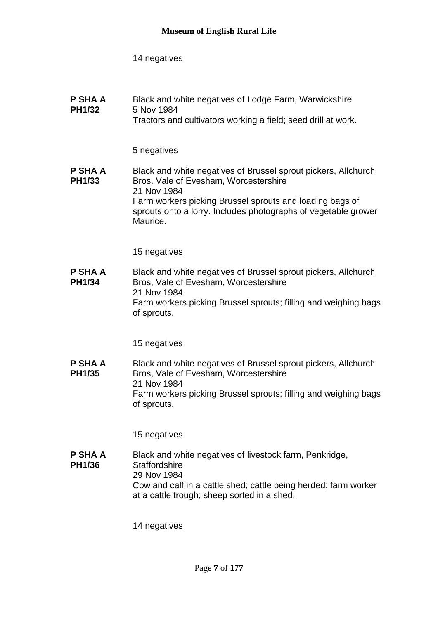| P SHA A<br><b>PH1/32</b>        | Black and white negatives of Lodge Farm, Warwickshire<br>5 Nov 1984<br>Tractors and cultivators working a field; seed drill at work.                                                                                                                             |
|---------------------------------|------------------------------------------------------------------------------------------------------------------------------------------------------------------------------------------------------------------------------------------------------------------|
|                                 | 5 negatives                                                                                                                                                                                                                                                      |
| <b>P SHA A</b><br><b>PH1/33</b> | Black and white negatives of Brussel sprout pickers, Allchurch<br>Bros, Vale of Evesham, Worcestershire<br>21 Nov 1984<br>Farm workers picking Brussel sprouts and loading bags of<br>sprouts onto a lorry. Includes photographs of vegetable grower<br>Maurice. |
|                                 | 15 negatives                                                                                                                                                                                                                                                     |
| <b>P SHA A</b><br><b>PH1/34</b> | Black and white negatives of Brussel sprout pickers, Allchurch<br>Bros, Vale of Evesham, Worcestershire<br>21 Nov 1984<br>Farm workers picking Brussel sprouts; filling and weighing bags<br>of sprouts.                                                         |
|                                 | 15 negatives                                                                                                                                                                                                                                                     |
| P SHA A<br><b>PH1/35</b>        | Black and white negatives of Brussel sprout pickers, Allchurch<br>Bros, Vale of Evesham, Worcestershire<br>21 Nov 1984<br>Farm workers picking Brussel sprouts; filling and weighing bags<br>of sprouts.                                                         |
|                                 | 15 negatives                                                                                                                                                                                                                                                     |
| P SHA A<br><b>PH1/36</b>        | Black and white negatives of livestock farm, Penkridge,<br>Staffordshire<br>29 Nov 1984<br>Cow and calf in a cattle shed; cattle being herded; farm worker<br>at a cattle trough; sheep sorted in a shed.                                                        |
|                                 | 14 negatives                                                                                                                                                                                                                                                     |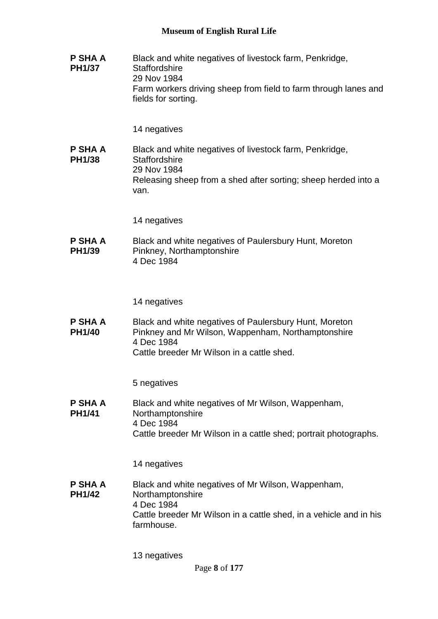**P SHA A PH1/37** Black and white negatives of livestock farm, Penkridge, **Staffordshire** 29 Nov 1984 Farm workers driving sheep from field to farm through lanes and fields for sorting.

14 negatives

**P SHA A PH1/38** Black and white negatives of livestock farm, Penkridge, **Staffordshire** 29 Nov 1984 Releasing sheep from a shed after sorting; sheep herded into a van.

14 negatives

**P SHA A PH1/39** Black and white negatives of Paulersbury Hunt, Moreton Pinkney, Northamptonshire 4 Dec 1984

14 negatives

**P SHA A PH1/40** Black and white negatives of Paulersbury Hunt, Moreton Pinkney and Mr Wilson, Wappenham, Northamptonshire 4 Dec 1984 Cattle breeder Mr Wilson in a cattle shed.

5 negatives

**P SHA A PH1/41** Black and white negatives of Mr Wilson, Wappenham, Northamptonshire 4 Dec 1984 Cattle breeder Mr Wilson in a cattle shed; portrait photographs.

14 negatives

**P SHA A PH1/42** Black and white negatives of Mr Wilson, Wappenham, Northamptonshire 4 Dec 1984 Cattle breeder Mr Wilson in a cattle shed, in a vehicle and in his farmhouse.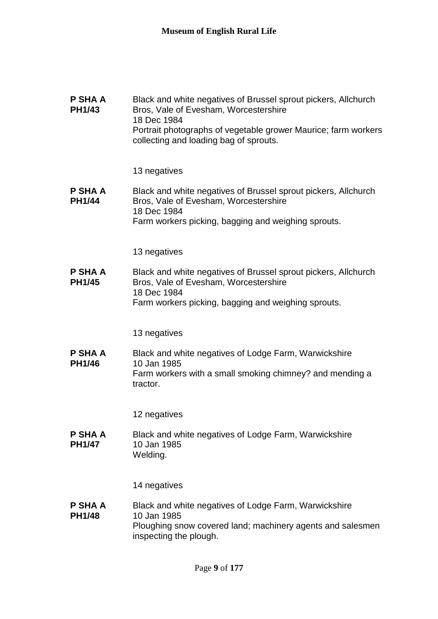| P SHA A<br><b>PH1/43</b>        | Black and white negatives of Brussel sprout pickers, Allchurch<br>Bros, Vale of Evesham, Worcestershire<br>18 Dec 1984<br>Portrait photographs of vegetable grower Maurice; farm workers<br>collecting and loading bag of sprouts. |
|---------------------------------|------------------------------------------------------------------------------------------------------------------------------------------------------------------------------------------------------------------------------------|
|                                 | 13 negatives                                                                                                                                                                                                                       |
| P SHA A<br><b>PH1/44</b>        | Black and white negatives of Brussel sprout pickers, Allchurch<br>Bros, Vale of Evesham, Worcestershire<br>18 Dec 1984                                                                                                             |
|                                 | Farm workers picking, bagging and weighing sprouts.                                                                                                                                                                                |
|                                 | 13 negatives                                                                                                                                                                                                                       |
| <b>P SHA A</b><br><b>PH1/45</b> | Black and white negatives of Brussel sprout pickers, Allchurch<br>Bros, Vale of Evesham, Worcestershire<br>18 Dec 1984                                                                                                             |
|                                 | Farm workers picking, bagging and weighing sprouts.                                                                                                                                                                                |
|                                 | 13 negatives                                                                                                                                                                                                                       |
| P SHA A                         | Black and white negatives of Lodge Farm, Warwickshire                                                                                                                                                                              |
| <b>PH1/46</b>                   | 10 Jan 1985<br>Farm workers with a small smoking chimney? and mending a<br>tractor.                                                                                                                                                |
|                                 | 12 negatives                                                                                                                                                                                                                       |
| P SHA A<br><b>PH1/47</b>        | Black and white negatives of Lodge Farm, Warwickshire<br>10 Jan 1985<br>Welding.                                                                                                                                                   |

**P SHA A PH1/48** Black and white negatives of Lodge Farm, Warwickshire 10 Jan 1985 Ploughing snow covered land; machinery agents and salesmen inspecting the plough.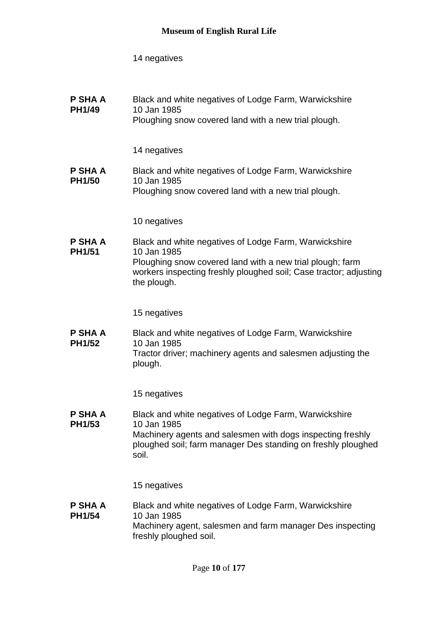**P SHA A PH1/49** Black and white negatives of Lodge Farm, Warwickshire 10 Jan 1985 Ploughing snow covered land with a new trial plough.

14 negatives

**P SHA A PH1/50** Black and white negatives of Lodge Farm, Warwickshire 10 Jan 1985 Ploughing snow covered land with a new trial plough.

10 negatives

**P SHA A PH1/51** Black and white negatives of Lodge Farm, Warwickshire 10 Jan 1985 Ploughing snow covered land with a new trial plough; farm workers inspecting freshly ploughed soil; Case tractor; adjusting the plough.

15 negatives

**P SHA A PH1/52** Black and white negatives of Lodge Farm, Warwickshire 10 Jan 1985 Tractor driver; machinery agents and salesmen adjusting the plough.

15 negatives

**P SHA A PH1/53** Black and white negatives of Lodge Farm, Warwickshire 10 Jan 1985 Machinery agents and salesmen with dogs inspecting freshly ploughed soil; farm manager Des standing on freshly ploughed soil.

15 negatives

**P SHA A PH1/54** Black and white negatives of Lodge Farm, Warwickshire 10 Jan 1985 Machinery agent, salesmen and farm manager Des inspecting freshly ploughed soil.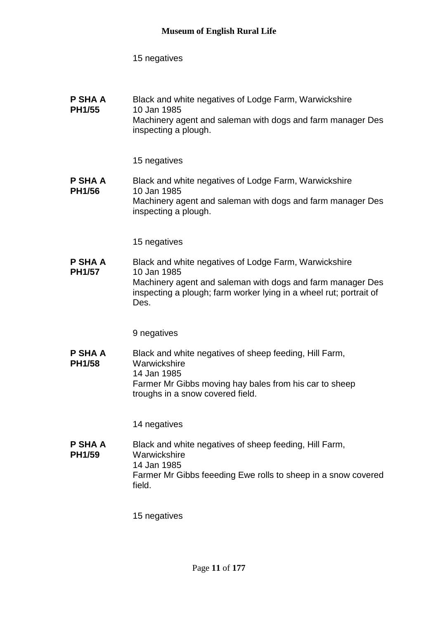#### **P SHA A PH1/55** Black and white negatives of Lodge Farm, Warwickshire 10 Jan 1985 Machinery agent and saleman with dogs and farm manager Des inspecting a plough.

# 15 negatives

#### **P SHA A PH1/56** Black and white negatives of Lodge Farm, Warwickshire 10 Jan 1985 Machinery agent and saleman with dogs and farm manager Des inspecting a plough.

15 negatives

**P SHA A PH1/57** Black and white negatives of Lodge Farm, Warwickshire 10 Jan 1985 Machinery agent and saleman with dogs and farm manager Des inspecting a plough; farm worker lying in a wheel rut; portrait of Des.

9 negatives

**P SHA A PH1/58** Black and white negatives of sheep feeding, Hill Farm, **Warwickshire** 14 Jan 1985 Farmer Mr Gibbs moving hay bales from his car to sheep troughs in a snow covered field.

14 negatives

**P SHA A PH1/59** Black and white negatives of sheep feeding, Hill Farm, **Warwickshire** 14 Jan 1985 Farmer Mr Gibbs feeeding Ewe rolls to sheep in a snow covered field.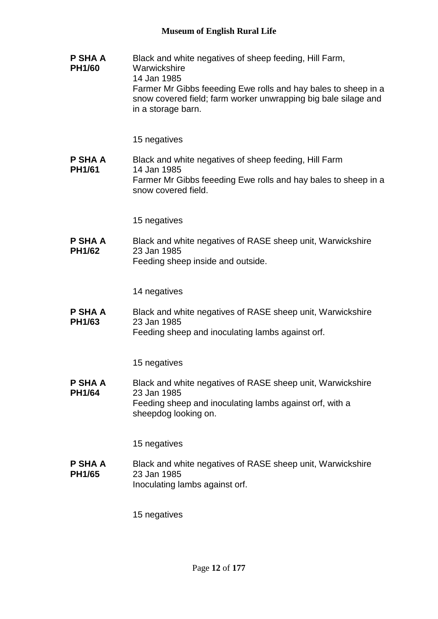**P SHA A PH1/60** Black and white negatives of sheep feeding, Hill Farm, **Warwickshire** 14 Jan 1985 Farmer Mr Gibbs feeeding Ewe rolls and hay bales to sheep in a snow covered field; farm worker unwrapping big bale silage and in a storage barn.

15 negatives

**P SHA A PH1/61** Black and white negatives of sheep feeding, Hill Farm 14 Jan 1985 Farmer Mr Gibbs feeeding Ewe rolls and hay bales to sheep in a snow covered field.

15 negatives

**P SHA A PH1/62** Black and white negatives of RASE sheep unit, Warwickshire 23 Jan 1985 Feeding sheep inside and outside.

14 negatives

**P SHA A PH1/63** Black and white negatives of RASE sheep unit, Warwickshire 23 Jan 1985 Feeding sheep and inoculating lambs against orf.

15 negatives

**P SHA A PH1/64** Black and white negatives of RASE sheep unit, Warwickshire 23 Jan 1985 Feeding sheep and inoculating lambs against orf, with a sheepdog looking on.

15 negatives

**P SHA A PH1/65** Black and white negatives of RASE sheep unit, Warwickshire 23 Jan 1985 Inoculating lambs against orf.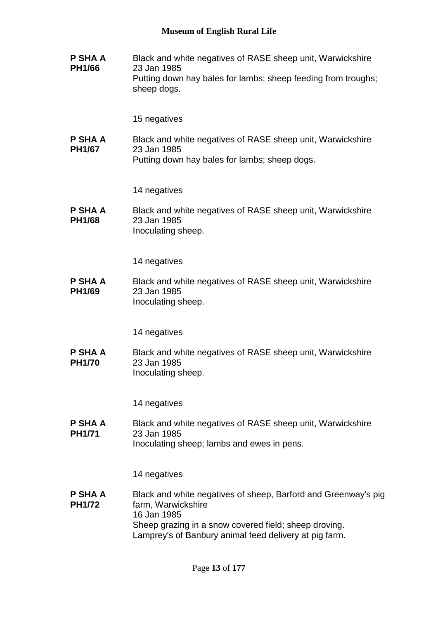**P SHA A PH1/66** Black and white negatives of RASE sheep unit, Warwickshire 23 Jan 1985 Putting down hay bales for lambs; sheep feeding from troughs; sheep dogs.

15 negatives

**P SHA A PH1/67** Black and white negatives of RASE sheep unit, Warwickshire 23 Jan 1985 Putting down hay bales for lambs; sheep dogs.

14 negatives

**P SHA A PH1/68** Black and white negatives of RASE sheep unit, Warwickshire 23 Jan 1985 Inoculating sheep.

14 negatives

**P SHA A PH1/69** Black and white negatives of RASE sheep unit, Warwickshire 23 Jan 1985 Inoculating sheep.

14 negatives

**P SHA A PH1/70** Black and white negatives of RASE sheep unit, Warwickshire 23 Jan 1985 Inoculating sheep.

14 negatives

**P SHA A PH1/71** Black and white negatives of RASE sheep unit, Warwickshire 23 Jan 1985 Inoculating sheep; lambs and ewes in pens.

14 negatives

**P SHA A PH1/72** Black and white negatives of sheep, Barford and Greenway's pig farm, Warwickshire 16 Jan 1985 Sheep grazing in a snow covered field; sheep droving. Lamprey's of Banbury animal feed delivery at pig farm.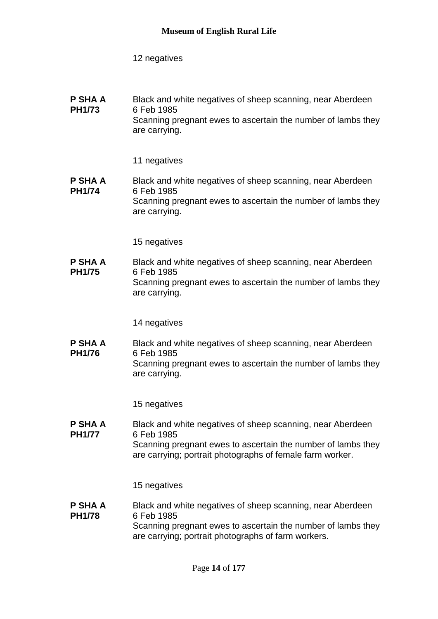#### **P SHA A PH1/73** Black and white negatives of sheep scanning, near Aberdeen 6 Feb 1985 Scanning pregnant ewes to ascertain the number of lambs they are carrying.

#### 11 negatives

#### **P SHA A PH1/74** Black and white negatives of sheep scanning, near Aberdeen 6 Feb 1985 Scanning pregnant ewes to ascertain the number of lambs they are carrying.

15 negatives

**P SHA A PH1/75** Black and white negatives of sheep scanning, near Aberdeen 6 Feb 1985 Scanning pregnant ewes to ascertain the number of lambs they are carrying.

14 negatives

**P SHA A PH1/76** Black and white negatives of sheep scanning, near Aberdeen 6 Feb 1985 Scanning pregnant ewes to ascertain the number of lambs they are carrying.

15 negatives

**P SHA A PH1/77** Black and white negatives of sheep scanning, near Aberdeen 6 Feb 1985 Scanning pregnant ewes to ascertain the number of lambs they are carrying; portrait photographs of female farm worker.

15 negatives

#### **P SHA A PH1/78** Black and white negatives of sheep scanning, near Aberdeen 6 Feb 1985 Scanning pregnant ewes to ascertain the number of lambs they are carrying; portrait photographs of farm workers.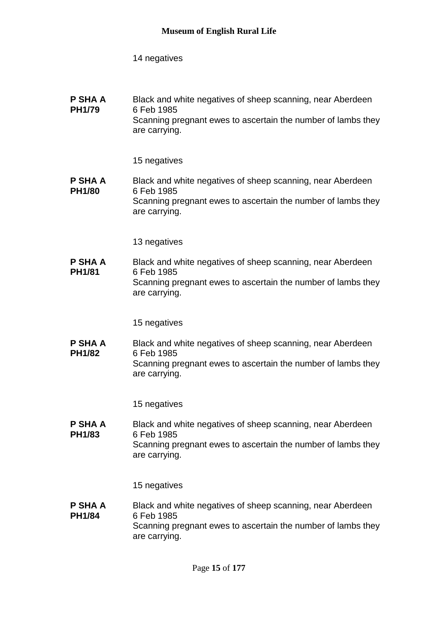**P SHA A PH1/79** Black and white negatives of sheep scanning, near Aberdeen 6 Feb 1985 Scanning pregnant ewes to ascertain the number of lambs they are carrying.

15 negatives

**P SHA A PH1/80** Black and white negatives of sheep scanning, near Aberdeen 6 Feb 1985 Scanning pregnant ewes to ascertain the number of lambs they are carrying.

13 negatives

**P SHA A PH1/81** Black and white negatives of sheep scanning, near Aberdeen 6 Feb 1985 Scanning pregnant ewes to ascertain the number of lambs they are carrying.

15 negatives

**P SHA A PH1/82** Black and white negatives of sheep scanning, near Aberdeen 6 Feb 1985 Scanning pregnant ewes to ascertain the number of lambs they are carrying.

15 negatives

**P SHA A PH1/83** Black and white negatives of sheep scanning, near Aberdeen 6 Feb 1985 Scanning pregnant ewes to ascertain the number of lambs they are carrying.

15 negatives

**P SHA A PH1/84** Black and white negatives of sheep scanning, near Aberdeen 6 Feb 1985 Scanning pregnant ewes to ascertain the number of lambs they are carrying.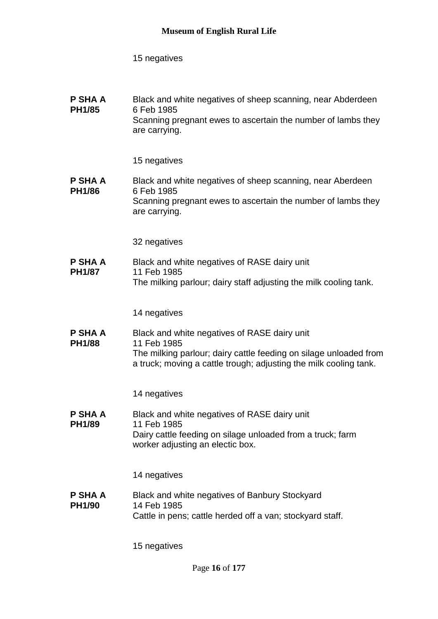| P SHA A<br><b>PH1/85</b> | Black and white negatives of sheep scanning, near Abderdeen<br>6 Feb 1985<br>Scanning pregnant ewes to ascertain the number of lambs they<br>are carrying. |
|--------------------------|------------------------------------------------------------------------------------------------------------------------------------------------------------|
|                          | 15 negatives                                                                                                                                               |

**P SHA A PH1/86** Black and white negatives of sheep scanning, near Aberdeen 6 Feb 1985 Scanning pregnant ewes to ascertain the number of lambs they are carrying.

32 negatives

**P SHA A PH1/87** Black and white negatives of RASE dairy unit 11 Feb 1985 The milking parlour; dairy staff adjusting the milk cooling tank.

14 negatives

**P SHA A PH1/88** Black and white negatives of RASE dairy unit 11 Feb 1985 The milking parlour; dairy cattle feeding on silage unloaded from a truck; moving a cattle trough; adjusting the milk cooling tank.

14 negatives

**P SHA A PH1/89** Black and white negatives of RASE dairy unit 11 Feb 1985 Dairy cattle feeding on silage unloaded from a truck; farm worker adjusting an electic box.

14 negatives

**P SHA A PH1/90** Black and white negatives of Banbury Stockyard 14 Feb 1985 Cattle in pens; cattle herded off a van; stockyard staff.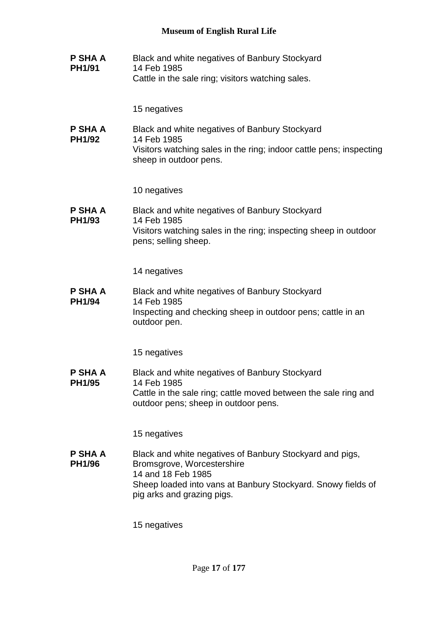**P SHA A PH1/91** Black and white negatives of Banbury Stockyard 14 Feb 1985 Cattle in the sale ring; visitors watching sales.

15 negatives

**P SHA A PH1/92** Black and white negatives of Banbury Stockyard 14 Feb 1985 Visitors watching sales in the ring; indoor cattle pens; inspecting sheep in outdoor pens.

10 negatives

**P SHA A PH1/93** Black and white negatives of Banbury Stockyard 14 Feb 1985 Visitors watching sales in the ring; inspecting sheep in outdoor pens; selling sheep.

14 negatives

**P SHA A PH1/94** Black and white negatives of Banbury Stockyard 14 Feb 1985 Inspecting and checking sheep in outdoor pens; cattle in an outdoor pen.

15 negatives

**P SHA A PH1/95** Black and white negatives of Banbury Stockyard 14 Feb 1985 Cattle in the sale ring; cattle moved between the sale ring and outdoor pens; sheep in outdoor pens.

15 negatives

**P SHA A PH1/96** Black and white negatives of Banbury Stockyard and pigs, Bromsgrove, Worcestershire 14 and 18 Feb 1985 Sheep loaded into vans at Banbury Stockyard. Snowy fields of pig arks and grazing pigs.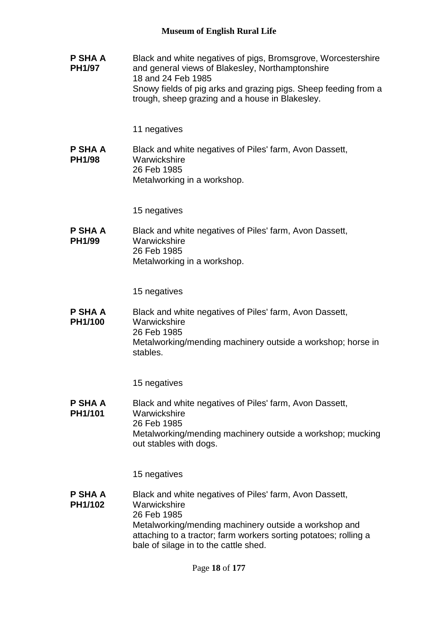**P SHA A PH1/97** Black and white negatives of pigs, Bromsgrove, Worcestershire and general views of Blakesley, Northamptonshire 18 and 24 Feb 1985 Snowy fields of pig arks and grazing pigs. Sheep feeding from a trough, sheep grazing and a house in Blakesley.

#### 11 negatives

**P SHA A PH1/98** Black and white negatives of Piles' farm, Avon Dassett, **Warwickshire** 26 Feb 1985 Metalworking in a workshop.

15 negatives

**P SHA A PH1/99** Black and white negatives of Piles' farm, Avon Dassett, **Warwickshire** 26 Feb 1985 Metalworking in a workshop.

15 negatives

**P SHA A PH1/100** Black and white negatives of Piles' farm, Avon Dassett, **Warwickshire** 26 Feb 1985 Metalworking/mending machinery outside a workshop; horse in stables.

15 negatives

**P SHA A PH1/101** Black and white negatives of Piles' farm, Avon Dassett, **Warwickshire** 26 Feb 1985 Metalworking/mending machinery outside a workshop; mucking out stables with dogs.

15 negatives

**P SHA A PH1/102** Black and white negatives of Piles' farm, Avon Dassett, **Warwickshire** 26 Feb 1985 Metalworking/mending machinery outside a workshop and attaching to a tractor; farm workers sorting potatoes; rolling a bale of silage in to the cattle shed.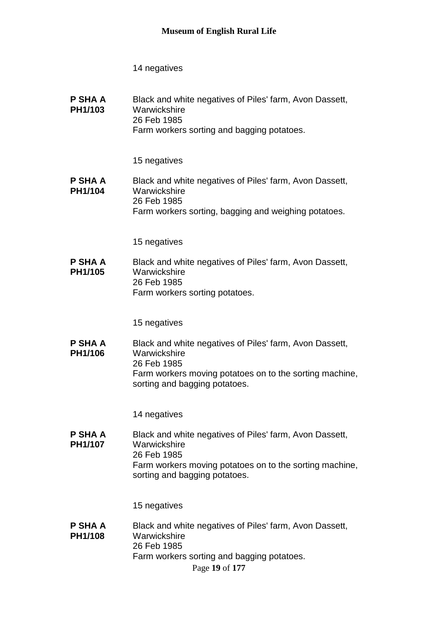**P SHA A PH1/103** Black and white negatives of Piles' farm, Avon Dassett, **Warwickshire** 26 Feb 1985 Farm workers sorting and bagging potatoes.

15 negatives

**P SHA A PH1/104** Black and white negatives of Piles' farm, Avon Dassett, **Warwickshire** 26 Feb 1985 Farm workers sorting, bagging and weighing potatoes.

15 negatives

**P SHA A PH1/105** Black and white negatives of Piles' farm, Avon Dassett, **Warwickshire** 26 Feb 1985 Farm workers sorting potatoes.

15 negatives

**P SHA A PH1/106** Black and white negatives of Piles' farm, Avon Dassett, Warwickshire 26 Feb 1985 Farm workers moving potatoes on to the sorting machine, sorting and bagging potatoes.

14 negatives

**P SHA A PH1/107** Black and white negatives of Piles' farm, Avon Dassett, **Warwickshire** 26 Feb 1985 Farm workers moving potatoes on to the sorting machine, sorting and bagging potatoes.

15 negatives

Page **19** of **177 P SHA A PH1/108** Black and white negatives of Piles' farm, Avon Dassett, **Warwickshire** 26 Feb 1985 Farm workers sorting and bagging potatoes.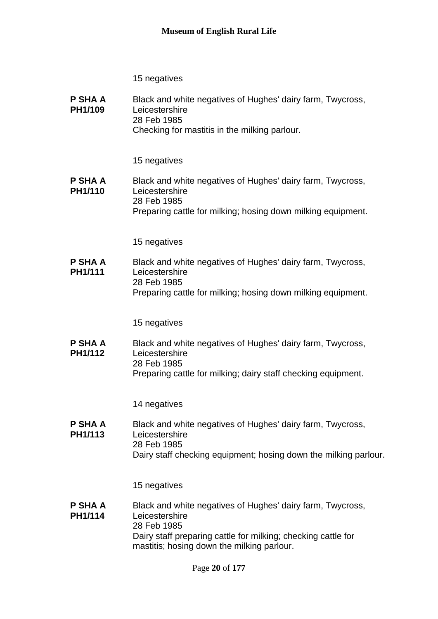| P SHA A<br>PH1/109        | Black and white negatives of Hughes' dairy farm, Twycross,<br>Leicestershire<br>28 Feb 1985<br>Checking for mastitis in the milking parlour.                                                               |
|---------------------------|------------------------------------------------------------------------------------------------------------------------------------------------------------------------------------------------------------|
|                           | 15 negatives                                                                                                                                                                                               |
| <b>P SHA A</b><br>PH1/110 | Black and white negatives of Hughes' dairy farm, Twycross,<br>Leicestershire<br>28 Feb 1985<br>Preparing cattle for milking; hosing down milking equipment.                                                |
|                           | 15 negatives                                                                                                                                                                                               |
| P SHA A<br>PH1/111        | Black and white negatives of Hughes' dairy farm, Twycross,<br>Leicestershire<br>28 Feb 1985<br>Preparing cattle for milking; hosing down milking equipment.                                                |
|                           |                                                                                                                                                                                                            |
|                           | 15 negatives                                                                                                                                                                                               |
| <b>P SHA A</b><br>PH1/112 | Black and white negatives of Hughes' dairy farm, Twycross,<br>Leicestershire<br>28 Feb 1985<br>Preparing cattle for milking; dairy staff checking equipment.                                               |
|                           |                                                                                                                                                                                                            |
|                           | 14 negatives                                                                                                                                                                                               |
| P SHA A<br>PH1/113        | Black and white negatives of Hughes' dairy farm, Twycross,<br>Leicestershire<br>28 Feb 1985<br>Dairy staff checking equipment; hosing down the milking parlour.                                            |
|                           | 15 negatives                                                                                                                                                                                               |
| <b>P SHA A</b><br>PH1/114 | Black and white negatives of Hughes' dairy farm, Twycross,<br>Leicestershire<br>28 Feb 1985<br>Dairy staff preparing cattle for milking; checking cattle for<br>mastitis; hosing down the milking parlour. |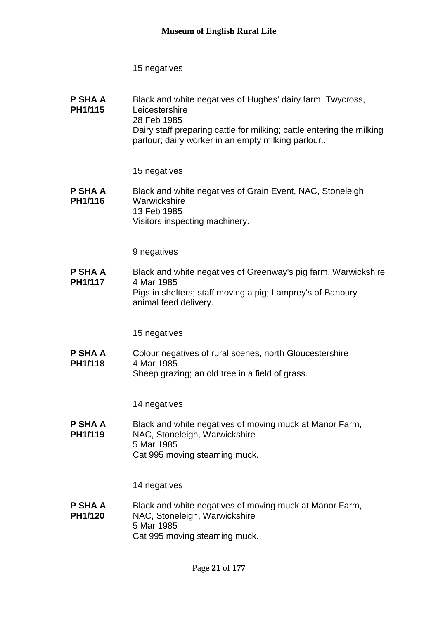**P SHA A PH1/115** Black and white negatives of Hughes' dairy farm, Twycross, **Leicestershire** 28 Feb 1985 Dairy staff preparing cattle for milking; cattle entering the milking parlour; dairy worker in an empty milking parlour..

15 negatives

**P SHA A PH1/116** Black and white negatives of Grain Event, NAC, Stoneleigh, **Warwickshire** 13 Feb 1985 Visitors inspecting machinery.

9 negatives

**P SHA A PH1/117** Black and white negatives of Greenway's pig farm, Warwickshire 4 Mar 1985 Pigs in shelters; staff moving a pig; Lamprey's of Banbury animal feed delivery.

15 negatives

**P SHA A PH1/118** Colour negatives of rural scenes, north Gloucestershire 4 Mar 1985 Sheep grazing; an old tree in a field of grass.

14 negatives

**P SHA A PH1/119** Black and white negatives of moving muck at Manor Farm, NAC, Stoneleigh, Warwickshire 5 Mar 1985 Cat 995 moving steaming muck.

14 negatives

**P SHA A PH1/120** Black and white negatives of moving muck at Manor Farm, NAC, Stoneleigh, Warwickshire 5 Mar 1985 Cat 995 moving steaming muck.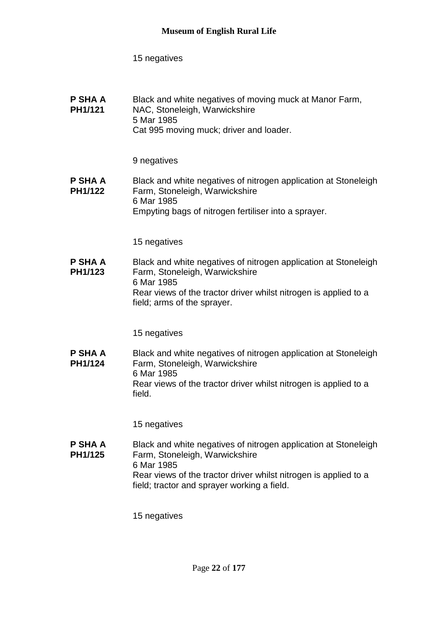| P SHA A<br><b>PH1/121</b> | Black and white negatives of moving muck at Manor Farm,<br>NAC, Stoneleigh, Warwickshire |
|---------------------------|------------------------------------------------------------------------------------------|
|                           | 5 Mar 1985                                                                               |
|                           | Cat 995 moving muck; driver and loader.                                                  |

### 9 negatives

#### **P SHA A PH1/122** Black and white negatives of nitrogen application at Stoneleigh Farm, Stoneleigh, Warwickshire 6 Mar 1985 Empyting bags of nitrogen fertiliser into a sprayer.

15 negatives

**P SHA A PH1/123** Black and white negatives of nitrogen application at Stoneleigh Farm, Stoneleigh, Warwickshire 6 Mar 1985 Rear views of the tractor driver whilst nitrogen is applied to a field; arms of the sprayer.

15 negatives

**P SHA A PH1/124** Black and white negatives of nitrogen application at Stoneleigh Farm, Stoneleigh, Warwickshire 6 Mar 1985 Rear views of the tractor driver whilst nitrogen is applied to a field.

15 negatives

**P SHA A PH1/125** Black and white negatives of nitrogen application at Stoneleigh Farm, Stoneleigh, Warwickshire 6 Mar 1985 Rear views of the tractor driver whilst nitrogen is applied to a field; tractor and sprayer working a field.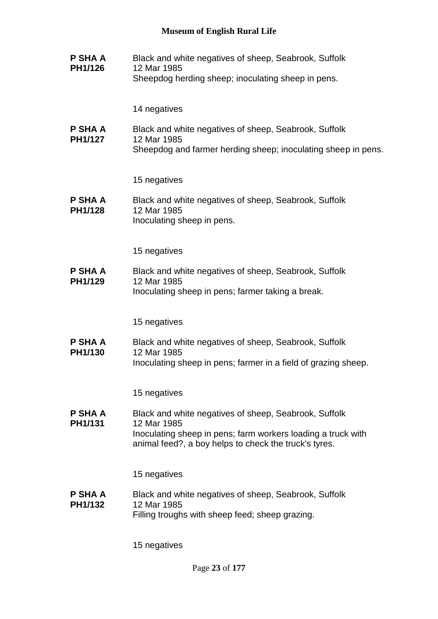**P SHA A PH1/126** Black and white negatives of sheep, Seabrook, Suffolk 12 Mar 1985 Sheepdog herding sheep; inoculating sheep in pens.

14 negatives

**P SHA A PH1/127** Black and white negatives of sheep, Seabrook, Suffolk 12 Mar 1985 Sheepdog and farmer herding sheep; inoculating sheep in pens.

15 negatives

**P SHA A PH1/128** Black and white negatives of sheep, Seabrook, Suffolk 12 Mar 1985 Inoculating sheep in pens.

15 negatives

**P SHA A PH1/129** Black and white negatives of sheep, Seabrook, Suffolk 12 Mar 1985 Inoculating sheep in pens; farmer taking a break.

15 negatives

**P SHA A PH1/130** Black and white negatives of sheep, Seabrook, Suffolk 12 Mar 1985 Inoculating sheep in pens; farmer in a field of grazing sheep.

15 negatives

**P SHA A PH1/131** Black and white negatives of sheep, Seabrook, Suffolk 12 Mar 1985 Inoculating sheep in pens; farm workers loading a truck with animal feed?, a boy helps to check the truck's tyres.

15 negatives

**P SHA A PH1/132** Black and white negatives of sheep, Seabrook, Suffolk 12 Mar 1985 Filling troughs with sheep feed; sheep grazing.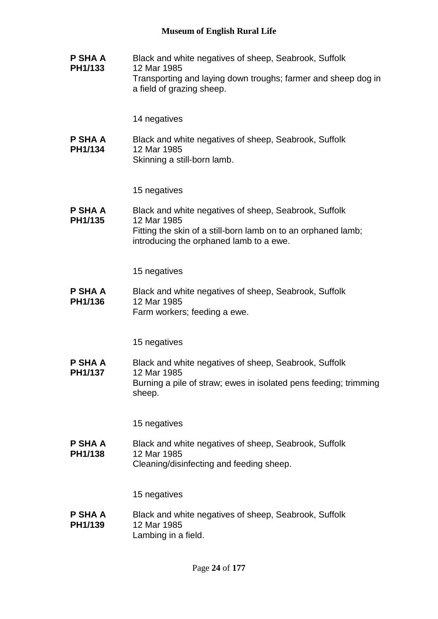**P SHA A PH1/133** Black and white negatives of sheep, Seabrook, Suffolk 12 Mar 1985 Transporting and laying down troughs; farmer and sheep dog in a field of grazing sheep.

14 negatives

**P SHA A PH1/134** Black and white negatives of sheep, Seabrook, Suffolk 12 Mar 1985 Skinning a still-born lamb.

15 negatives

**P SHA A PH1/135** Black and white negatives of sheep, Seabrook, Suffolk 12 Mar 1985 Fitting the skin of a still-born lamb on to an orphaned lamb; introducing the orphaned lamb to a ewe.

15 negatives

**P SHA A PH1/136** Black and white negatives of sheep, Seabrook, Suffolk 12 Mar 1985 Farm workers; feeding a ewe.

15 negatives

**P SHA A PH1/137** Black and white negatives of sheep, Seabrook, Suffolk 12 Mar 1985 Burning a pile of straw; ewes in isolated pens feeding; trimming sheep.

15 negatives

**P SHA A PH1/138** Black and white negatives of sheep, Seabrook, Suffolk 12 Mar 1985 Cleaning/disinfecting and feeding sheep.

15 negatives

**P SHA A PH1/139** Black and white negatives of sheep, Seabrook, Suffolk 12 Mar 1985 Lambing in a field.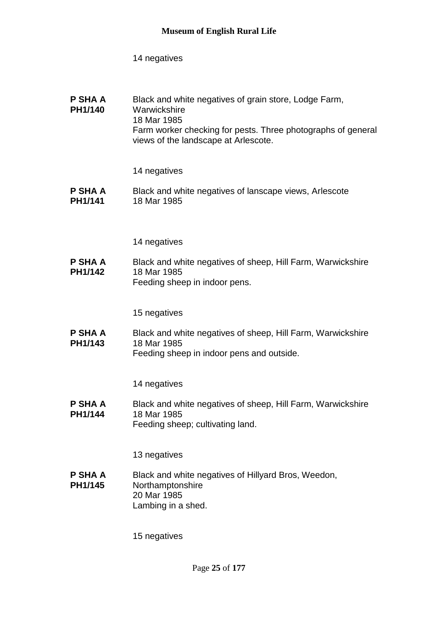| <b>P SHA A</b><br><b>PH1/140</b> | Black and white negatives of grain store, Lodge Farm,<br>Warwickshire<br>18 Mar 1985<br>Farm worker checking for pests. Three photographs of general |
|----------------------------------|------------------------------------------------------------------------------------------------------------------------------------------------------|
|                                  | views of the landscape at Arlescote.                                                                                                                 |

14 negatives

**P SHA A PH1/141** Black and white negatives of lanscape views, Arlescote 18 Mar 1985

14 negatives

**P SHA A PH1/142** Black and white negatives of sheep, Hill Farm, Warwickshire 18 Mar 1985 Feeding sheep in indoor pens.

15 negatives

**P SHA A PH1/143** Black and white negatives of sheep, Hill Farm, Warwickshire 18 Mar 1985 Feeding sheep in indoor pens and outside.

14 negatives

**P SHA A PH1/144** Black and white negatives of sheep, Hill Farm, Warwickshire 18 Mar 1985 Feeding sheep; cultivating land.

13 negatives

**P SHA A PH1/145** Black and white negatives of Hillyard Bros, Weedon, Northamptonshire 20 Mar 1985 Lambing in a shed.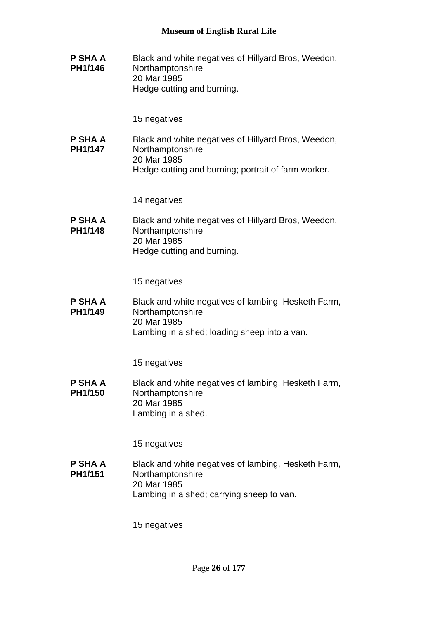**P SHA A PH1/146** Black and white negatives of Hillyard Bros, Weedon, Northamptonshire 20 Mar 1985 Hedge cutting and burning.

15 negatives

**P SHA A PH1/147** Black and white negatives of Hillyard Bros, Weedon, Northamptonshire 20 Mar 1985 Hedge cutting and burning; portrait of farm worker.

14 negatives

**P SHA A PH1/148** Black and white negatives of Hillyard Bros, Weedon, Northamptonshire 20 Mar 1985 Hedge cutting and burning.

15 negatives

**P SHA A PH1/149** Black and white negatives of lambing, Hesketh Farm, Northamptonshire 20 Mar 1985 Lambing in a shed; loading sheep into a van.

15 negatives

**P SHA A PH1/150** Black and white negatives of lambing, Hesketh Farm, Northamptonshire 20 Mar 1985 Lambing in a shed.

15 negatives

**P SHA A PH1/151** Black and white negatives of lambing, Hesketh Farm, Northamptonshire 20 Mar 1985 Lambing in a shed; carrying sheep to van.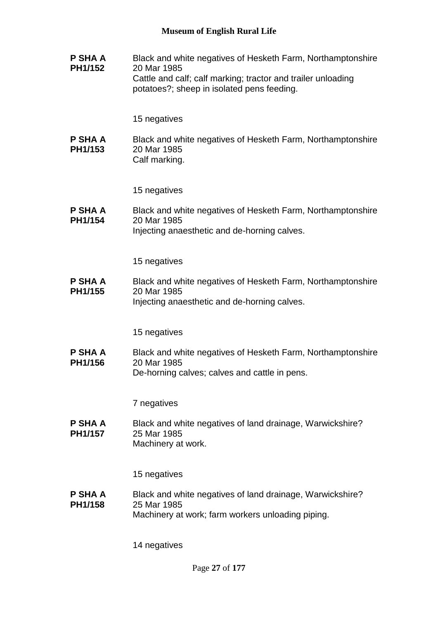**P SHA A PH1/152** Black and white negatives of Hesketh Farm, Northamptonshire 20 Mar 1985 Cattle and calf; calf marking; tractor and trailer unloading potatoes?; sheep in isolated pens feeding.

15 negatives

**P SHA A PH1/153** Black and white negatives of Hesketh Farm, Northamptonshire 20 Mar 1985 Calf marking.

15 negatives

**P SHA A PH1/154** Black and white negatives of Hesketh Farm, Northamptonshire 20 Mar 1985 Injecting anaesthetic and de-horning calves.

15 negatives

**P SHA A PH1/155** Black and white negatives of Hesketh Farm, Northamptonshire 20 Mar 1985 Injecting anaesthetic and de-horning calves.

15 negatives

**P SHA A PH1/156** Black and white negatives of Hesketh Farm, Northamptonshire 20 Mar 1985 De-horning calves; calves and cattle in pens.

7 negatives

**P SHA A PH1/157** Black and white negatives of land drainage, Warwickshire? 25 Mar 1985 Machinery at work.

15 negatives

**P SHA A PH1/158** Black and white negatives of land drainage, Warwickshire? 25 Mar 1985 Machinery at work; farm workers unloading piping.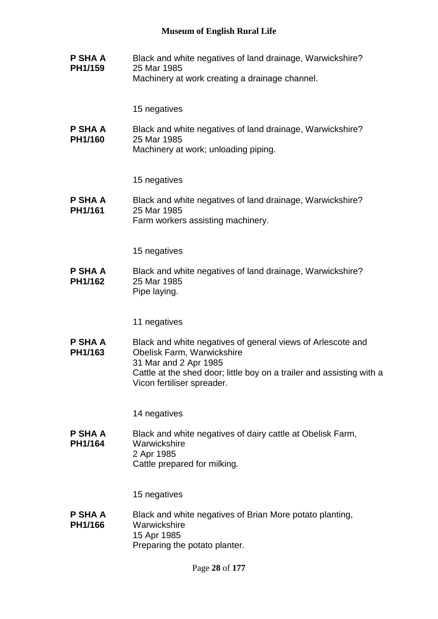**P SHA A PH1/159** Black and white negatives of land drainage, Warwickshire? 25 Mar 1985 Machinery at work creating a drainage channel.

15 negatives

**P SHA A PH1/160** Black and white negatives of land drainage, Warwickshire? 25 Mar 1985 Machinery at work; unloading piping.

15 negatives

**P SHA A PH1/161** Black and white negatives of land drainage, Warwickshire? 25 Mar 1985 Farm workers assisting machinery.

15 negatives

**P SHA A PH1/162** Black and white negatives of land drainage, Warwickshire? 25 Mar 1985 Pipe laying.

11 negatives

**P SHA A PH1/163** Black and white negatives of general views of Arlescote and Obelisk Farm, Warwickshire 31 Mar and 2 Apr 1985 Cattle at the shed door; little boy on a trailer and assisting with a Vicon fertiliser spreader.

14 negatives

**P SHA A PH1/164** Black and white negatives of dairy cattle at Obelisk Farm, **Warwickshire** 2 Apr 1985 Cattle prepared for milking.

15 negatives

**P SHA A PH1/166** Black and white negatives of Brian More potato planting, Warwickshire 15 Apr 1985 Preparing the potato planter.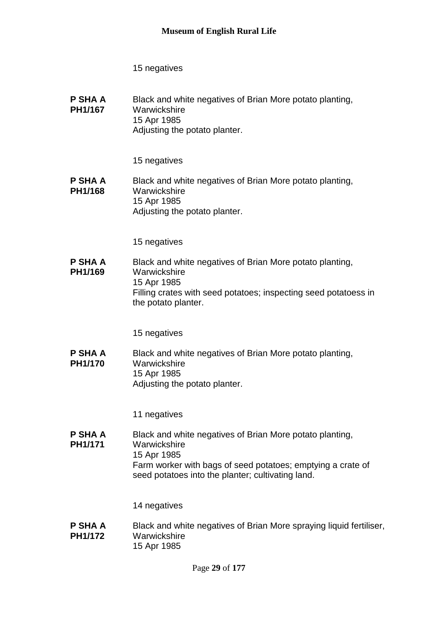**P SHA A PH1/167** Black and white negatives of Brian More potato planting, **Warwickshire** 15 Apr 1985 Adjusting the potato planter.

15 negatives

**P SHA A PH1/168** Black and white negatives of Brian More potato planting, **Warwickshire** 15 Apr 1985 Adjusting the potato planter.

15 negatives

**P SHA A PH1/169** Black and white negatives of Brian More potato planting, **Warwickshire** 15 Apr 1985 Filling crates with seed potatoes; inspecting seed potatoess in the potato planter.

15 negatives

**P SHA A PH1/170** Black and white negatives of Brian More potato planting, **Warwickshire** 15 Apr 1985 Adjusting the potato planter.

11 negatives

**P SHA A PH1/171** Black and white negatives of Brian More potato planting, **Warwickshire** 15 Apr 1985 Farm worker with bags of seed potatoes; emptying a crate of seed potatoes into the planter; cultivating land.

14 negatives

**P SHA A PH1/172** Black and white negatives of Brian More spraying liquid fertiliser, **Warwickshire** 15 Apr 1985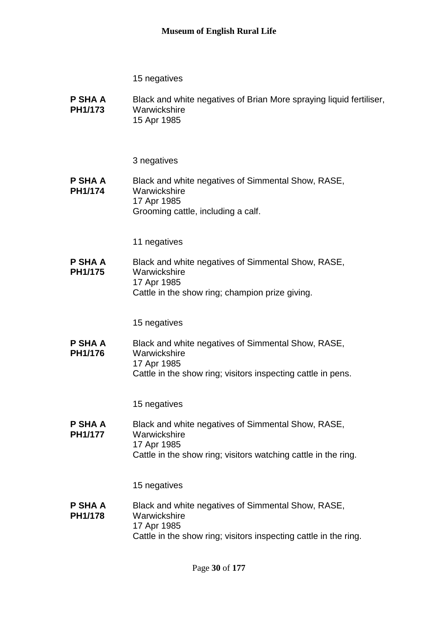**P SHA A PH1/173** Black and white negatives of Brian More spraying liquid fertiliser, Warwickshire 15 Apr 1985

3 negatives

#### **P SHA A PH1/174** Black and white negatives of Simmental Show, RASE, **Warwickshire** 17 Apr 1985 Grooming cattle, including a calf.

11 negatives

**P SHA A PH1/175** Black and white negatives of Simmental Show, RASE, **Warwickshire** 17 Apr 1985 Cattle in the show ring; champion prize giving.

15 negatives

**P SHA A PH1/176** Black and white negatives of Simmental Show, RASE, Warwickshire 17 Apr 1985 Cattle in the show ring; visitors inspecting cattle in pens.

15 negatives

**P SHA A PH1/177** Black and white negatives of Simmental Show, RASE, **Warwickshire** 17 Apr 1985 Cattle in the show ring; visitors watching cattle in the ring.

15 negatives

**P SHA A PH1/178** Black and white negatives of Simmental Show, RASE, **Warwickshire** 17 Apr 1985 Cattle in the show ring; visitors inspecting cattle in the ring.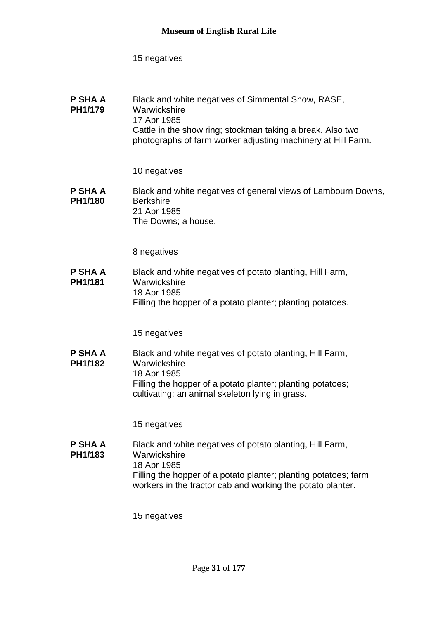| P SHA A | Black and white negatives of Simmental Show, RASE,           |
|---------|--------------------------------------------------------------|
| PH1/179 | Warwickshire                                                 |
|         | 17 Apr 1985                                                  |
|         | Cattle in the show ring; stockman taking a break. Also two   |
|         | photographs of farm worker adjusting machinery at Hill Farm. |

10 negatives

**P SHA A PH1/180** Black and white negatives of general views of Lambourn Downs, **Berkshire** 21 Apr 1985 The Downs; a house.

8 negatives

**P SHA A PH1/181** Black and white negatives of potato planting, Hill Farm, **Warwickshire** 18 Apr 1985 Filling the hopper of a potato planter; planting potatoes.

15 negatives

**P SHA A PH1/182** Black and white negatives of potato planting, Hill Farm, Warwickshire 18 Apr 1985 Filling the hopper of a potato planter; planting potatoes; cultivating; an animal skeleton lying in grass.

15 negatives

**P SHA A PH1/183** Black and white negatives of potato planting, Hill Farm, Warwickshire 18 Apr 1985 Filling the hopper of a potato planter; planting potatoes; farm workers in the tractor cab and working the potato planter.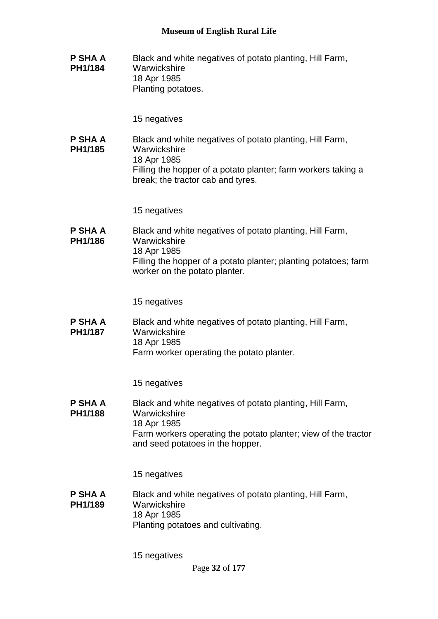**P SHA A PH1/184** Black and white negatives of potato planting, Hill Farm, **Warwickshire** 18 Apr 1985 Planting potatoes.

15 negatives

**P SHA A PH1/185** Black and white negatives of potato planting, Hill Farm, **Warwickshire** 18 Apr 1985 Filling the hopper of a potato planter; farm workers taking a break; the tractor cab and tyres.

15 negatives

**P SHA A PH1/186** Black and white negatives of potato planting, Hill Farm, Warwickshire 18 Apr 1985 Filling the hopper of a potato planter; planting potatoes; farm worker on the potato planter.

15 negatives

**P SHA A PH1/187** Black and white negatives of potato planting, Hill Farm, **Warwickshire** 18 Apr 1985 Farm worker operating the potato planter.

15 negatives

**P SHA A PH1/188** Black and white negatives of potato planting, Hill Farm, **Warwickshire** 18 Apr 1985 Farm workers operating the potato planter; view of the tractor and seed potatoes in the hopper.

15 negatives

**P SHA A PH1/189** Black and white negatives of potato planting, Hill Farm, Warwickshire 18 Apr 1985 Planting potatoes and cultivating.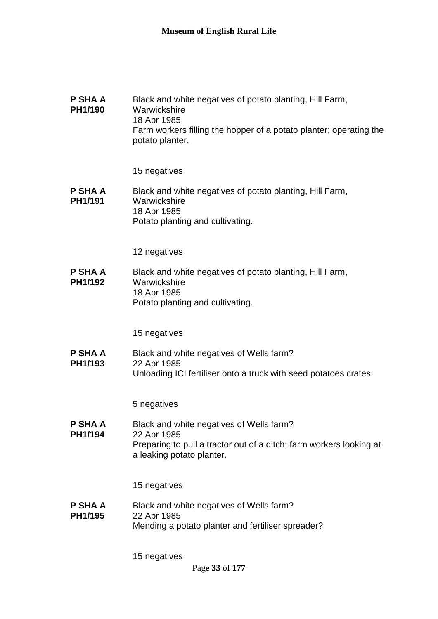| P SHA A<br>PH1/190        | Black and white negatives of potato planting, Hill Farm,<br>Warwickshire<br>18 Apr 1985<br>Farm workers filling the hopper of a potato planter; operating the<br>potato planter. |
|---------------------------|----------------------------------------------------------------------------------------------------------------------------------------------------------------------------------|
|                           | 15 negatives                                                                                                                                                                     |
| <b>P SHA A</b><br>PH1/191 | Black and white negatives of potato planting, Hill Farm,<br>Warwickshire<br>18 Apr 1985<br>Potato planting and cultivating.                                                      |
|                           | 12 negatives                                                                                                                                                                     |
| P SHA A<br>PH1/192        | Black and white negatives of potato planting, Hill Farm,<br>Warwickshire<br>18 Apr 1985<br>Potato planting and cultivating.                                                      |
|                           | 15 negatives                                                                                                                                                                     |
| P SHA A<br>PH1/193        | Black and white negatives of Wells farm?<br>22 Apr 1985<br>Unloading ICI fertiliser onto a truck with seed potatoes crates.                                                      |
|                           | 5 negatives                                                                                                                                                                      |
| P SHA A<br>PH1/194        | Black and white negatives of Wells farm?<br>22 Apr 1985<br>Preparing to pull a tractor out of a ditch; farm workers looking at<br>a leaking potato planter.                      |
|                           | 15 negatives                                                                                                                                                                     |
| <b>P SHA A</b><br>PH1/195 | Black and white negatives of Wells farm?<br>22 Apr 1985<br>Mending a potato planter and fertiliser spreader?                                                                     |
|                           | 15 negatives                                                                                                                                                                     |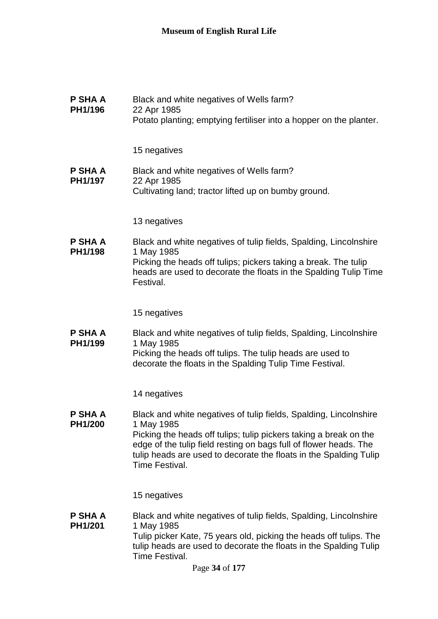**P SHA A PH1/196** Black and white negatives of Wells farm? 22 Apr 1985 Potato planting; emptying fertiliser into a hopper on the planter.

15 negatives

**P SHA A PH1/197** Black and white negatives of Wells farm? 22 Apr 1985 Cultivating land; tractor lifted up on bumby ground.

13 negatives

**P SHA A PH1/198** Black and white negatives of tulip fields, Spalding, Lincolnshire 1 May 1985 Picking the heads off tulips; pickers taking a break. The tulip heads are used to decorate the floats in the Spalding Tulip Time Festival.

15 negatives

**P SHA A PH1/199** Black and white negatives of tulip fields, Spalding, Lincolnshire 1 May 1985 Picking the heads off tulips. The tulip heads are used to

decorate the floats in the Spalding Tulip Time Festival.

14 negatives

**P SHA A PH1/200** Black and white negatives of tulip fields, Spalding, Lincolnshire 1 May 1985 Picking the heads off tulips; tulip pickers taking a break on the edge of the tulip field resting on bags full of flower heads. The tulip heads are used to decorate the floats in the Spalding Tulip Time Festival.

15 negatives

**P SHA A PH1/201** Black and white negatives of tulip fields, Spalding, Lincolnshire 1 May 1985 Tulip picker Kate, 75 years old, picking the heads off tulips. The tulip heads are used to decorate the floats in the Spalding Tulip Time Festival.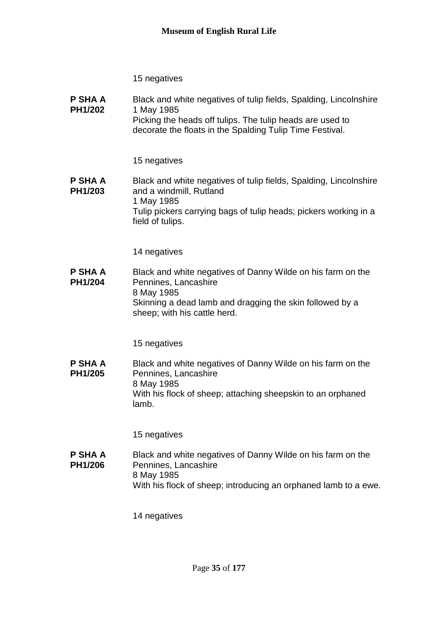**P SHA A PH1/202** Black and white negatives of tulip fields, Spalding, Lincolnshire 1 May 1985 Picking the heads off tulips. The tulip heads are used to decorate the floats in the Spalding Tulip Time Festival.

15 negatives

#### **P SHA A PH1/203** Black and white negatives of tulip fields, Spalding, Lincolnshire and a windmill, Rutland 1 May 1985 Tulip pickers carrying bags of tulip heads; pickers working in a field of tulips.

14 negatives

**P SHA A PH1/204** Black and white negatives of Danny Wilde on his farm on the Pennines, Lancashire 8 May 1985 Skinning a dead lamb and dragging the skin followed by a sheep; with his cattle herd.

15 negatives

**P SHA A PH1/205** Black and white negatives of Danny Wilde on his farm on the Pennines, Lancashire 8 May 1985 With his flock of sheep; attaching sheepskin to an orphaned lamb.

15 negatives

**P SHA A PH1/206** Black and white negatives of Danny Wilde on his farm on the Pennines, Lancashire 8 May 1985 With his flock of sheep; introducing an orphaned lamb to a ewe.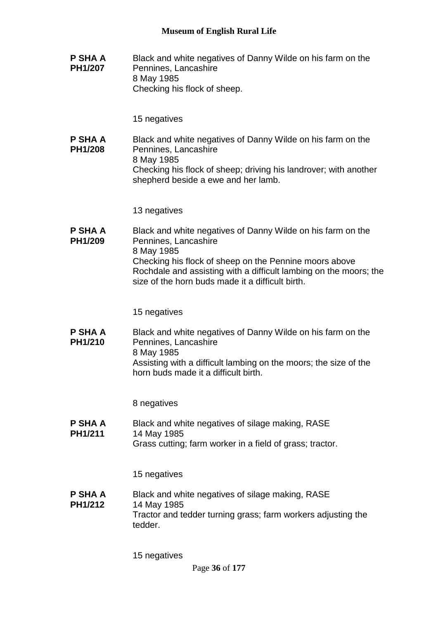**P SHA A PH1/207** Black and white negatives of Danny Wilde on his farm on the Pennines, Lancashire 8 May 1985 Checking his flock of sheep.

15 negatives

**P SHA A PH1/208** Black and white negatives of Danny Wilde on his farm on the Pennines, Lancashire 8 May 1985 Checking his flock of sheep; driving his landrover; with another shepherd beside a ewe and her lamb.

13 negatives

**P SHA A PH1/209** Black and white negatives of Danny Wilde on his farm on the Pennines, Lancashire 8 May 1985 Checking his flock of sheep on the Pennine moors above Rochdale and assisting with a difficult lambing on the moors; the size of the horn buds made it a difficult birth.

15 negatives

**P SHA A PH1/210** Black and white negatives of Danny Wilde on his farm on the Pennines, Lancashire 8 May 1985 Assisting with a difficult lambing on the moors; the size of the horn buds made it a difficult birth.

8 negatives

**P SHA A PH1/211** Black and white negatives of silage making, RASE 14 May 1985 Grass cutting; farm worker in a field of grass; tractor.

15 negatives

**P SHA A PH1/212** Black and white negatives of silage making, RASE 14 May 1985 Tractor and tedder turning grass; farm workers adjusting the tedder.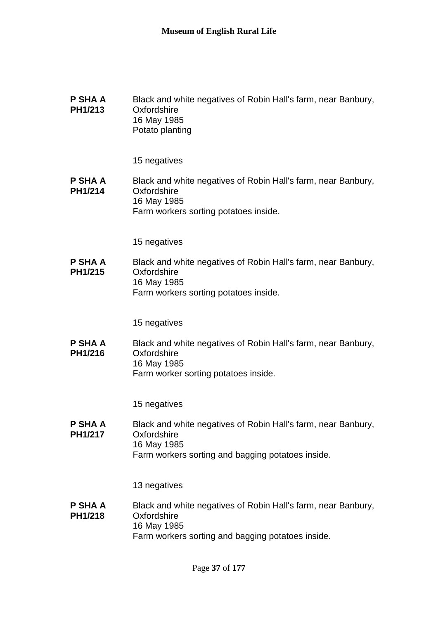| P SHA A        | Black and white negatives of Robin Hall's farm, near Banbury, |
|----------------|---------------------------------------------------------------|
| <b>PH1/213</b> | Oxfordshire<br>16 May 1985                                    |
|                | Potato planting                                               |

#### **P SHA A PH1/214** Black and white negatives of Robin Hall's farm, near Banbury, **Oxfordshire** 16 May 1985 Farm workers sorting potatoes inside.

15 negatives

**P SHA A PH1/215** Black and white negatives of Robin Hall's farm, near Banbury, **Oxfordshire** 16 May 1985 Farm workers sorting potatoes inside.

15 negatives

**P SHA A PH1/216** Black and white negatives of Robin Hall's farm, near Banbury, **Oxfordshire** 16 May 1985 Farm worker sorting potatoes inside.

15 negatives

**P SHA A PH1/217** Black and white negatives of Robin Hall's farm, near Banbury, **Oxfordshire** 16 May 1985 Farm workers sorting and bagging potatoes inside.

13 negatives

#### **P SHA A PH1/218** Black and white negatives of Robin Hall's farm, near Banbury, **Oxfordshire** 16 May 1985 Farm workers sorting and bagging potatoes inside.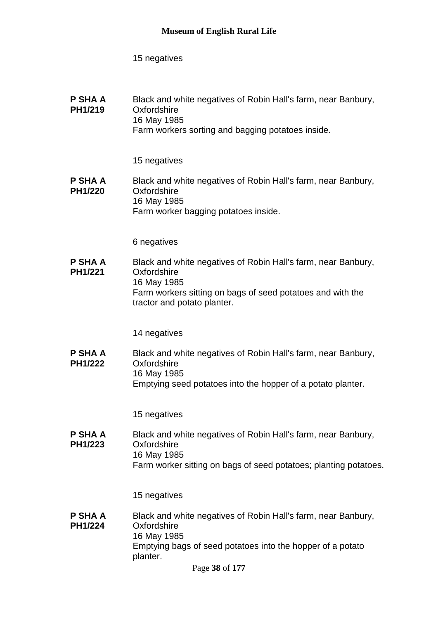| P SHA A | Black and white negatives of Robin Hall's farm, near Banbury, |
|---------|---------------------------------------------------------------|
| PH1/219 | Oxfordshire                                                   |
|         | 16 May 1985                                                   |
|         | Farm workers sorting and bagging potatoes inside.             |

#### 15 negatives

#### **P SHA A PH1/220** Black and white negatives of Robin Hall's farm, near Banbury, **Oxfordshire** 16 May 1985 Farm worker bagging potatoes inside.

6 negatives

**P SHA A PH1/221** Black and white negatives of Robin Hall's farm, near Banbury, **Oxfordshire** 16 May 1985 Farm workers sitting on bags of seed potatoes and with the tractor and potato planter.

14 negatives

**P SHA A PH1/222** Black and white negatives of Robin Hall's farm, near Banbury, **Oxfordshire** 16 May 1985 Emptying seed potatoes into the hopper of a potato planter.

15 negatives

**P SHA A PH1/223** Black and white negatives of Robin Hall's farm, near Banbury, **Oxfordshire** 16 May 1985 Farm worker sitting on bags of seed potatoes; planting potatoes.

15 negatives

**P SHA A PH1/224** Black and white negatives of Robin Hall's farm, near Banbury, **Oxfordshire** 16 May 1985 Emptying bags of seed potatoes into the hopper of a potato planter.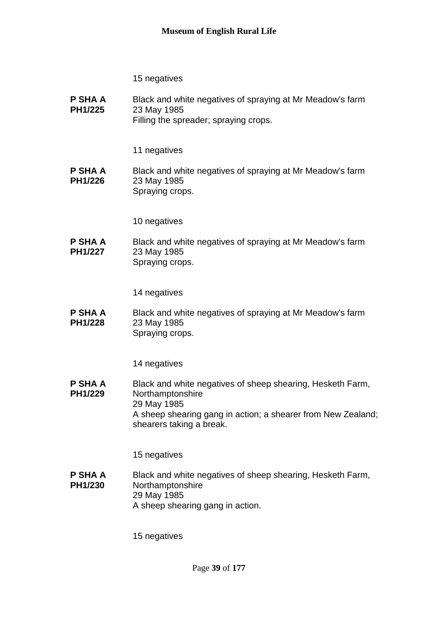**P SHA A PH1/225** Black and white negatives of spraying at Mr Meadow's farm 23 May 1985 Filling the spreader; spraying crops.

11 negatives

**P SHA A PH1/226** Black and white negatives of spraying at Mr Meadow's farm 23 May 1985 Spraying crops.

10 negatives

**P SHA A PH1/227** Black and white negatives of spraying at Mr Meadow's farm 23 May 1985 Spraying crops.

14 negatives

**P SHA A PH1/228** Black and white negatives of spraying at Mr Meadow's farm 23 May 1985 Spraying crops.

14 negatives

**P SHA A PH1/229** Black and white negatives of sheep shearing, Hesketh Farm, Northamptonshire 29 May 1985 A sheep shearing gang in action; a shearer from New Zealand; shearers taking a break.

15 negatives

**P SHA A PH1/230** Black and white negatives of sheep shearing, Hesketh Farm, Northamptonshire 29 May 1985 A sheep shearing gang in action.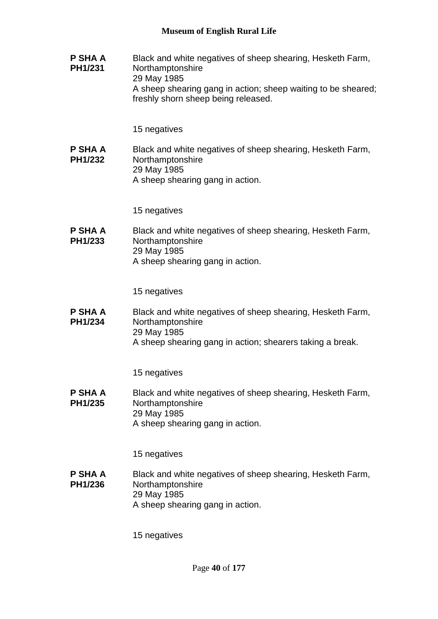**P SHA A PH1/231** Black and white negatives of sheep shearing, Hesketh Farm, Northamptonshire 29 May 1985 A sheep shearing gang in action; sheep waiting to be sheared; freshly shorn sheep being released.

15 negatives

**P SHA A PH1/232** Black and white negatives of sheep shearing, Hesketh Farm, Northamptonshire 29 May 1985 A sheep shearing gang in action.

15 negatives

**P SHA A PH1/233** Black and white negatives of sheep shearing, Hesketh Farm, **Northamptonshire** 29 May 1985 A sheep shearing gang in action.

15 negatives

**P SHA A PH1/234** Black and white negatives of sheep shearing, Hesketh Farm, Northamptonshire 29 May 1985 A sheep shearing gang in action; shearers taking a break.

15 negatives

**P SHA A PH1/235** Black and white negatives of sheep shearing, Hesketh Farm, Northamptonshire 29 May 1985 A sheep shearing gang in action.

15 negatives

**P SHA A PH1/236** Black and white negatives of sheep shearing, Hesketh Farm, Northamptonshire 29 May 1985 A sheep shearing gang in action.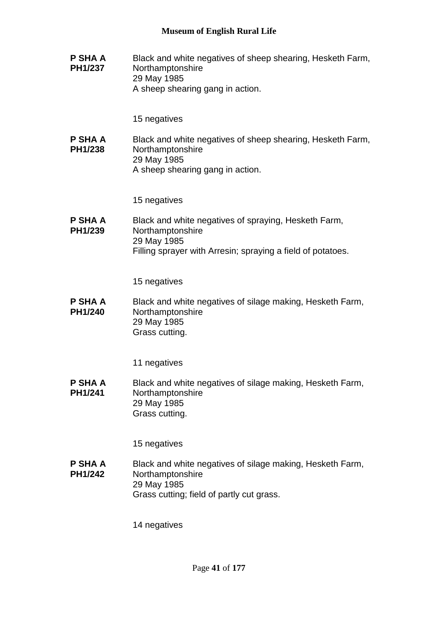**P SHA A PH1/237** Black and white negatives of sheep shearing, Hesketh Farm, Northamptonshire 29 May 1985 A sheep shearing gang in action.

15 negatives

**P SHA A PH1/238** Black and white negatives of sheep shearing, Hesketh Farm, Northamptonshire 29 May 1985 A sheep shearing gang in action.

15 negatives

**P SHA A PH1/239** Black and white negatives of spraying, Hesketh Farm, Northamptonshire 29 May 1985 Filling sprayer with Arresin; spraying a field of potatoes.

15 negatives

**P SHA A PH1/240** Black and white negatives of silage making, Hesketh Farm, Northamptonshire 29 May 1985 Grass cutting.

11 negatives

**P SHA A PH1/241** Black and white negatives of silage making, Hesketh Farm, Northamptonshire 29 May 1985 Grass cutting.

15 negatives

**P SHA A PH1/242** Black and white negatives of silage making, Hesketh Farm, Northamptonshire 29 May 1985 Grass cutting; field of partly cut grass.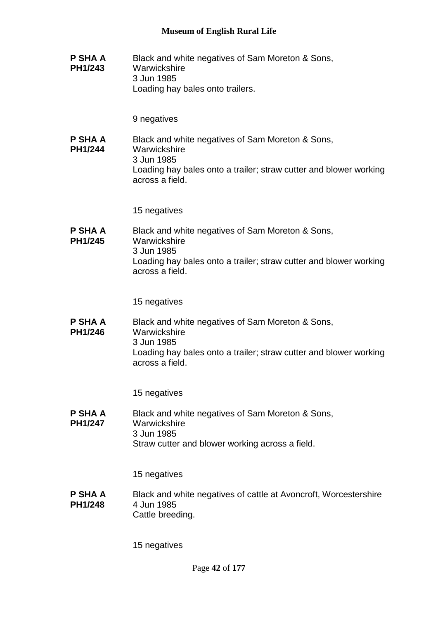**P SHA A PH1/243** Black and white negatives of Sam Moreton & Sons, **Warwickshire** 3 Jun 1985 Loading hay bales onto trailers.

9 negatives

**P SHA A PH1/244** Black and white negatives of Sam Moreton & Sons, **Warwickshire** 3 Jun 1985 Loading hay bales onto a trailer; straw cutter and blower working across a field.

15 negatives

**P SHA A PH1/245** Black and white negatives of Sam Moreton & Sons, **Warwickshire** 3 Jun 1985 Loading hay bales onto a trailer; straw cutter and blower working across a field.

15 negatives

**P SHA A PH1/246** Black and white negatives of Sam Moreton & Sons, **Warwickshire** 3 Jun 1985 Loading hay bales onto a trailer; straw cutter and blower working across a field.

15 negatives

**P SHA A PH1/247** Black and white negatives of Sam Moreton & Sons, **Warwickshire** 3 Jun 1985 Straw cutter and blower working across a field.

15 negatives

**P SHA A PH1/248** Black and white negatives of cattle at Avoncroft, Worcestershire 4 Jun 1985 Cattle breeding.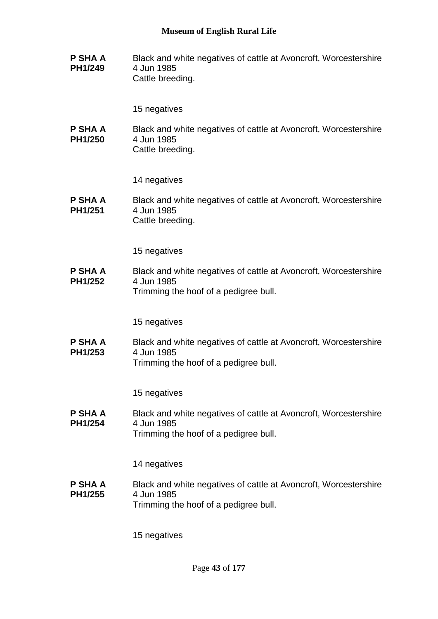**P SHA A PH1/249** Black and white negatives of cattle at Avoncroft, Worcestershire 4 Jun 1985 Cattle breeding.

15 negatives

**P SHA A PH1/250** Black and white negatives of cattle at Avoncroft, Worcestershire 4 Jun 1985 Cattle breeding.

14 negatives

**P SHA A PH1/251** Black and white negatives of cattle at Avoncroft, Worcestershire 4 Jun 1985 Cattle breeding.

15 negatives

**P SHA A PH1/252** Black and white negatives of cattle at Avoncroft, Worcestershire 4 Jun 1985 Trimming the hoof of a pedigree bull.

15 negatives

**P SHA A PH1/253** Black and white negatives of cattle at Avoncroft, Worcestershire 4 Jun 1985 Trimming the hoof of a pedigree bull.

15 negatives

**P SHA A PH1/254** Black and white negatives of cattle at Avoncroft, Worcestershire 4 Jun 1985 Trimming the hoof of a pedigree bull.

14 negatives

**P SHA A PH1/255** Black and white negatives of cattle at Avoncroft, Worcestershire 4 Jun 1985 Trimming the hoof of a pedigree bull.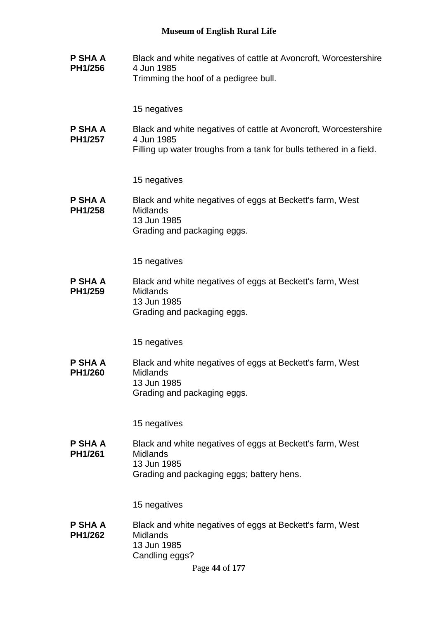**P SHA A PH1/256** Black and white negatives of cattle at Avoncroft, Worcestershire 4 Jun 1985 Trimming the hoof of a pedigree bull.

15 negatives

**P SHA A PH1/257** Black and white negatives of cattle at Avoncroft, Worcestershire 4 Jun 1985

Filling up water troughs from a tank for bulls tethered in a field.

15 negatives

**P SHA A PH1/258** Black and white negatives of eggs at Beckett's farm, West **Midlands** 13 Jun 1985 Grading and packaging eggs.

15 negatives

**P SHA A PH1/259** Black and white negatives of eggs at Beckett's farm, West Midlands 13 Jun 1985 Grading and packaging eggs.

15 negatives

**P SHA A PH1/260** Black and white negatives of eggs at Beckett's farm, West **Midlands** 13 Jun 1985 Grading and packaging eggs.

15 negatives

**P SHA A PH1/261** Black and white negatives of eggs at Beckett's farm, West **Midlands** 13 Jun 1985 Grading and packaging eggs; battery hens.

15 negatives

**P SHA A PH1/262** Black and white negatives of eggs at Beckett's farm, West **Midlands** 13 Jun 1985 Candling eggs?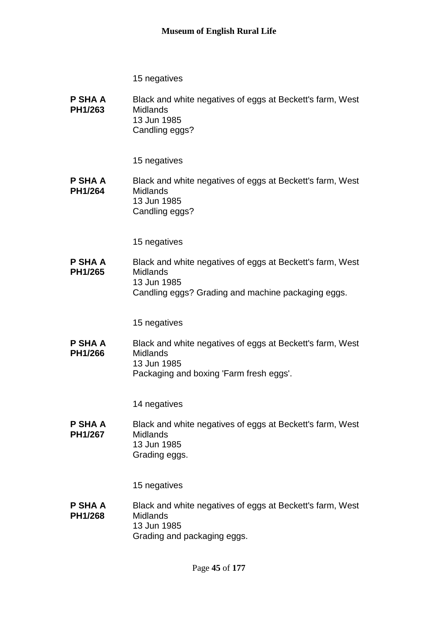**P SHA A PH1/263** Black and white negatives of eggs at Beckett's farm, West **Midlands** 13 Jun 1985 Candling eggs?

15 negatives

**P SHA A PH1/264** Black and white negatives of eggs at Beckett's farm, West **Midlands** 13 Jun 1985 Candling eggs?

15 negatives

**P SHA A PH1/265** Black and white negatives of eggs at Beckett's farm, West **Midlands** 13 Jun 1985 Candling eggs? Grading and machine packaging eggs.

15 negatives

**P SHA A PH1/266** Black and white negatives of eggs at Beckett's farm, West **Midlands** 13 Jun 1985 Packaging and boxing 'Farm fresh eggs'.

14 negatives

**P SHA A PH1/267** Black and white negatives of eggs at Beckett's farm, West **Midlands** 13 Jun 1985 Grading eggs.

15 negatives

**P SHA A PH1/268** Black and white negatives of eggs at Beckett's farm, West **Midlands** 13 Jun 1985 Grading and packaging eggs.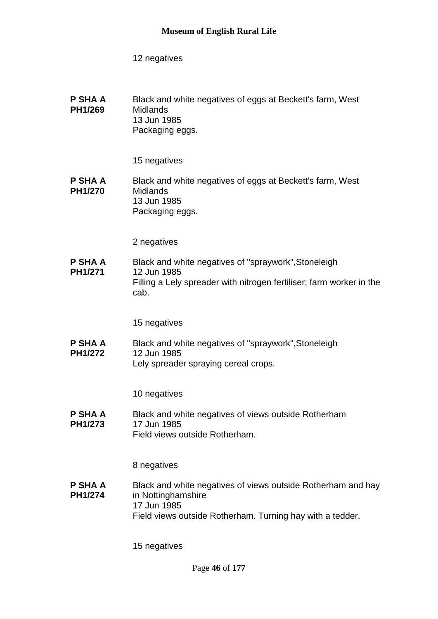**P SHA A PH1/269** Black and white negatives of eggs at Beckett's farm, West Midlands 13 Jun 1985 Packaging eggs.

15 negatives

#### **P SHA A PH1/270** Black and white negatives of eggs at Beckett's farm, West Midlands 13 Jun 1985 Packaging eggs.

2 negatives

**P SHA A PH1/271** Black and white negatives of "spraywork",Stoneleigh 12 Jun 1985 Filling a Lely spreader with nitrogen fertiliser; farm worker in the cab.

15 negatives

**P SHA A PH1/272** Black and white negatives of "spraywork",Stoneleigh 12 Jun 1985

Lely spreader spraying cereal crops.

10 negatives

**P SHA A PH1/273** Black and white negatives of views outside Rotherham 17 Jun 1985 Field views outside Rotherham.

8 negatives

**P SHA A PH1/274** Black and white negatives of views outside Rotherham and hay in Nottinghamshire 17 Jun 1985 Field views outside Rotherham. Turning hay with a tedder.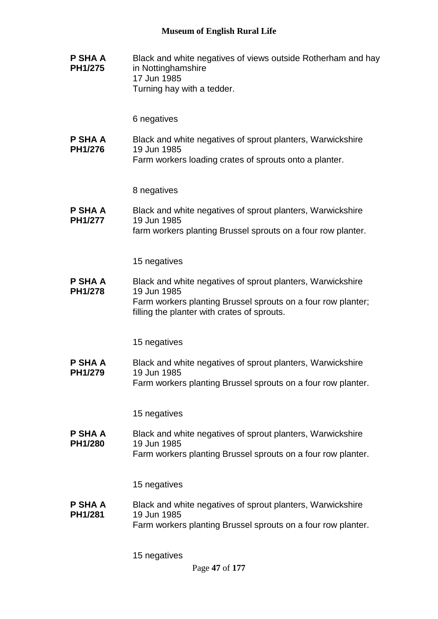**P SHA A PH1/275** Black and white negatives of views outside Rotherham and hay in Nottinghamshire 17 Jun 1985 Turning hay with a tedder.

6 negatives

**P SHA A PH1/276** Black and white negatives of sprout planters, Warwickshire 19 Jun 1985

Farm workers loading crates of sprouts onto a planter.

8 negatives

**P SHA A PH1/277** Black and white negatives of sprout planters, Warwickshire 19 Jun 1985 farm workers planting Brussel sprouts on a four row planter.

15 negatives

**P SHA A PH1/278** Black and white negatives of sprout planters, Warwickshire 19 Jun 1985 Farm workers planting Brussel sprouts on a four row planter; filling the planter with crates of sprouts.

15 negatives

**P SHA A PH1/279** Black and white negatives of sprout planters, Warwickshire 19 Jun 1985 Farm workers planting Brussel sprouts on a four row planter.

15 negatives

**P SHA A PH1/280** Black and white negatives of sprout planters, Warwickshire 19 Jun 1985 Farm workers planting Brussel sprouts on a four row planter.

15 negatives

**P SHA A PH1/281** Black and white negatives of sprout planters, Warwickshire 19 Jun 1985 Farm workers planting Brussel sprouts on a four row planter.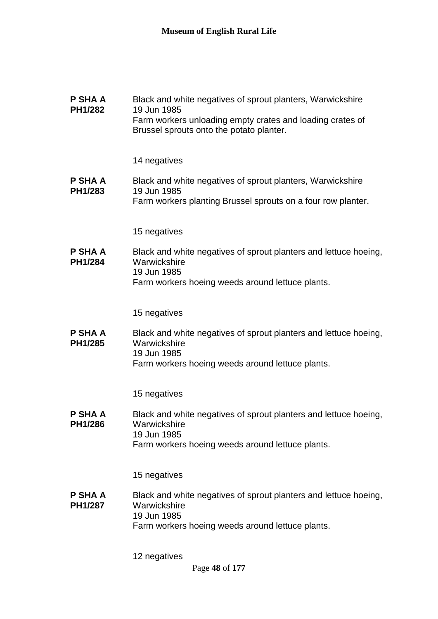#### **P SHA A PH1/282** Black and white negatives of sprout planters, Warwickshire 19 Jun 1985 Farm workers unloading empty crates and loading crates of Brussel sprouts onto the potato planter.

14 negatives

**P SHA A PH1/283** Black and white negatives of sprout planters, Warwickshire 19 Jun 1985 Farm workers planting Brussel sprouts on a four row planter.

15 negatives

**P SHA A PH1/284** Black and white negatives of sprout planters and lettuce hoeing, **Warwickshire** 19 Jun 1985 Farm workers hoeing weeds around lettuce plants.

15 negatives

**P SHA A PH1/285** Black and white negatives of sprout planters and lettuce hoeing, **Warwickshire** 19 Jun 1985 Farm workers hoeing weeds around lettuce plants.

15 negatives

**P SHA A PH1/286** Black and white negatives of sprout planters and lettuce hoeing, **Warwickshire** 19 Jun 1985 Farm workers hoeing weeds around lettuce plants.

15 negatives

**P SHA A PH1/287** Black and white negatives of sprout planters and lettuce hoeing, **Warwickshire** 19 Jun 1985 Farm workers hoeing weeds around lettuce plants.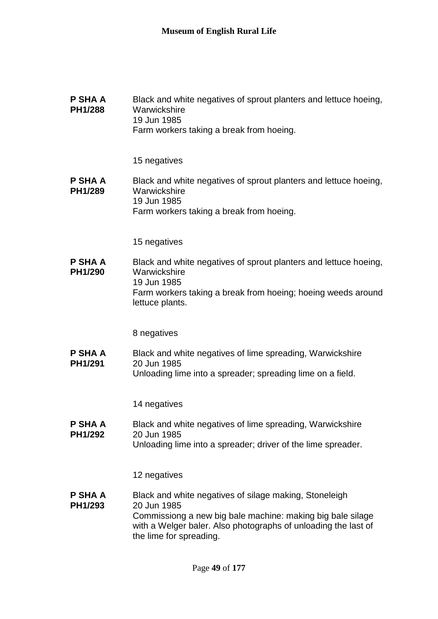| P SHA A<br>PH1/288        | Black and white negatives of sprout planters and lettuce hoeing,<br>Warwickshire<br>19 Jun 1985<br>Farm workers taking a break from hoeing.             |
|---------------------------|---------------------------------------------------------------------------------------------------------------------------------------------------------|
|                           | 15 negatives                                                                                                                                            |
| <b>P SHA A</b><br>PH1/289 | Black and white negatives of sprout planters and lettuce hoeing,<br>Warwickshire<br>19 Jun 1985<br>Farm workers taking a break from hoeing.             |
|                           | 15 negatives                                                                                                                                            |
| P SHA A<br>PH1/290        | Black and white negatives of sprout planters and lettuce hoeing,<br>Warwickshire<br>19 Jun 1985                                                         |
|                           | Farm workers taking a break from hoeing; hoeing weeds around<br>lettuce plants.                                                                         |
|                           | 8 negatives                                                                                                                                             |
| P SHA A<br>PH1/291        | Black and white negatives of lime spreading, Warwickshire<br>20 Jun 1985<br>Unloading lime into a spreader; spreading lime on a field.                  |
|                           | 14 negatives                                                                                                                                            |
| P SHA A<br><b>PH1/292</b> | Black and white negatives of lime spreading, Warwickshire<br>20 Jun 1985<br>Unloading lime into a spreader; driver of the lime spreader.                |
|                           | 12 negatives                                                                                                                                            |
| P SHA A<br>PH1/293        | Black and white negatives of silage making, Stoneleigh<br>20 Jun 1985                                                                                   |
|                           | Commissiong a new big bale machine: making big bale silage<br>with a Welger baler. Also photographs of unloading the last of<br>the lime for spreading. |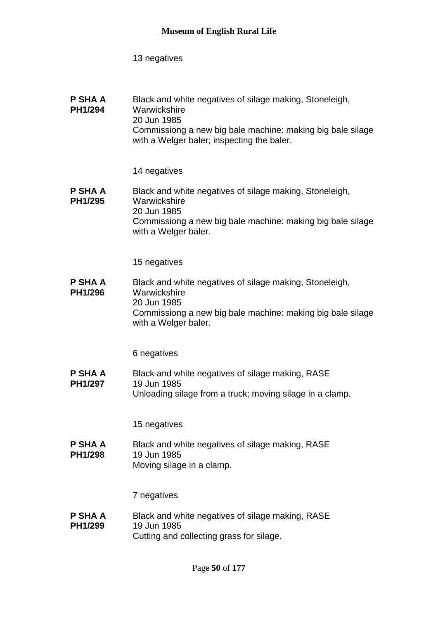| P SHA A | Black and white negatives of silage making, Stoneleigh,    |
|---------|------------------------------------------------------------|
| PH1/294 | Warwickshire                                               |
|         | 20 Jun 1985                                                |
|         | Commissiong a new big bale machine: making big bale silage |
|         | with a Welger baler; inspecting the baler.                 |

14 negatives

#### **P SHA A PH1/295** Black and white negatives of silage making, Stoneleigh, **Warwickshire** 20 Jun 1985 Commissiong a new big bale machine: making big bale silage with a Welger baler.

15 negatives

#### **P SHA A PH1/296** Black and white negatives of silage making, Stoneleigh, Warwickshire 20 Jun 1985 Commissiong a new big bale machine: making big bale silage with a Welger baler.

6 negatives

**P SHA A PH1/297** Black and white negatives of silage making, RASE 19 Jun 1985 Unloading silage from a truck; moving silage in a clamp.

15 negatives

**P SHA A PH1/298** Black and white negatives of silage making, RASE 19 Jun 1985 Moving silage in a clamp.

7 negatives

**P SHA A PH1/299** Black and white negatives of silage making, RASE 19 Jun 1985 Cutting and collecting grass for silage.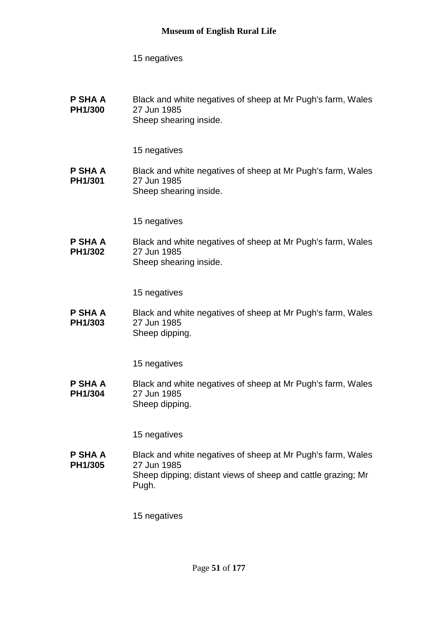**P SHA A PH1/300** Black and white negatives of sheep at Mr Pugh's farm, Wales 27 Jun 1985 Sheep shearing inside.

15 negatives

**P SHA A PH1/301** Black and white negatives of sheep at Mr Pugh's farm, Wales 27 Jun 1985 Sheep shearing inside.

15 negatives

**P SHA A PH1/302** Black and white negatives of sheep at Mr Pugh's farm, Wales 27 Jun 1985 Sheep shearing inside.

15 negatives

**P SHA A PH1/303** Black and white negatives of sheep at Mr Pugh's farm, Wales 27 Jun 1985 Sheep dipping.

15 negatives

**P SHA A PH1/304** Black and white negatives of sheep at Mr Pugh's farm, Wales 27 Jun 1985 Sheep dipping.

15 negatives

**P SHA A PH1/305** Black and white negatives of sheep at Mr Pugh's farm, Wales 27 Jun 1985 Sheep dipping; distant views of sheep and cattle grazing; Mr Pugh.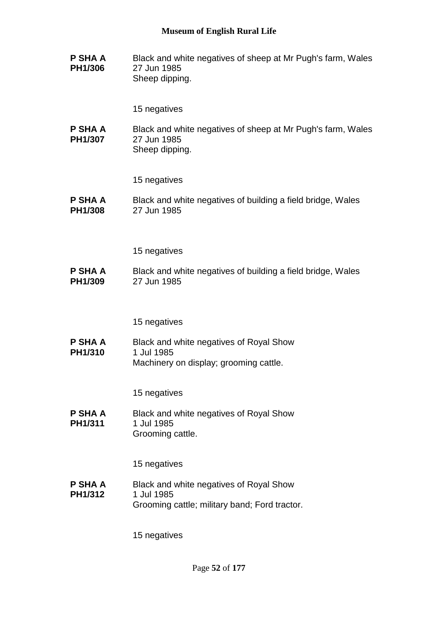**P SHA A PH1/306** Black and white negatives of sheep at Mr Pugh's farm, Wales 27 Jun 1985 Sheep dipping.

15 negatives

**P SHA A PH1/307** Black and white negatives of sheep at Mr Pugh's farm, Wales 27 Jun 1985 Sheep dipping.

15 negatives

**P SHA A PH1/308** Black and white negatives of building a field bridge, Wales 27 Jun 1985

15 negatives

**P SHA A PH1/309** Black and white negatives of building a field bridge, Wales 27 Jun 1985

15 negatives

**P SHA A PH1/310** Black and white negatives of Royal Show 1 Jul 1985 Machinery on display; grooming cattle.

15 negatives

**P SHA A PH1/311** Black and white negatives of Royal Show 1 Jul 1985 Grooming cattle.

15 negatives

**P SHA A PH1/312** Black and white negatives of Royal Show 1 Jul 1985 Grooming cattle; military band; Ford tractor.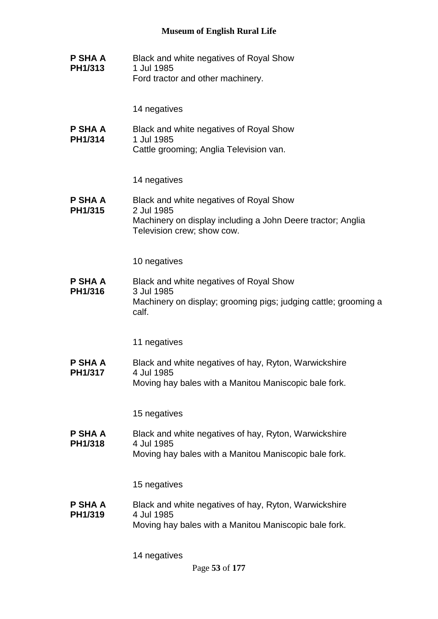**P SHA A PH1/313** Black and white negatives of Royal Show 1 Jul 1985 Ford tractor and other machinery.

14 negatives

**P SHA A PH1/314** Black and white negatives of Royal Show 1 Jul 1985 Cattle grooming; Anglia Television van.

14 negatives

**P SHA A PH1/315** Black and white negatives of Royal Show 2 Jul 1985 Machinery on display including a John Deere tractor; Anglia Television crew; show cow.

10 negatives

**P SHA A PH1/316** Black and white negatives of Royal Show 3 Jul 1985 Machinery on display; grooming pigs; judging cattle; grooming a calf.

11 negatives

**P SHA A PH1/317** Black and white negatives of hay, Ryton, Warwickshire 4 Jul 1985

Moving hay bales with a Manitou Maniscopic bale fork.

15 negatives

**P SHA A PH1/318** Black and white negatives of hay, Ryton, Warwickshire 4 Jul 1985 Moving hay bales with a Manitou Maniscopic bale fork.

15 negatives

**P SHA A PH1/319** Black and white negatives of hay, Ryton, Warwickshire 4 Jul 1985 Moving hay bales with a Manitou Maniscopic bale fork.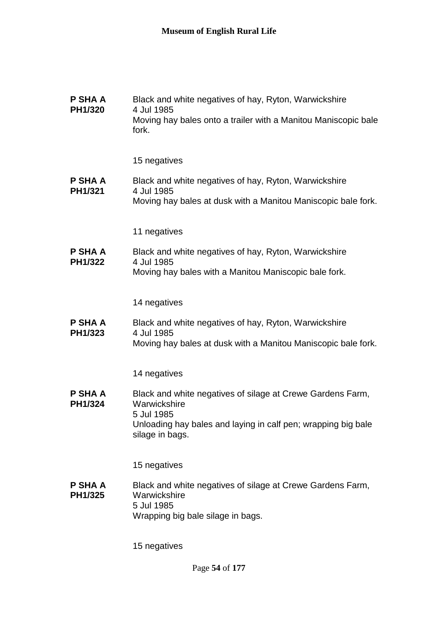| P SHA A<br>PH1/320        | Black and white negatives of hay, Ryton, Warwickshire<br>4 Jul 1985<br>Moving hay bales onto a trailer with a Manitou Maniscopic bale<br>fork.                               |
|---------------------------|------------------------------------------------------------------------------------------------------------------------------------------------------------------------------|
|                           | 15 negatives                                                                                                                                                                 |
| <b>P SHA A</b><br>PH1/321 | Black and white negatives of hay, Ryton, Warwickshire<br>4 Jul 1985<br>Moving hay bales at dusk with a Manitou Maniscopic bale fork.                                         |
|                           | 11 negatives                                                                                                                                                                 |
| P SHA A<br>PH1/322        | Black and white negatives of hay, Ryton, Warwickshire<br>4 Jul 1985<br>Moving hay bales with a Manitou Maniscopic bale fork.                                                 |
|                           | 14 negatives                                                                                                                                                                 |
| P SHA A<br>PH1/323        | Black and white negatives of hay, Ryton, Warwickshire<br>4 Jul 1985<br>Moving hay bales at dusk with a Manitou Maniscopic bale fork.                                         |
|                           | 14 negatives                                                                                                                                                                 |
| P SHA A<br>PH1/324        | Black and white negatives of silage at Crewe Gardens Farm,<br>Warwickshire<br>5 Jul 1985<br>Unloading hay bales and laying in calf pen; wrapping big bale<br>silage in bags. |
|                           | 15 negatives                                                                                                                                                                 |
| P SHA A<br>PH1/325        | Black and white negatives of silage at Crewe Gardens Farm,<br>Warwickshire<br>5 Jul 1985<br>Wrapping big bale silage in bags.                                                |
|                           | 15 negatives                                                                                                                                                                 |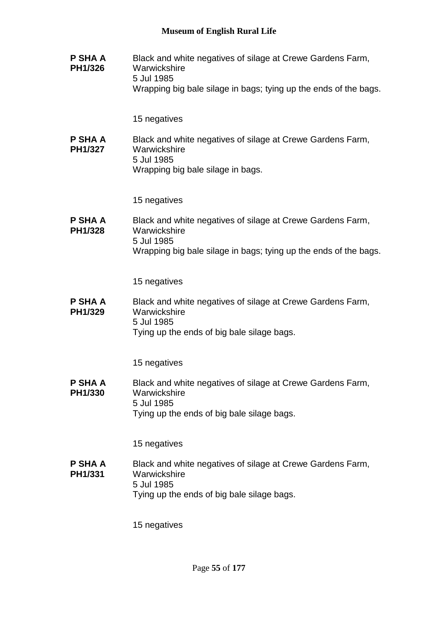**P SHA A PH1/326** Black and white negatives of silage at Crewe Gardens Farm, **Warwickshire** 5 Jul 1985 Wrapping big bale silage in bags; tying up the ends of the bags. 15 negatives **P SHA A PH1/327** Black and white negatives of silage at Crewe Gardens Farm, **Warwickshire** 5 Jul 1985 Wrapping big bale silage in bags. 15 negatives **P SHA A PH1/328** Black and white negatives of silage at Crewe Gardens Farm, **Warwickshire** 5 Jul 1985 Wrapping big bale silage in bags; tying up the ends of the bags. 15 negatives **P SHA A PH1/329** Black and white negatives of silage at Crewe Gardens Farm, **Warwickshire** 5 Jul 1985 Tying up the ends of big bale silage bags. 15 negatives **P SHA A PH1/330** Black and white negatives of silage at Crewe Gardens Farm, **Warwickshire** 5 Jul 1985 Tying up the ends of big bale silage bags. 15 negatives **P SHA A PH1/331** Black and white negatives of silage at Crewe Gardens Farm, **Warwickshire** 5 Jul 1985 Tying up the ends of big bale silage bags. 15 negatives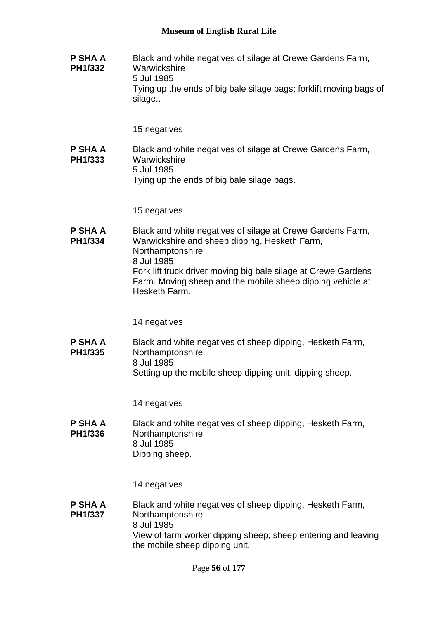**P SHA A PH1/332** Black and white negatives of silage at Crewe Gardens Farm, **Warwickshire** 5 Jul 1985 Tying up the ends of big bale silage bags; forklift moving bags of silage..

15 negatives

**P SHA A PH1/333** Black and white negatives of silage at Crewe Gardens Farm, **Warwickshire** 5 Jul 1985 Tying up the ends of big bale silage bags.

15 negatives

**P SHA A PH1/334** Black and white negatives of silage at Crewe Gardens Farm, Warwickshire and sheep dipping, Hesketh Farm, Northamptonshire 8 Jul 1985 Fork lift truck driver moving big bale silage at Crewe Gardens Farm. Moving sheep and the mobile sheep dipping vehicle at Hesketh Farm.

14 negatives

**P SHA A PH1/335** Black and white negatives of sheep dipping, Hesketh Farm, Northamptonshire 8 Jul 1985 Setting up the mobile sheep dipping unit; dipping sheep.

14 negatives

**P SHA A PH1/336** Black and white negatives of sheep dipping, Hesketh Farm, Northamptonshire 8 Jul 1985 Dipping sheep.

14 negatives

**P SHA A PH1/337** Black and white negatives of sheep dipping, Hesketh Farm, Northamptonshire 8 Jul 1985 View of farm worker dipping sheep; sheep entering and leaving the mobile sheep dipping unit.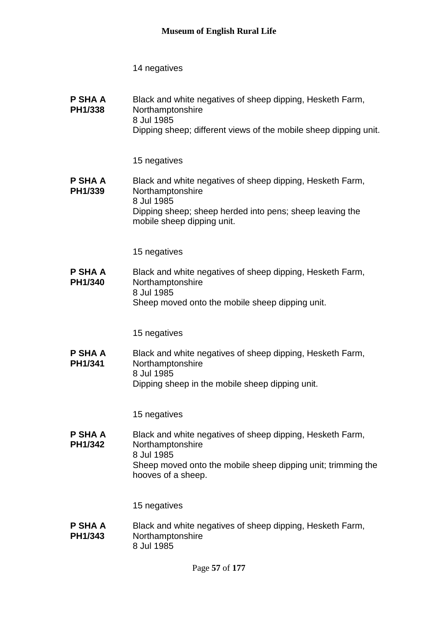| P SHA A<br>PH1/338 | Black and white negatives of sheep dipping, Hesketh Farm,<br>Northamptonshire<br>8 Jul 1985<br>Dipping sheep; different views of the mobile sheep dipping unit. |
|--------------------|-----------------------------------------------------------------------------------------------------------------------------------------------------------------|
|                    | 15 negatives                                                                                                                                                    |
| P SHA A<br>PH1/339 | Black and white negatives of sheep dipping, Hesketh Farm,<br>Northamptonshire                                                                                   |

8 Jul 1985 Dipping sheep; sheep herded into pens; sheep leaving the mobile sheep dipping unit.

15 negatives

**P SHA A PH1/340** Black and white negatives of sheep dipping, Hesketh Farm, Northamptonshire 8 Jul 1985 Sheep moved onto the mobile sheep dipping unit.

15 negatives

**P SHA A PH1/341** Black and white negatives of sheep dipping, Hesketh Farm, Northamptonshire 8 Jul 1985 Dipping sheep in the mobile sheep dipping unit.

15 negatives

**P SHA A PH1/342** Black and white negatives of sheep dipping, Hesketh Farm, Northamptonshire 8 Jul 1985 Sheep moved onto the mobile sheep dipping unit; trimming the hooves of a sheep.

15 negatives

**P SHA A PH1/343** Black and white negatives of sheep dipping, Hesketh Farm, Northamptonshire 8 Jul 1985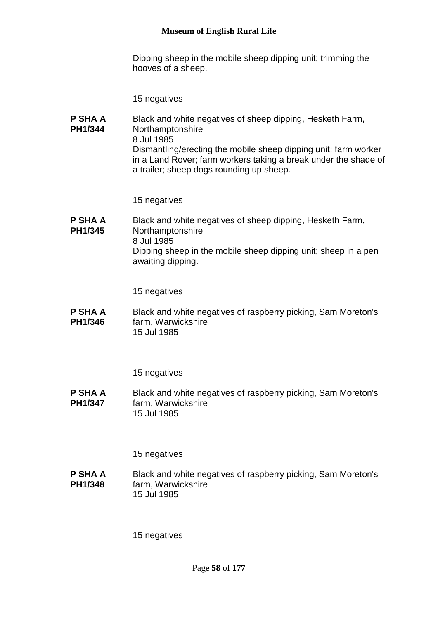Dipping sheep in the mobile sheep dipping unit; trimming the hooves of a sheep.

15 negatives

**P SHA A PH1/344** Black and white negatives of sheep dipping, Hesketh Farm, Northamptonshire 8 Jul 1985 Dismantling/erecting the mobile sheep dipping unit; farm worker in a Land Rover; farm workers taking a break under the shade of a trailer; sheep dogs rounding up sheep.

15 negatives

**P SHA A PH1/345** Black and white negatives of sheep dipping, Hesketh Farm, Northamptonshire 8 Jul 1985 Dipping sheep in the mobile sheep dipping unit; sheep in a pen awaiting dipping.

15 negatives

**P SHA A PH1/346** Black and white negatives of raspberry picking, Sam Moreton's farm, Warwickshire 15 Jul 1985

15 negatives

**P SHA A PH1/347** Black and white negatives of raspberry picking, Sam Moreton's farm, Warwickshire 15 Jul 1985

15 negatives

**P SHA A PH1/348** Black and white negatives of raspberry picking, Sam Moreton's farm, Warwickshire 15 Jul 1985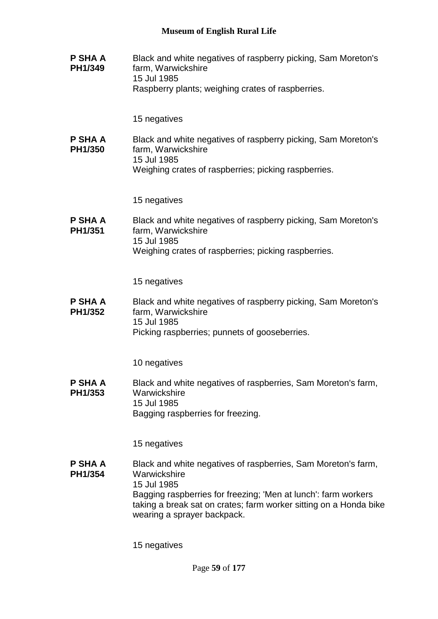| P SHA A<br>PH1/349 | Black and white negatives of raspberry picking, Sam Moreton's<br>farm, Warwickshire<br>15 Jul 1985<br>Raspberry plants; weighing crates of raspberries.                                                                                                                            |
|--------------------|------------------------------------------------------------------------------------------------------------------------------------------------------------------------------------------------------------------------------------------------------------------------------------|
|                    | 15 negatives                                                                                                                                                                                                                                                                       |
| P SHA A<br>PH1/350 | Black and white negatives of raspberry picking, Sam Moreton's<br>farm, Warwickshire<br>15 Jul 1985<br>Weighing crates of raspberries; picking raspberries.                                                                                                                         |
|                    | 15 negatives                                                                                                                                                                                                                                                                       |
| P SHA A<br>PH1/351 | Black and white negatives of raspberry picking, Sam Moreton's<br>farm, Warwickshire<br>15 Jul 1985<br>Weighing crates of raspberries; picking raspberries.                                                                                                                         |
|                    | 15 negatives                                                                                                                                                                                                                                                                       |
| P SHA A<br>PH1/352 | Black and white negatives of raspberry picking, Sam Moreton's<br>farm, Warwickshire<br>15 Jul 1985<br>Picking raspberries; punnets of gooseberries.                                                                                                                                |
|                    | 10 negatives                                                                                                                                                                                                                                                                       |
| P SHA A<br>PH1/353 | Black and white negatives of raspberries, Sam Moreton's farm,<br>Warwickshire<br>15 Jul 1985<br>Bagging raspberries for freezing.                                                                                                                                                  |
|                    | 15 negatives                                                                                                                                                                                                                                                                       |
| P SHA A<br>PH1/354 | Black and white negatives of raspberries, Sam Moreton's farm,<br>Warwickshire<br>15 Jul 1985<br>Bagging raspberries for freezing; 'Men at lunch': farm workers<br>taking a break sat on crates; farm worker sitting on a Honda bike<br>wearing a sprayer backpack.<br>15 negatives |
|                    |                                                                                                                                                                                                                                                                                    |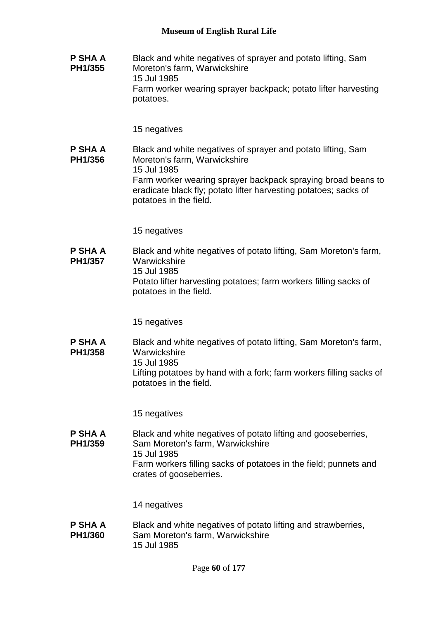**P SHA A PH1/355** Black and white negatives of sprayer and potato lifting, Sam Moreton's farm, Warwickshire 15 Jul 1985 Farm worker wearing sprayer backpack; potato lifter harvesting potatoes.

15 negatives

**P SHA A PH1/356** Black and white negatives of sprayer and potato lifting, Sam Moreton's farm, Warwickshire 15 Jul 1985 Farm worker wearing sprayer backpack spraying broad beans to eradicate black fly; potato lifter harvesting potatoes; sacks of potatoes in the field.

15 negatives

**P SHA A PH1/357** Black and white negatives of potato lifting, Sam Moreton's farm, **Warwickshire** 15 Jul 1985 Potato lifter harvesting potatoes; farm workers filling sacks of potatoes in the field.

15 negatives

**P SHA A PH1/358** Black and white negatives of potato lifting, Sam Moreton's farm, **Warwickshire** 15 Jul 1985 Lifting potatoes by hand with a fork; farm workers filling sacks of potatoes in the field.

15 negatives

**P SHA A PH1/359** Black and white negatives of potato lifting and gooseberries, Sam Moreton's farm, Warwickshire 15 Jul 1985 Farm workers filling sacks of potatoes in the field; punnets and crates of gooseberries.

14 negatives

**P SHA A PH1/360** Black and white negatives of potato lifting and strawberries, Sam Moreton's farm, Warwickshire 15 Jul 1985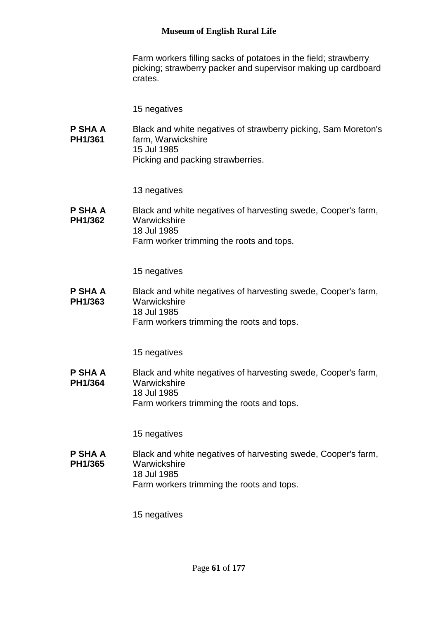Farm workers filling sacks of potatoes in the field; strawberry picking; strawberry packer and supervisor making up cardboard crates.

15 negatives

**P SHA A PH1/361** Black and white negatives of strawberry picking, Sam Moreton's farm, Warwickshire 15 Jul 1985 Picking and packing strawberries.

13 negatives

**P SHA A PH1/362** Black and white negatives of harvesting swede, Cooper's farm, **Warwickshire** 18 Jul 1985 Farm worker trimming the roots and tops.

15 negatives

**P SHA A PH1/363** Black and white negatives of harvesting swede, Cooper's farm, **Warwickshire** 18 Jul 1985 Farm workers trimming the roots and tops.

15 negatives

**P SHA A PH1/364** Black and white negatives of harvesting swede, Cooper's farm, **Warwickshire** 18 Jul 1985 Farm workers trimming the roots and tops.

15 negatives

**P SHA A PH1/365** Black and white negatives of harvesting swede, Cooper's farm, **Warwickshire** 18 Jul 1985 Farm workers trimming the roots and tops.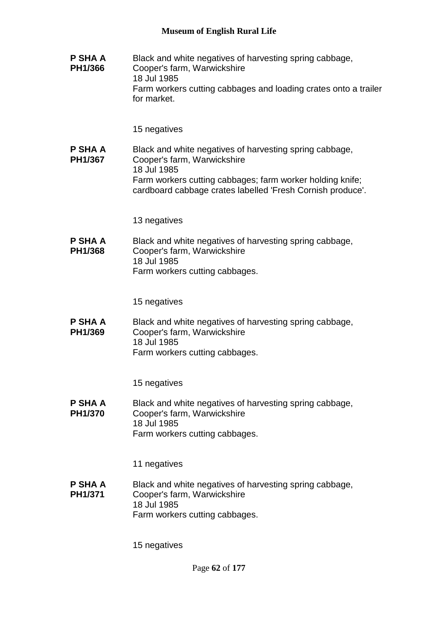**P SHA A PH1/366** Black and white negatives of harvesting spring cabbage, Cooper's farm, Warwickshire 18 Jul 1985 Farm workers cutting cabbages and loading crates onto a trailer for market. 15 negatives **P SHA A PH1/367** Black and white negatives of harvesting spring cabbage, Cooper's farm, Warwickshire 18 Jul 1985 Farm workers cutting cabbages; farm worker holding knife; cardboard cabbage crates labelled 'Fresh Cornish produce'. 13 negatives **P SHA A PH1/368** Black and white negatives of harvesting spring cabbage, Cooper's farm, Warwickshire 18 Jul 1985 Farm workers cutting cabbages. 15 negatives **P SHA A PH1/369** Black and white negatives of harvesting spring cabbage, Cooper's farm, Warwickshire 18 Jul 1985 Farm workers cutting cabbages. 15 negatives **P SHA A PH1/370** Black and white negatives of harvesting spring cabbage, Cooper's farm, Warwickshire 18 Jul 1985 Farm workers cutting cabbages. 11 negatives **P SHA A PH1/371** Black and white negatives of harvesting spring cabbage, Cooper's farm, Warwickshire 18 Jul 1985 Farm workers cutting cabbages.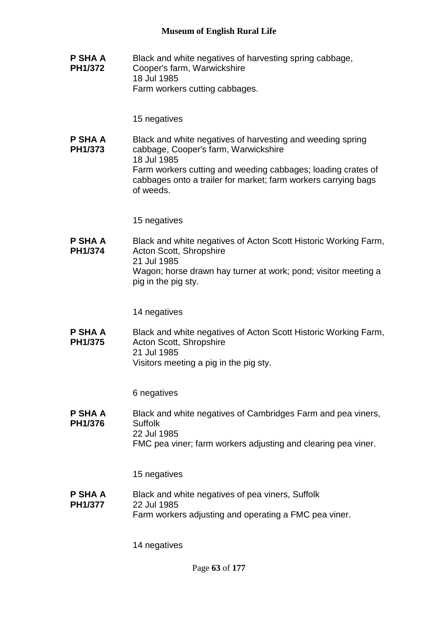**P SHA A PH1/372** Black and white negatives of harvesting spring cabbage, Cooper's farm, Warwickshire 18 Jul 1985 Farm workers cutting cabbages.

15 negatives

**P SHA A PH1/373** Black and white negatives of harvesting and weeding spring cabbage, Cooper's farm, Warwickshire 18 Jul 1985 Farm workers cutting and weeding cabbages; loading crates of cabbages onto a trailer for market; farm workers carrying bags of weeds.

15 negatives

**P SHA A PH1/374** Black and white negatives of Acton Scott Historic Working Farm, Acton Scott, Shropshire 21 Jul 1985 Wagon; horse drawn hay turner at work; pond; visitor meeting a pig in the pig sty.

14 negatives

**P SHA A PH1/375** Black and white negatives of Acton Scott Historic Working Farm, Acton Scott, Shropshire 21 Jul 1985 Visitors meeting a pig in the pig sty.

6 negatives

**P SHA A PH1/376** Black and white negatives of Cambridges Farm and pea viners, Suffolk 22 Jul 1985 FMC pea viner; farm workers adjusting and clearing pea viner.

15 negatives

**P SHA A PH1/377** Black and white negatives of pea viners, Suffolk 22 Jul 1985 Farm workers adjusting and operating a FMC pea viner.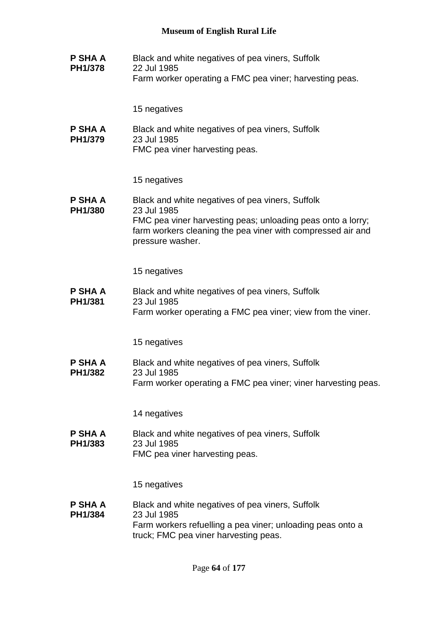**P SHA A PH1/378** Black and white negatives of pea viners, Suffolk 22 Jul 1985 Farm worker operating a FMC pea viner; harvesting peas.

15 negatives

**P SHA A PH1/379** Black and white negatives of pea viners, Suffolk 23 Jul 1985

FMC pea viner harvesting peas.

15 negatives

**P SHA A PH1/380** Black and white negatives of pea viners, Suffolk 23 Jul 1985 FMC pea viner harvesting peas; unloading peas onto a lorry; farm workers cleaning the pea viner with compressed air and pressure washer.

15 negatives

**P SHA A PH1/381** Black and white negatives of pea viners, Suffolk 23 Jul 1985 Farm worker operating a FMC pea viner; view from the viner.

15 negatives

**P SHA A PH1/382** Black and white negatives of pea viners, Suffolk 23 Jul 1985 Farm worker operating a FMC pea viner; viner harvesting peas.

14 negatives

**P SHA A PH1/383** Black and white negatives of pea viners, Suffolk 23 Jul 1985 FMC pea viner harvesting peas.

15 negatives

**P SHA A PH1/384** Black and white negatives of pea viners, Suffolk 23 Jul 1985 Farm workers refuelling a pea viner; unloading peas onto a truck; FMC pea viner harvesting peas.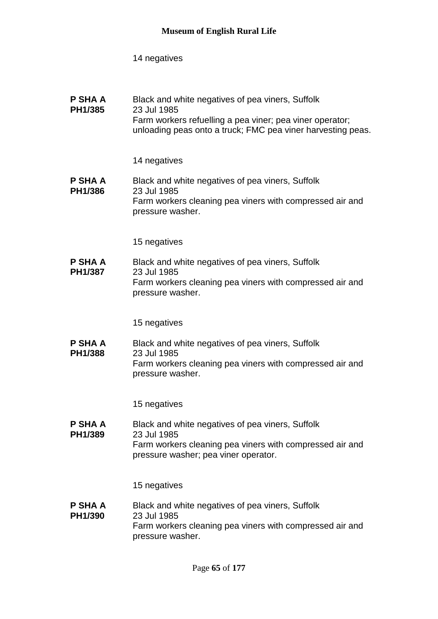| Black and white negatives of pea viners, Suffolk<br>23 Jul 1985<br>Farm workers refuelling a pea viner; pea viner operator;<br>unloading peas onto a truck; FMC pea viner harvesting peas. |
|--------------------------------------------------------------------------------------------------------------------------------------------------------------------------------------------|
| 14 negatives                                                                                                                                                                               |
| Black and white negatives of pea viners, Suffolk<br>23 Jul 1985<br>Farm workers cleaning pea viners with compressed air and<br>pressure washer.                                            |
| 15 negatives                                                                                                                                                                               |
| Black and white negatives of pea viners, Suffolk<br>23 Jul 1985<br>Farm workers cleaning pea viners with compressed air and<br>pressure washer.                                            |
| 15 negatives                                                                                                                                                                               |
| Black and white negatives of pea viners, Suffolk<br>23 Jul 1985<br>Farm workers cleaning pea viners with compressed air and<br>pressure washer.                                            |
| 15 negatives                                                                                                                                                                               |
| Black and white negatives of pea viners, Suffolk<br>23 Jul 1985<br>Farm workers cleaning pea viners with compressed air and<br>pressure washer; pea viner operator.                        |
| 15 negatives                                                                                                                                                                               |
| Black and white negatives of pea viners, Suffolk<br>23 Jul 1985<br>Farm workers cleaning pea viners with compressed air and<br>pressure washer.                                            |
|                                                                                                                                                                                            |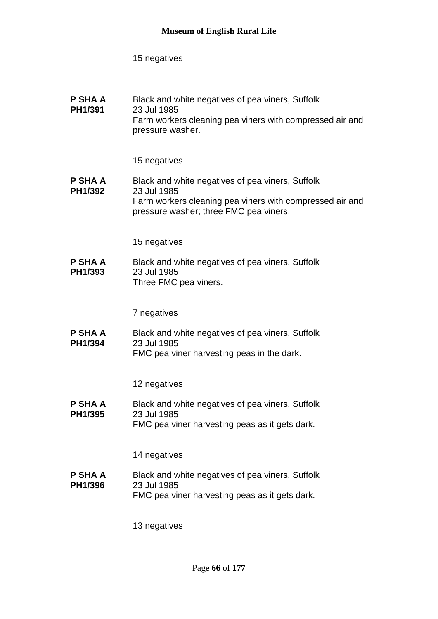| P SHA A<br>PH1/391        | Black and white negatives of pea viners, Suffolk<br>23 Jul 1985<br>Farm workers cleaning pea viners with compressed air and<br>pressure washer.                       |
|---------------------------|-----------------------------------------------------------------------------------------------------------------------------------------------------------------------|
|                           | 15 negatives                                                                                                                                                          |
| <b>P SHA A</b><br>PH1/392 | Black and white negatives of pea viners, Suffolk<br>23 Jul 1985<br>Farm workers cleaning pea viners with compressed air and<br>pressure washer; three FMC pea viners. |
|                           | 15 negatives                                                                                                                                                          |
| P SHA A<br>PH1/393        | Black and white negatives of pea viners, Suffolk<br>23 Jul 1985<br>Three FMC pea viners.                                                                              |
|                           | 7 negatives                                                                                                                                                           |
| <b>P SHA A</b><br>PH1/394 | Black and white negatives of pea viners, Suffolk<br>23 Jul 1985<br>FMC pea viner harvesting peas in the dark.                                                         |
|                           | 12 negatives                                                                                                                                                          |
| P SHA A<br>PH1/395        | Black and white negatives of pea viners, Suffolk<br>23 Jul 1985<br>FMC pea viner harvesting peas as it gets dark.                                                     |
|                           | 14 negatives                                                                                                                                                          |
| <b>P SHA A</b><br>PH1/396 | Black and white negatives of pea viners, Suffolk<br>23 Jul 1985<br>FMC pea viner harvesting peas as it gets dark.                                                     |
|                           | 13 negatives                                                                                                                                                          |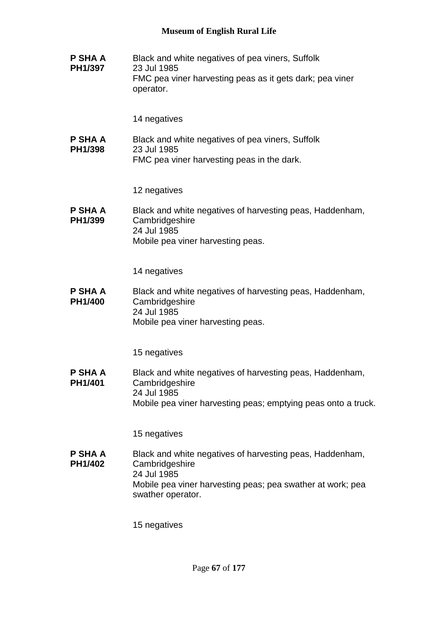**P SHA A PH1/397** Black and white negatives of pea viners, Suffolk 23 Jul 1985 FMC pea viner harvesting peas as it gets dark; pea viner operator. 14 negatives **P SHA A PH1/398** Black and white negatives of pea viners, Suffolk 23 Jul 1985 FMC pea viner harvesting peas in the dark. 12 negatives **P SHA A PH1/399** Black and white negatives of harvesting peas, Haddenham, **Cambridgeshire** 24 Jul 1985 Mobile pea viner harvesting peas. 14 negatives **P SHA A PH1/400** Black and white negatives of harvesting peas, Haddenham, **Cambridgeshire** 24 Jul 1985 Mobile pea viner harvesting peas. 15 negatives **P SHA A PH1/401** Black and white negatives of harvesting peas, Haddenham, **Cambridgeshire** 24 Jul 1985 Mobile pea viner harvesting peas; emptying peas onto a truck. 15 negatives **P SHA A PH1/402** Black and white negatives of harvesting peas, Haddenham, **Cambridgeshire** 24 Jul 1985 Mobile pea viner harvesting peas; pea swather at work; pea swather operator. 15 negatives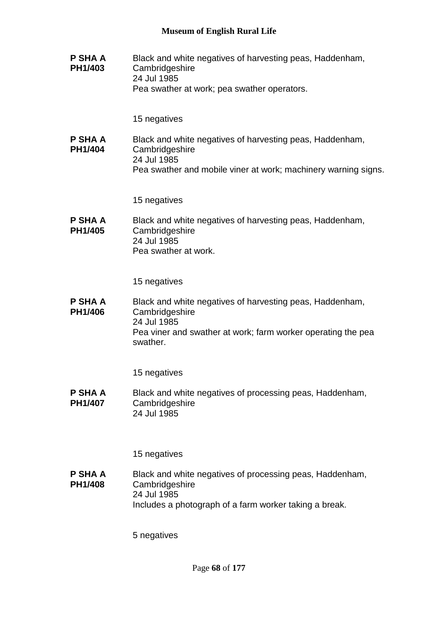**P SHA A PH1/403** Black and white negatives of harvesting peas, Haddenham, **Cambridgeshire** 24 Jul 1985 Pea swather at work; pea swather operators.

15 negatives

**P SHA A PH1/404** Black and white negatives of harvesting peas, Haddenham, **Cambridgeshire** 24 Jul 1985 Pea swather and mobile viner at work; machinery warning signs.

15 negatives

**P SHA A PH1/405** Black and white negatives of harvesting peas, Haddenham, **Cambridgeshire** 24 Jul 1985 Pea swather at work.

15 negatives

**P SHA A PH1/406** Black and white negatives of harvesting peas, Haddenham, **Cambridgeshire** 24 Jul 1985 Pea viner and swather at work; farm worker operating the pea swather.

15 negatives

**P SHA A PH1/407** Black and white negatives of processing peas, Haddenham, **Cambridgeshire** 24 Jul 1985

15 negatives

**P SHA A PH1/408** Black and white negatives of processing peas, Haddenham, **Cambridgeshire** 24 Jul 1985 Includes a photograph of a farm worker taking a break.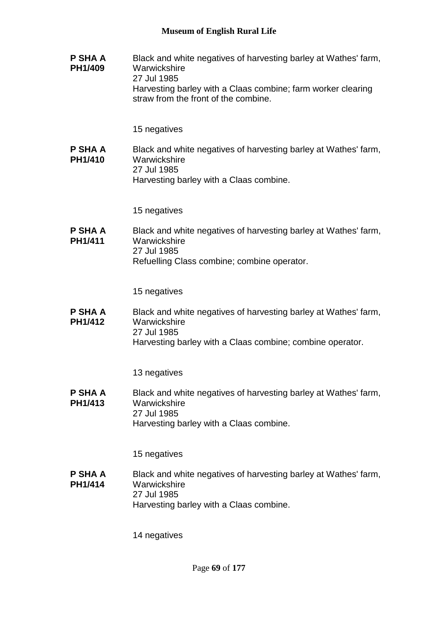**P SHA A PH1/409** Black and white negatives of harvesting barley at Wathes' farm, **Warwickshire** 27 Jul 1985 Harvesting barley with a Claas combine; farm worker clearing straw from the front of the combine.

15 negatives

**P SHA A PH1/410** Black and white negatives of harvesting barley at Wathes' farm, **Warwickshire** 27 Jul 1985 Harvesting barley with a Claas combine.

15 negatives

**P SHA A PH1/411** Black and white negatives of harvesting barley at Wathes' farm, **Warwickshire** 27 Jul 1985 Refuelling Class combine; combine operator.

15 negatives

**P SHA A PH1/412** Black and white negatives of harvesting barley at Wathes' farm, **Warwickshire** 27 Jul 1985 Harvesting barley with a Claas combine; combine operator.

13 negatives

**P SHA A PH1/413** Black and white negatives of harvesting barley at Wathes' farm, **Warwickshire** 27 Jul 1985 Harvesting barley with a Claas combine.

15 negatives

**P SHA A PH1/414** Black and white negatives of harvesting barley at Wathes' farm, **Warwickshire** 27 Jul 1985 Harvesting barley with a Claas combine.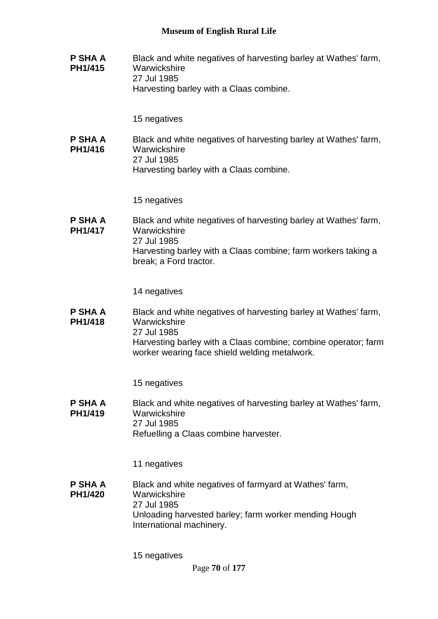**P SHA A PH1/415** Black and white negatives of harvesting barley at Wathes' farm, **Warwickshire** 27 Jul 1985 Harvesting barley with a Claas combine.

15 negatives

**P SHA A PH1/416** Black and white negatives of harvesting barley at Wathes' farm, **Warwickshire** 27 Jul 1985 Harvesting barley with a Claas combine.

15 negatives

**P SHA A PH1/417** Black and white negatives of harvesting barley at Wathes' farm, **Warwickshire** 27 Jul 1985 Harvesting barley with a Claas combine; farm workers taking a break; a Ford tractor.

14 negatives

**P SHA A PH1/418** Black and white negatives of harvesting barley at Wathes' farm, **Warwickshire** 27 Jul 1985 Harvesting barley with a Claas combine; combine operator; farm worker wearing face shield welding metalwork.

15 negatives

**P SHA A PH1/419** Black and white negatives of harvesting barley at Wathes' farm, **Warwickshire** 27 Jul 1985 Refuelling a Claas combine harvester.

11 negatives

**P SHA A PH1/420** Black and white negatives of farmyard at Wathes' farm, **Warwickshire** 27 Jul 1985 Unloading harvested barley; farm worker mending Hough International machinery.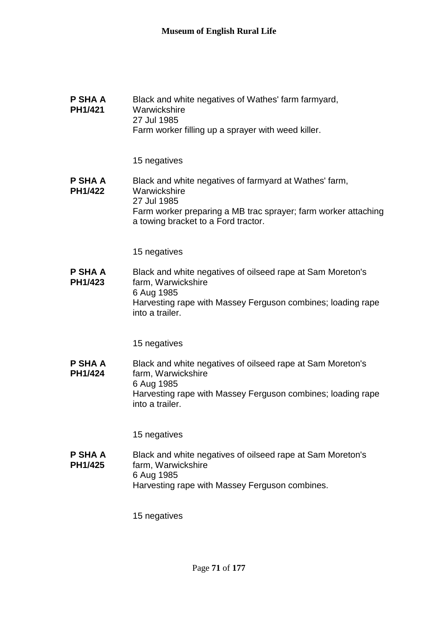| P SHA A<br>PH1/421        | Black and white negatives of Wathes' farm farmyard,<br>Warwickshire<br>27 Jul 1985<br>Farm worker filling up a sprayer with weed killer.                                                       |
|---------------------------|------------------------------------------------------------------------------------------------------------------------------------------------------------------------------------------------|
|                           | 15 negatives                                                                                                                                                                                   |
| P SHA A<br>PH1/422        | Black and white negatives of farmyard at Wathes' farm,<br>Warwickshire<br>27 Jul 1985<br>Farm worker preparing a MB trac sprayer; farm worker attaching<br>a towing bracket to a Ford tractor. |
|                           | 15 negatives                                                                                                                                                                                   |
| P SHA A<br>PH1/423        | Black and white negatives of oilseed rape at Sam Moreton's<br>farm, Warwickshire<br>6 Aug 1985<br>Harvesting rape with Massey Ferguson combines; loading rape<br>into a trailer.               |
|                           | 15 negatives                                                                                                                                                                                   |
| <b>P SHA A</b><br>PH1/424 | Black and white negatives of oilseed rape at Sam Moreton's<br>farm, Warwickshire<br>6 Aug 1985<br>Harvesting rape with Massey Ferguson combines; loading rape<br>into a trailer.               |
|                           | 15 negatives                                                                                                                                                                                   |
| <b>P SHA A</b><br>PH1/425 | Black and white negatives of oilseed rape at Sam Moreton's<br>farm, Warwickshire<br>6 Aug 1985<br>Harvesting rape with Massey Ferguson combines.                                               |
|                           | 15 negatives                                                                                                                                                                                   |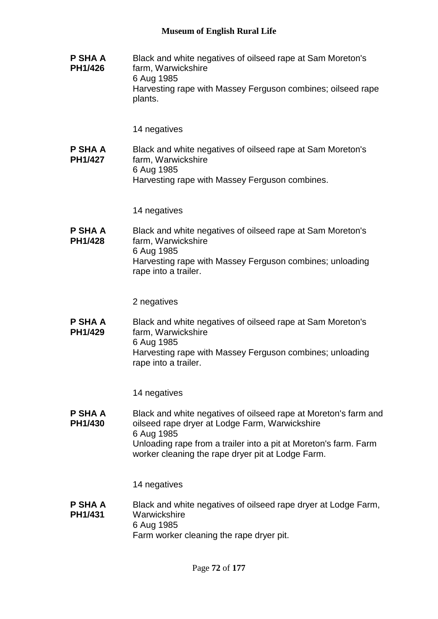**P SHA A PH1/426** Black and white negatives of oilseed rape at Sam Moreton's farm, Warwickshire 6 Aug 1985 Harvesting rape with Massey Ferguson combines; oilseed rape plants.

14 negatives

**P SHA A PH1/427** Black and white negatives of oilseed rape at Sam Moreton's farm, Warwickshire 6 Aug 1985 Harvesting rape with Massey Ferguson combines.

14 negatives

**P SHA A PH1/428** Black and white negatives of oilseed rape at Sam Moreton's farm, Warwickshire 6 Aug 1985 Harvesting rape with Massey Ferguson combines; unloading rape into a trailer.

2 negatives

**P SHA A PH1/429** Black and white negatives of oilseed rape at Sam Moreton's farm, Warwickshire 6 Aug 1985 Harvesting rape with Massey Ferguson combines; unloading rape into a trailer.

14 negatives

**P SHA A PH1/430** Black and white negatives of oilseed rape at Moreton's farm and oilseed rape dryer at Lodge Farm, Warwickshire 6 Aug 1985 Unloading rape from a trailer into a pit at Moreton's farm. Farm worker cleaning the rape dryer pit at Lodge Farm.

14 negatives

**P SHA A PH1/431** Black and white negatives of oilseed rape dryer at Lodge Farm, **Warwickshire** 6 Aug 1985 Farm worker cleaning the rape dryer pit.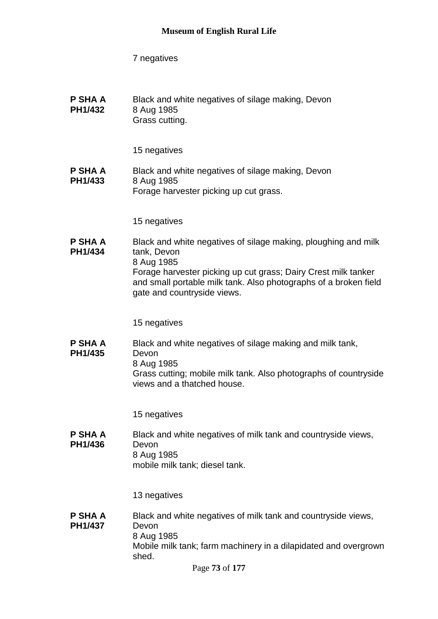**P SHA A PH1/432** Black and white negatives of silage making, Devon 8 Aug 1985 Grass cutting.

15 negatives

**P SHA A PH1/433** Black and white negatives of silage making, Devon 8 Aug 1985 Forage harvester picking up cut grass.

15 negatives

**P SHA A PH1/434** Black and white negatives of silage making, ploughing and milk tank, Devon 8 Aug 1985 Forage harvester picking up cut grass; Dairy Crest milk tanker and small portable milk tank. Also photographs of a broken field gate and countryside views.

15 negatives

**P SHA A PH1/435** Black and white negatives of silage making and milk tank, Devon 8 Aug 1985 Grass cutting; mobile milk tank. Also photographs of countryside views and a thatched house.

15 negatives

**P SHA A PH1/436** Black and white negatives of milk tank and countryside views, Devon 8 Aug 1985 mobile milk tank; diesel tank.

13 negatives

**P SHA A PH1/437** Black and white negatives of milk tank and countryside views, Devon 8 Aug 1985 Mobile milk tank; farm machinery in a dilapidated and overgrown shed.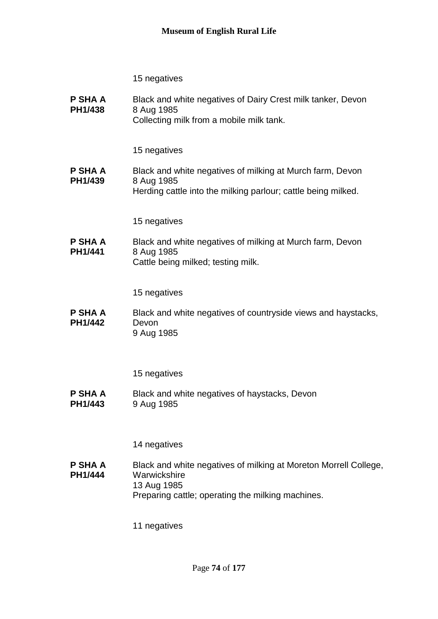**P SHA A PH1/438** Black and white negatives of Dairy Crest milk tanker, Devon 8 Aug 1985 Collecting milk from a mobile milk tank.

15 negatives

**P SHA A PH1/439** Black and white negatives of milking at Murch farm, Devon 8 Aug 1985 Herding cattle into the milking parlour; cattle being milked.

15 negatives

**P SHA A PH1/441** Black and white negatives of milking at Murch farm, Devon 8 Aug 1985 Cattle being milked; testing milk.

15 negatives

**P SHA A PH1/442** Black and white negatives of countryside views and haystacks, Devon 9 Aug 1985

15 negatives

**P SHA A PH1/443** Black and white negatives of haystacks, Devon 9 Aug 1985

14 negatives

**P SHA A PH1/444** Black and white negatives of milking at Moreton Morrell College, **Warwickshire** 13 Aug 1985 Preparing cattle; operating the milking machines.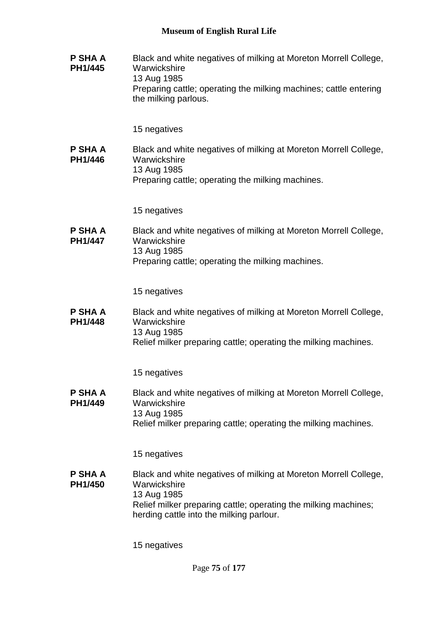**P SHA A PH1/445** Black and white negatives of milking at Moreton Morrell College, **Warwickshire** 13 Aug 1985 Preparing cattle; operating the milking machines; cattle entering the milking parlous.

15 negatives

**P SHA A PH1/446** Black and white negatives of milking at Moreton Morrell College, **Warwickshire** 13 Aug 1985 Preparing cattle; operating the milking machines.

15 negatives

**P SHA A PH1/447** Black and white negatives of milking at Moreton Morrell College, **Warwickshire** 13 Aug 1985 Preparing cattle; operating the milking machines.

15 negatives

**P SHA A PH1/448** Black and white negatives of milking at Moreton Morrell College, **Warwickshire** 13 Aug 1985 Relief milker preparing cattle; operating the milking machines.

15 negatives

**P SHA A PH1/449** Black and white negatives of milking at Moreton Morrell College, Warwickshire 13 Aug 1985 Relief milker preparing cattle; operating the milking machines.

15 negatives

**P SHA A PH1/450** Black and white negatives of milking at Moreton Morrell College, Warwickshire 13 Aug 1985 Relief milker preparing cattle; operating the milking machines; herding cattle into the milking parlour.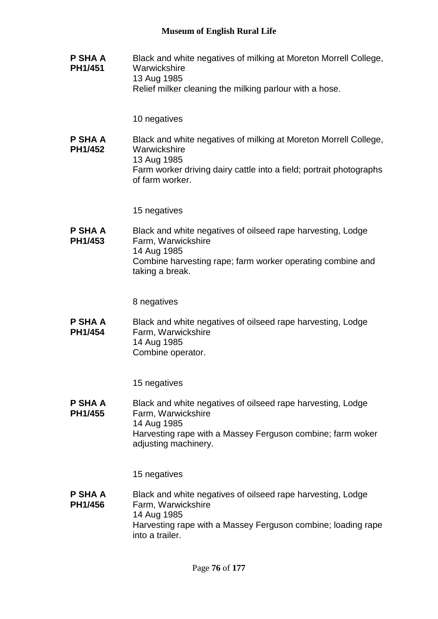**P SHA A PH1/451** Black and white negatives of milking at Moreton Morrell College, **Warwickshire** 13 Aug 1985 Relief milker cleaning the milking parlour with a hose.

10 negatives

**P SHA A PH1/452** Black and white negatives of milking at Moreton Morrell College, **Warwickshire** 13 Aug 1985 Farm worker driving dairy cattle into a field; portrait photographs of farm worker.

15 negatives

**P SHA A PH1/453** Black and white negatives of oilseed rape harvesting, Lodge Farm, Warwickshire 14 Aug 1985 Combine harvesting rape; farm worker operating combine and taking a break.

8 negatives

**P SHA A PH1/454** Black and white negatives of oilseed rape harvesting, Lodge Farm, Warwickshire 14 Aug 1985 Combine operator.

15 negatives

**P SHA A PH1/455** Black and white negatives of oilseed rape harvesting, Lodge Farm, Warwickshire 14 Aug 1985 Harvesting rape with a Massey Ferguson combine; farm woker adjusting machinery.

15 negatives

**P SHA A PH1/456** Black and white negatives of oilseed rape harvesting, Lodge Farm, Warwickshire 14 Aug 1985 Harvesting rape with a Massey Ferguson combine; loading rape into a trailer.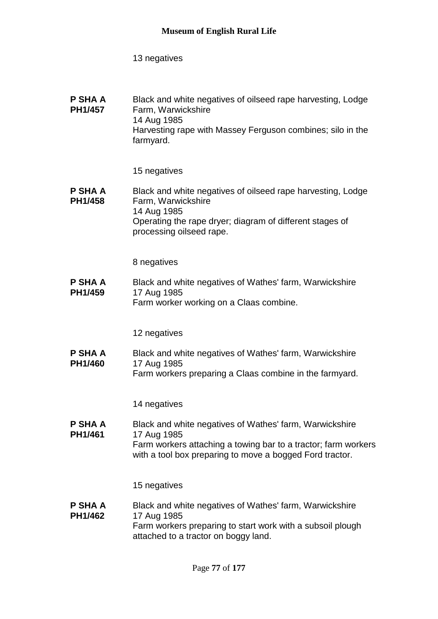| <b>P SHA A</b><br><b>PH1/457</b> | Black and white negatives of oilseed rape harvesting, Lodge<br>Farm, Warwickshire<br>14 Aug 1985 |
|----------------------------------|--------------------------------------------------------------------------------------------------|
|                                  | Harvesting rape with Massey Ferguson combines; silo in the<br>farmyard.                          |

15 negatives

#### **P SHA A PH1/458** Black and white negatives of oilseed rape harvesting, Lodge Farm, Warwickshire 14 Aug 1985 Operating the rape dryer; diagram of different stages of processing oilseed rape.

8 negatives

**P SHA A PH1/459** Black and white negatives of Wathes' farm, Warwickshire 17 Aug 1985 Farm worker working on a Claas combine.

12 negatives

**P SHA A PH1/460** Black and white negatives of Wathes' farm, Warwickshire 17 Aug 1985 Farm workers preparing a Claas combine in the farmyard.

14 negatives

**P SHA A PH1/461** Black and white negatives of Wathes' farm, Warwickshire 17 Aug 1985 Farm workers attaching a towing bar to a tractor; farm workers with a tool box preparing to move a bogged Ford tractor.

15 negatives

#### **P SHA A PH1/462** Black and white negatives of Wathes' farm, Warwickshire 17 Aug 1985 Farm workers preparing to start work with a subsoil plough attached to a tractor on boggy land.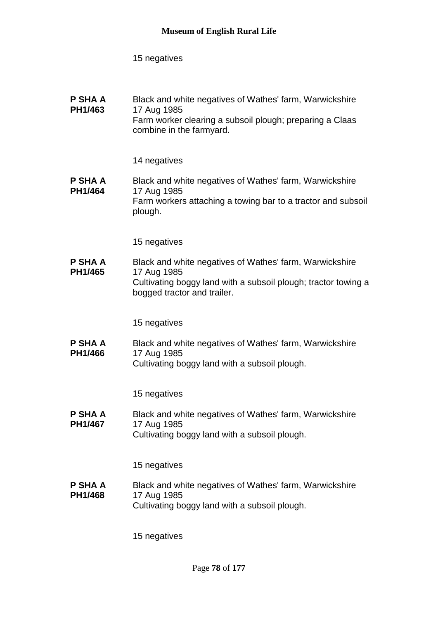#### **P SHA A PH1/463** Black and white negatives of Wathes' farm, Warwickshire 17 Aug 1985 Farm worker clearing a subsoil plough; preparing a Claas combine in the farmyard.

### 14 negatives

#### **P SHA A PH1/464** Black and white negatives of Wathes' farm, Warwickshire 17 Aug 1985 Farm workers attaching a towing bar to a tractor and subsoil plough.

15 negatives

**P SHA A PH1/465** Black and white negatives of Wathes' farm, Warwickshire 17 Aug 1985 Cultivating boggy land with a subsoil plough; tractor towing a bogged tractor and trailer.

15 negatives

**P SHA A PH1/466** Black and white negatives of Wathes' farm, Warwickshire 17 Aug 1985 Cultivating boggy land with a subsoil plough.

15 negatives

**P SHA A PH1/467** Black and white negatives of Wathes' farm, Warwickshire 17 Aug 1985 Cultivating boggy land with a subsoil plough.

15 negatives

**P SHA A PH1/468** Black and white negatives of Wathes' farm, Warwickshire 17 Aug 1985 Cultivating boggy land with a subsoil plough.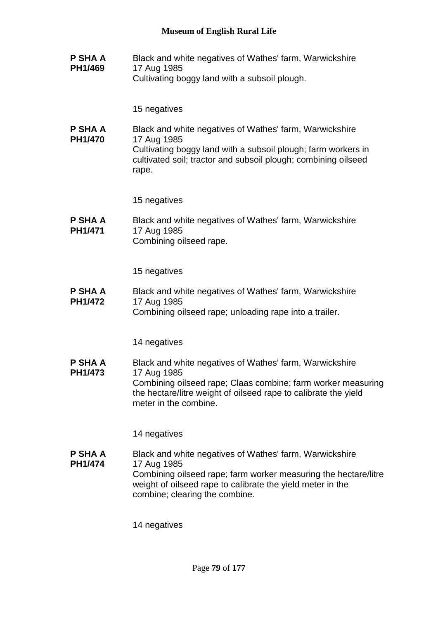**P SHA A PH1/469** Black and white negatives of Wathes' farm, Warwickshire 17 Aug 1985 Cultivating boggy land with a subsoil plough.

15 negatives

**P SHA A PH1/470** Black and white negatives of Wathes' farm, Warwickshire 17 Aug 1985 Cultivating boggy land with a subsoil plough; farm workers in cultivated soil; tractor and subsoil plough; combining oilseed rape.

15 negatives

**P SHA A PH1/471** Black and white negatives of Wathes' farm, Warwickshire 17 Aug 1985 Combining oilseed rape.

15 negatives

**P SHA A PH1/472** Black and white negatives of Wathes' farm, Warwickshire 17 Aug 1985 Combining oilseed rape; unloading rape into a trailer.

14 negatives

**P SHA A PH1/473** Black and white negatives of Wathes' farm, Warwickshire 17 Aug 1985 Combining oilseed rape; Claas combine; farm worker measuring the hectare/litre weight of oilseed rape to calibrate the yield meter in the combine.

14 negatives

**P SHA A PH1/474** Black and white negatives of Wathes' farm, Warwickshire 17 Aug 1985 Combining oilseed rape; farm worker measuring the hectare/litre weight of oilseed rape to calibrate the yield meter in the combine; clearing the combine.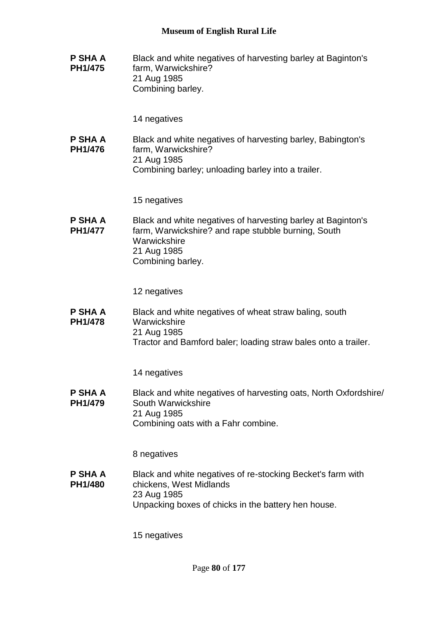**P SHA A PH1/475** Black and white negatives of harvesting barley at Baginton's farm, Warwickshire? 21 Aug 1985 Combining barley.

14 negatives

**P SHA A PH1/476** Black and white negatives of harvesting barley, Babington's farm, Warwickshire? 21 Aug 1985 Combining barley; unloading barley into a trailer.

15 negatives

**P SHA A PH1/477** Black and white negatives of harvesting barley at Baginton's farm, Warwickshire? and rape stubble burning, South **Warwickshire** 21 Aug 1985 Combining barley.

12 negatives

**P SHA A PH1/478** Black and white negatives of wheat straw baling, south Warwickshire 21 Aug 1985 Tractor and Bamford baler; loading straw bales onto a trailer.

14 negatives

**P SHA A PH1/479** Black and white negatives of harvesting oats, North Oxfordshire/ South Warwickshire 21 Aug 1985 Combining oats with a Fahr combine.

8 negatives

**P SHA A PH1/480** Black and white negatives of re-stocking Becket's farm with chickens, West Midlands 23 Aug 1985 Unpacking boxes of chicks in the battery hen house.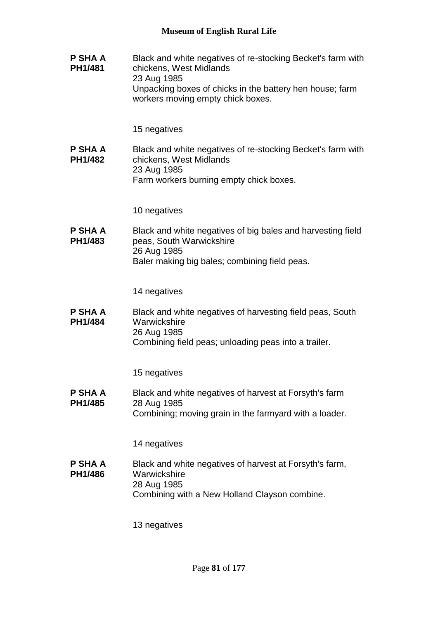**P SHA A PH1/481** Black and white negatives of re-stocking Becket's farm with chickens, West Midlands 23 Aug 1985 Unpacking boxes of chicks in the battery hen house; farm workers moving empty chick boxes. 15 negatives **P SHA A PH1/482** Black and white negatives of re-stocking Becket's farm with chickens, West Midlands 23 Aug 1985 Farm workers burning empty chick boxes. 10 negatives **P SHA A PH1/483** Black and white negatives of big bales and harvesting field peas, South Warwickshire 26 Aug 1985 Baler making big bales; combining field peas. 14 negatives **P SHA A PH1/484** Black and white negatives of harvesting field peas, South Warwickshire 26 Aug 1985 Combining field peas; unloading peas into a trailer. 15 negatives **P SHA A PH1/485** Black and white negatives of harvest at Forsyth's farm 28 Aug 1985 Combining; moving grain in the farmyard with a loader. 14 negatives **P SHA A PH1/486** Black and white negatives of harvest at Forsyth's farm, **Warwickshire** 28 Aug 1985 Combining with a New Holland Clayson combine. 13 negatives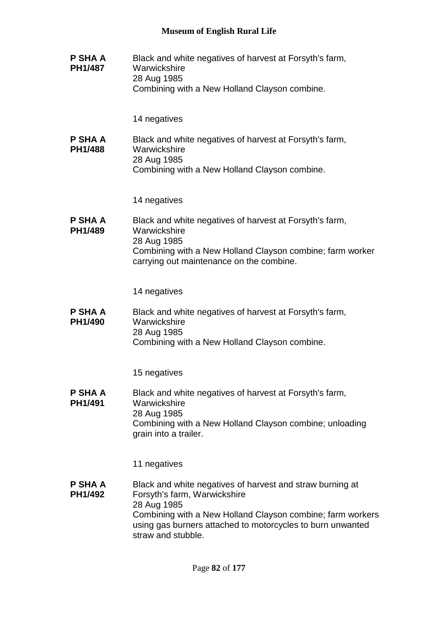| P SHA A<br><b>PH1/487</b> | Black and white negatives of harvest at Forsyth's farm,<br>Warwickshire<br>28 Aug 1985<br>Combining with a New Holland Clayson combine.                                                         |
|---------------------------|-------------------------------------------------------------------------------------------------------------------------------------------------------------------------------------------------|
|                           | 14 negatives                                                                                                                                                                                    |
| <b>P SHA A</b><br>PH1/488 | Black and white negatives of harvest at Forsyth's farm,<br>Warwickshire<br>28 Aug 1985<br>Combining with a New Holland Clayson combine.                                                         |
|                           | 14 negatives                                                                                                                                                                                    |
| P SHA A<br>PH1/489        | Black and white negatives of harvest at Forsyth's farm,<br>Warwickshire<br>28 Aug 1985<br>Combining with a New Holland Clayson combine; farm worker<br>carrying out maintenance on the combine. |
|                           |                                                                                                                                                                                                 |
|                           | 14 negatives                                                                                                                                                                                    |
| P SHA A<br>PH1/490        | Black and white negatives of harvest at Forsyth's farm,<br>Warwickshire<br>28 Aug 1985<br>Combining with a New Holland Clayson combine.                                                         |
|                           | 15 negatives                                                                                                                                                                                    |
| P SHA A<br>PH1/491        | Black and white negatives of harvest at Forsyth's farm,<br>Warwickshire<br>28 Aug 1985<br>Combining with a New Holland Clayson combine; unloading<br>grain into a trailer.                      |
|                           | 11 negatives                                                                                                                                                                                    |
| P SHA A<br>PH1/492        | Black and white negatives of harvest and straw burning at<br>Forsyth's farm, Warwickshire<br>28 Aug 1985                                                                                        |
|                           | Combining with a New Holland Clayson combine; farm workers<br>using gas burners attached to motorcycles to burn unwanted<br>straw and stubble.                                                  |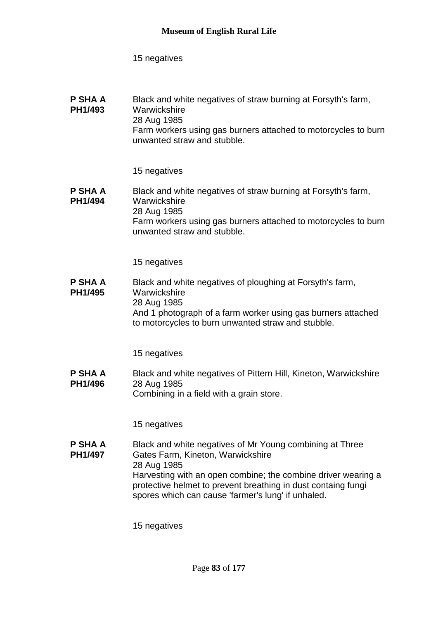#### **P SHA A PH1/493** Black and white negatives of straw burning at Forsyth's farm, **Warwickshire** 28 Aug 1985 Farm workers using gas burners attached to motorcycles to burn unwanted straw and stubble.

15 negatives

#### **P SHA A PH1/494** Black and white negatives of straw burning at Forsyth's farm, **Warwickshire** 28 Aug 1985 Farm workers using gas burners attached to motorcycles to burn unwanted straw and stubble.

15 negatives

#### **P SHA A PH1/495** Black and white negatives of ploughing at Forsyth's farm, Warwickshire 28 Aug 1985 And 1 photograph of a farm worker using gas burners attached to motorcycles to burn unwanted straw and stubble.

15 negatives

**P SHA A PH1/496** Black and white negatives of Pittern Hill, Kineton, Warwickshire 28 Aug 1985 Combining in a field with a grain store.

15 negatives

**P SHA A PH1/497** Black and white negatives of Mr Young combining at Three Gates Farm, Kineton, Warwickshire 28 Aug 1985 Harvesting with an open combine; the combine driver wearing a protective helmet to prevent breathing in dust containg fungi spores which can cause 'farmer's lung' if unhaled.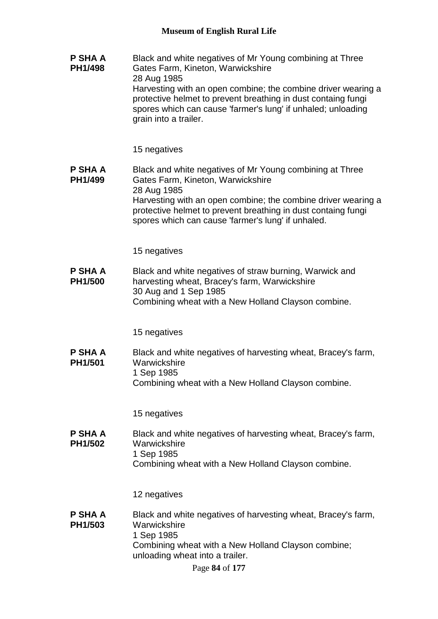**P SHA A PH1/498** Black and white negatives of Mr Young combining at Three Gates Farm, Kineton, Warwickshire 28 Aug 1985 Harvesting with an open combine; the combine driver wearing a protective helmet to prevent breathing in dust containg fungi spores which can cause 'farmer's lung' if unhaled; unloading grain into a trailer.

15 negatives

**P SHA A PH1/499** Black and white negatives of Mr Young combining at Three Gates Farm, Kineton, Warwickshire 28 Aug 1985 Harvesting with an open combine; the combine driver wearing a protective helmet to prevent breathing in dust containg fungi spores which can cause 'farmer's lung' if unhaled.

15 negatives

**P SHA A PH1/500** Black and white negatives of straw burning, Warwick and harvesting wheat, Bracey's farm, Warwickshire 30 Aug and 1 Sep 1985 Combining wheat with a New Holland Clayson combine.

15 negatives

**P SHA A PH1/501** Black and white negatives of harvesting wheat, Bracey's farm, **Warwickshire** 1 Sep 1985 Combining wheat with a New Holland Clayson combine.

15 negatives

**P SHA A PH1/502** Black and white negatives of harvesting wheat, Bracey's farm, **Warwickshire** 1 Sep 1985 Combining wheat with a New Holland Clayson combine.

12 negatives

**P SHA A PH1/503** Black and white negatives of harvesting wheat, Bracey's farm, **Warwickshire** 1 Sep 1985 Combining wheat with a New Holland Clayson combine; unloading wheat into a trailer.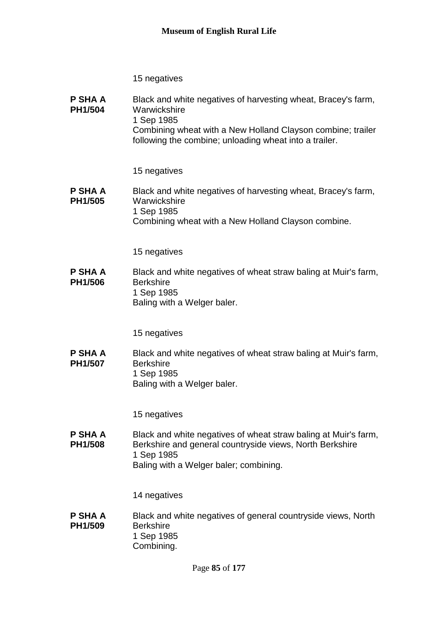| P SHA A<br>PH1/504               | Black and white negatives of harvesting wheat, Bracey's farm,<br>Warwickshire<br>1 Sep 1985<br>Combining wheat with a New Holland Clayson combine; trailer<br>following the combine; unloading wheat into a trailer. |
|----------------------------------|----------------------------------------------------------------------------------------------------------------------------------------------------------------------------------------------------------------------|
|                                  | 15 negatives                                                                                                                                                                                                         |
| <b>P SHA A</b><br>PH1/505        | Black and white negatives of harvesting wheat, Bracey's farm,<br>Warwickshire<br>1 Sep 1985<br>Combining wheat with a New Holland Clayson combine.                                                                   |
|                                  | 15 negatives                                                                                                                                                                                                         |
| P SHA A<br>PH1/506               | Black and white negatives of wheat straw baling at Muir's farm,<br><b>Berkshire</b><br>1 Sep 1985<br>Baling with a Welger baler.                                                                                     |
|                                  | 15 negatives                                                                                                                                                                                                         |
| <b>P SHA A</b><br>PH1/507        | Black and white negatives of wheat straw baling at Muir's farm,<br><b>Berkshire</b><br>1 Sep 1985<br>Baling with a Welger baler.                                                                                     |
|                                  | 15 negatives                                                                                                                                                                                                         |
| <b>P SHA A</b><br><b>PH1/508</b> | Black and white negatives of wheat straw baling at Muir's farm,<br>Berkshire and general countryside views, North Berkshire<br>1 Sep 1985<br>Baling with a Welger baler; combining.                                  |
|                                  | 14 negatives                                                                                                                                                                                                         |
| P SHA A<br>PH1/509               | Black and white negatives of general countryside views, North<br><b>Berkshire</b><br>1 Sep 1985<br>Combining.                                                                                                        |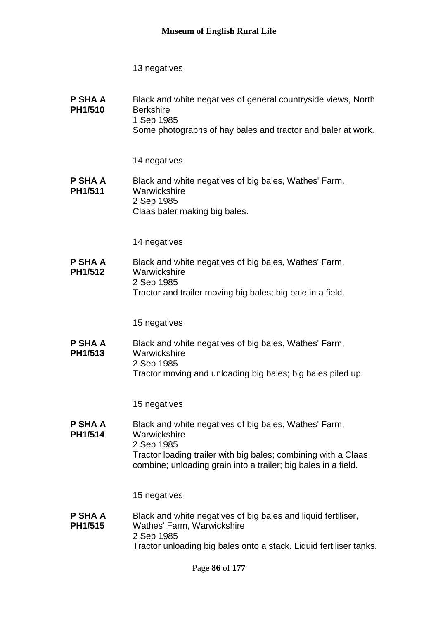| P SHA A<br>PH1/510 | Black and white negatives of general countryside views, North<br><b>Berkshire</b><br>1 Sep 1985<br>Some photographs of hay bales and tractor and baler at work. |
|--------------------|-----------------------------------------------------------------------------------------------------------------------------------------------------------------|
|                    |                                                                                                                                                                 |

14 negatives

#### **P SHA A PH1/511** Black and white negatives of big bales, Wathes' Farm, **Warwickshire** 2 Sep 1985 Claas baler making big bales.

14 negatives

**P SHA A PH1/512** Black and white negatives of big bales, Wathes' Farm, **Warwickshire** 2 Sep 1985 Tractor and trailer moving big bales; big bale in a field.

15 negatives

**P SHA A PH1/513** Black and white negatives of big bales, Wathes' Farm, Warwickshire 2 Sep 1985 Tractor moving and unloading big bales; big bales piled up.

15 negatives

**P SHA A PH1/514** Black and white negatives of big bales, Wathes' Farm, **Warwickshire** 2 Sep 1985 Tractor loading trailer with big bales; combining with a Claas combine; unloading grain into a trailer; big bales in a field.

15 negatives

**P SHA A PH1/515** Black and white negatives of big bales and liquid fertiliser, Wathes' Farm, Warwickshire 2 Sep 1985 Tractor unloading big bales onto a stack. Liquid fertiliser tanks.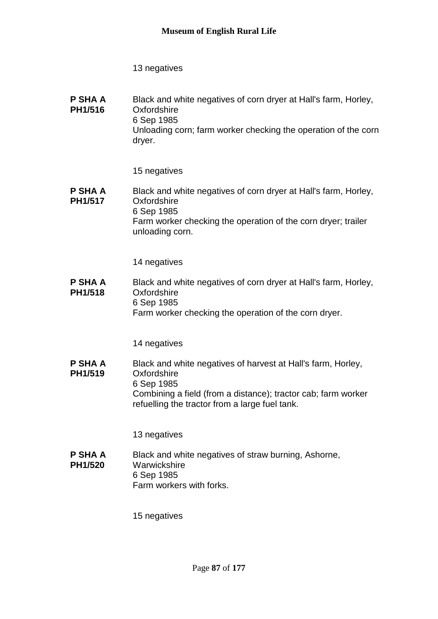**P SHA A PH1/516** Black and white negatives of corn dryer at Hall's farm, Horley, **Oxfordshire** 6 Sep 1985 Unloading corn; farm worker checking the operation of the corn dryer.

15 negatives

**P SHA A PH1/517** Black and white negatives of corn dryer at Hall's farm, Horley, Oxfordshire 6 Sep 1985 Farm worker checking the operation of the corn dryer; trailer unloading corn.

14 negatives

**P SHA A PH1/518** Black and white negatives of corn dryer at Hall's farm, Horley, **Oxfordshire** 6 Sep 1985 Farm worker checking the operation of the corn dryer.

14 negatives

**P SHA A PH1/519** Black and white negatives of harvest at Hall's farm, Horley, **Oxfordshire** 6 Sep 1985 Combining a field (from a distance); tractor cab; farm worker refuelling the tractor from a large fuel tank.

13 negatives

**P SHA A PH1/520** Black and white negatives of straw burning, Ashorne, **Warwickshire** 6 Sep 1985 Farm workers with forks.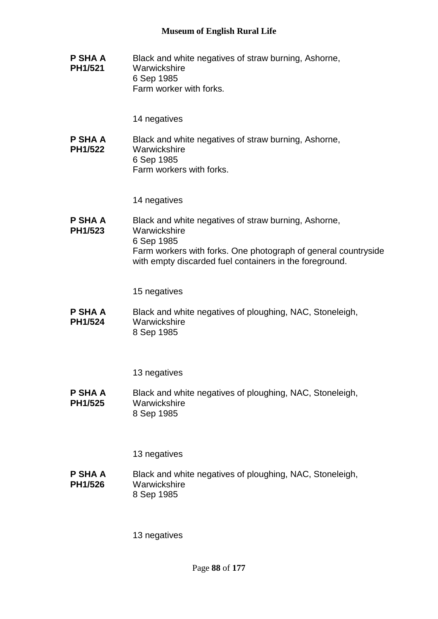**P SHA A PH1/521** Black and white negatives of straw burning, Ashorne, **Warwickshire** 6 Sep 1985 Farm worker with forks.

14 negatives

**P SHA A PH1/522** Black and white negatives of straw burning, Ashorne, **Warwickshire** 6 Sep 1985 Farm workers with forks.

14 negatives

**P SHA A PH1/523** Black and white negatives of straw burning, Ashorne, **Warwickshire** 6 Sep 1985 Farm workers with forks. One photograph of general countryside with empty discarded fuel containers in the foreground.

15 negatives

**P SHA A PH1/524** Black and white negatives of ploughing, NAC, Stoneleigh, Warwickshire 8 Sep 1985

13 negatives

**P SHA A PH1/525** Black and white negatives of ploughing, NAC, Stoneleigh, Warwickshire 8 Sep 1985

13 negatives

**P SHA A PH1/526** Black and white negatives of ploughing, NAC, Stoneleigh, **Warwickshire** 8 Sep 1985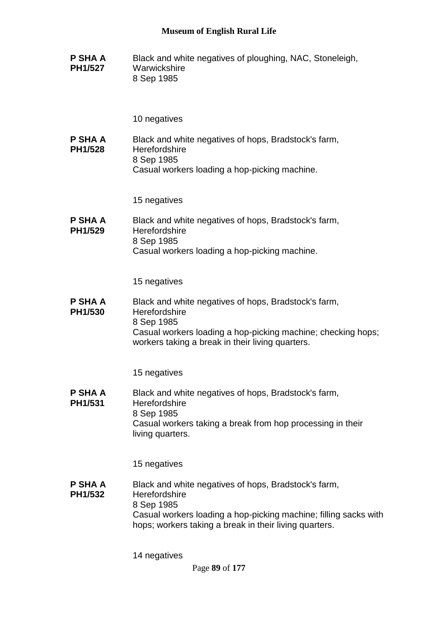**P SHA A PH1/527** Black and white negatives of ploughing, NAC, Stoneleigh, **Warwickshire** 8 Sep 1985

10 negatives

**P SHA A PH1/528** Black and white negatives of hops, Bradstock's farm, **Herefordshire** 8 Sep 1985 Casual workers loading a hop-picking machine.

15 negatives

**P SHA A PH1/529** Black and white negatives of hops, Bradstock's farm, **Herefordshire** 8 Sep 1985 Casual workers loading a hop-picking machine.

15 negatives

**P SHA A PH1/530** Black and white negatives of hops, Bradstock's farm, **Herefordshire** 8 Sep 1985 Casual workers loading a hop-picking machine; checking hops; workers taking a break in their living quarters.

15 negatives

**P SHA A PH1/531** Black and white negatives of hops, Bradstock's farm, **Herefordshire** 8 Sep 1985 Casual workers taking a break from hop processing in their living quarters.

15 negatives

**P SHA A PH1/532** Black and white negatives of hops, Bradstock's farm, **Herefordshire** 8 Sep 1985 Casual workers loading a hop-picking machine; filling sacks with hops; workers taking a break in their living quarters.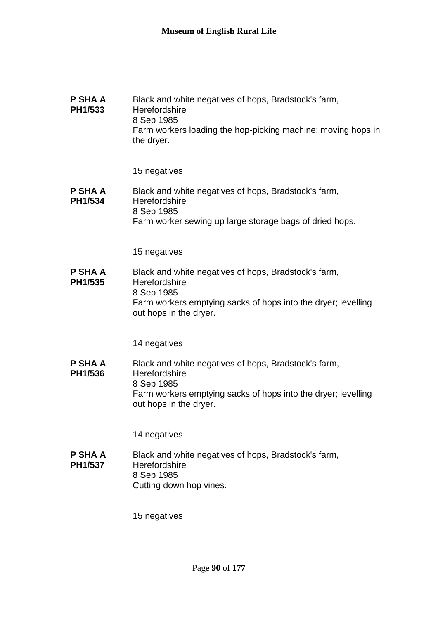| P SHA A<br>PH1/533 | Black and white negatives of hops, Bradstock's farm,<br>Herefordshire<br>8 Sep 1985<br>Farm workers loading the hop-picking machine; moving hops in<br>the dryer.              |
|--------------------|--------------------------------------------------------------------------------------------------------------------------------------------------------------------------------|
|                    | 15 negatives                                                                                                                                                                   |
| P SHA A<br>PH1/534 | Black and white negatives of hops, Bradstock's farm,<br>Herefordshire<br>8 Sep 1985<br>Farm worker sewing up large storage bags of dried hops.                                 |
|                    | 15 negatives                                                                                                                                                                   |
| P SHA A<br>PH1/535 | Black and white negatives of hops, Bradstock's farm,<br>Herefordshire<br>8 Sep 1985<br>Farm workers emptying sacks of hops into the dryer; levelling<br>out hops in the dryer. |
|                    | 14 negatives                                                                                                                                                                   |
| P SHA A<br>PH1/536 | Black and white negatives of hops, Bradstock's farm,<br>Herefordshire<br>8 Sep 1985<br>Farm workers emptying sacks of hops into the dryer; levelling<br>out hops in the dryer. |
|                    | 14 negatives                                                                                                                                                                   |
| P SHA A<br>PH1/537 | Black and white negatives of hops, Bradstock's farm,<br>Herefordshire<br>8 Sep 1985<br>Cutting down hop vines.                                                                 |
|                    | 15 negatives                                                                                                                                                                   |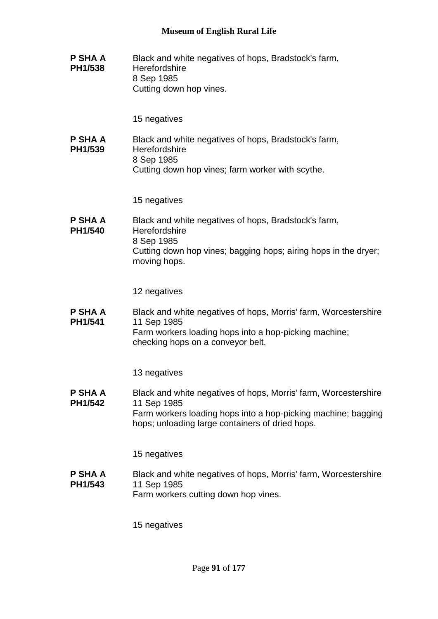**P SHA A PH1/538** Black and white negatives of hops, Bradstock's farm, **Herefordshire** 8 Sep 1985 Cutting down hop vines.

15 negatives

**P SHA A PH1/539** Black and white negatives of hops, Bradstock's farm, **Herefordshire** 8 Sep 1985 Cutting down hop vines; farm worker with scythe.

15 negatives

**P SHA A PH1/540** Black and white negatives of hops, Bradstock's farm, **Herefordshire** 8 Sep 1985 Cutting down hop vines; bagging hops; airing hops in the dryer; moving hops.

12 negatives

**P SHA A PH1/541** Black and white negatives of hops, Morris' farm, Worcestershire 11 Sep 1985 Farm workers loading hops into a hop-picking machine; checking hops on a conveyor belt.

13 negatives

**P SHA A PH1/542** Black and white negatives of hops, Morris' farm, Worcestershire 11 Sep 1985 Farm workers loading hops into a hop-picking machine; bagging hops; unloading large containers of dried hops.

15 negatives

**P SHA A PH1/543** Black and white negatives of hops, Morris' farm, Worcestershire 11 Sep 1985 Farm workers cutting down hop vines.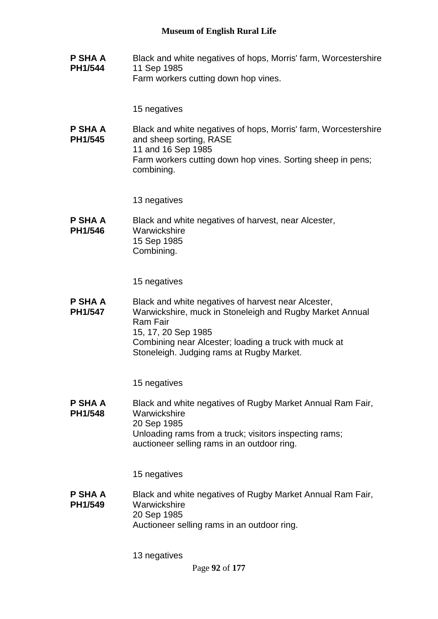**P SHA A PH1/544** Black and white negatives of hops, Morris' farm, Worcestershire 11 Sep 1985 Farm workers cutting down hop vines.

15 negatives

**P SHA A PH1/545** Black and white negatives of hops, Morris' farm, Worcestershire and sheep sorting, RASE 11 and 16 Sep 1985 Farm workers cutting down hop vines. Sorting sheep in pens; combining.

13 negatives

**P SHA A PH1/546** Black and white negatives of harvest, near Alcester, **Warwickshire** 15 Sep 1985 Combining.

15 negatives

**P SHA A PH1/547** Black and white negatives of harvest near Alcester, Warwickshire, muck in Stoneleigh and Rugby Market Annual Ram Fair 15, 17, 20 Sep 1985 Combining near Alcester; loading a truck with muck at Stoneleigh. Judging rams at Rugby Market.

15 negatives

**P SHA A PH1/548** Black and white negatives of Rugby Market Annual Ram Fair, **Warwickshire** 20 Sep 1985 Unloading rams from a truck; visitors inspecting rams; auctioneer selling rams in an outdoor ring.

15 negatives

**P SHA A PH1/549** Black and white negatives of Rugby Market Annual Ram Fair, Warwickshire 20 Sep 1985 Auctioneer selling rams in an outdoor ring.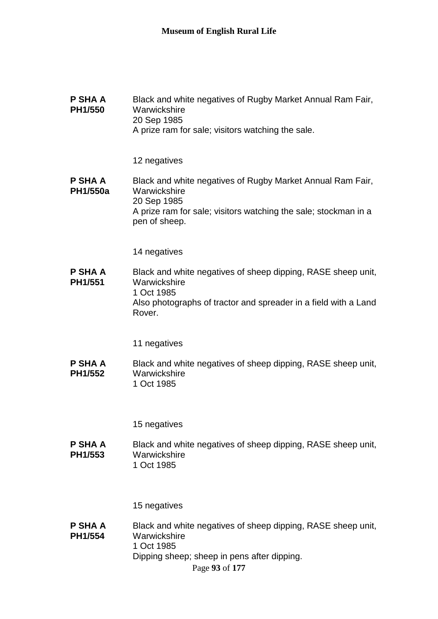| P SHA A<br>PH1/550                | Black and white negatives of Rugby Market Annual Ram Fair,<br>Warwickshire<br>20 Sep 1985<br>A prize ram for sale; visitors watching the sale.                                |
|-----------------------------------|-------------------------------------------------------------------------------------------------------------------------------------------------------------------------------|
|                                   | 12 negatives                                                                                                                                                                  |
| <b>P SHA A</b><br><b>PH1/550a</b> | Black and white negatives of Rugby Market Annual Ram Fair,<br>Warwickshire<br>20 Sep 1985<br>A prize ram for sale; visitors watching the sale; stockman in a<br>pen of sheep. |
|                                   | 14 negatives                                                                                                                                                                  |
| P SHA A<br>PH1/551                | Black and white negatives of sheep dipping, RASE sheep unit,<br>Warwickshire<br>1 Oct 1985<br>Also photographs of tractor and spreader in a field with a Land                 |
|                                   | Rover.                                                                                                                                                                        |
|                                   | 11 negatives                                                                                                                                                                  |
| P SHA A<br>PH1/552                | Black and white negatives of sheep dipping, RASE sheep unit,<br>Warwickshire<br>1 Oct 1985                                                                                    |
|                                   | 15 negatives                                                                                                                                                                  |
| P SHA A<br>PH1/553                | Black and white negatives of sheep dipping, RASE sheep unit,<br>Warwickshire<br>1 Oct 1985                                                                                    |
|                                   | 15 negatives                                                                                                                                                                  |
| P SHA A<br>PH1/554                | Black and white negatives of sheep dipping, RASE sheep unit,<br>Warwickshire<br>1 Oct 1985<br>Dipping sheep; sheep in pens after dipping.<br>Page 93 of 177                   |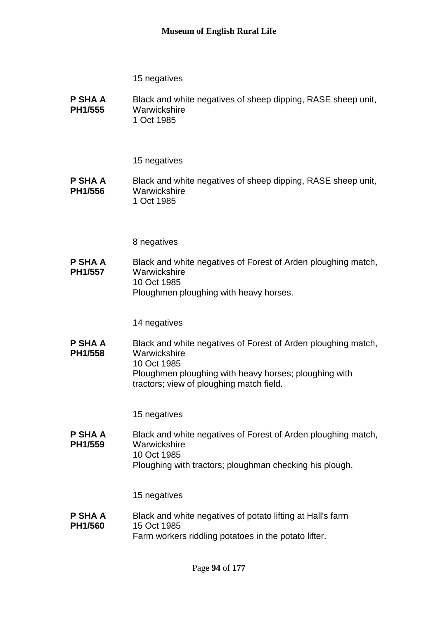**P SHA A PH1/555** Black and white negatives of sheep dipping, RASE sheep unit, **Warwickshire** 1 Oct 1985

#### 15 negatives

**P SHA A PH1/556** Black and white negatives of sheep dipping, RASE sheep unit, **Warwickshire** 1 Oct 1985

8 negatives

**P SHA A PH1/557** Black and white negatives of Forest of Arden ploughing match, **Warwickshire** 10 Oct 1985 Ploughmen ploughing with heavy horses.

14 negatives

**P SHA A PH1/558** Black and white negatives of Forest of Arden ploughing match, **Warwickshire** 10 Oct 1985 Ploughmen ploughing with heavy horses; ploughing with tractors; view of ploughing match field.

15 negatives

**P SHA A PH1/559** Black and white negatives of Forest of Arden ploughing match, **Warwickshire** 10 Oct 1985 Ploughing with tractors; ploughman checking his plough.

15 negatives

**P SHA A PH1/560** Black and white negatives of potato lifting at Hall's farm 15 Oct 1985 Farm workers riddling potatoes in the potato lifter.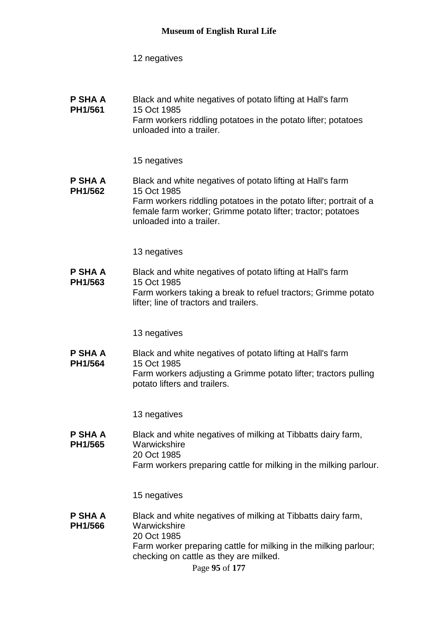| P SHA A | Black and white negatives of potato lifting at Hall's farm                                |
|---------|-------------------------------------------------------------------------------------------|
| PH1/561 | 15 Oct 1985                                                                               |
|         | Farm workers riddling potatoes in the potato lifter; potatoes<br>unloaded into a trailer. |

### 15 negatives

#### **P SHA A PH1/562** Black and white negatives of potato lifting at Hall's farm 15 Oct 1985 Farm workers riddling potatoes in the potato lifter; portrait of a female farm worker; Grimme potato lifter; tractor; potatoes unloaded into a trailer.

#### 13 negatives

**P SHA A PH1/563** Black and white negatives of potato lifting at Hall's farm 15 Oct 1985 Farm workers taking a break to refuel tractors; Grimme potato lifter; line of tractors and trailers.

#### 13 negatives

**P SHA A PH1/564** Black and white negatives of potato lifting at Hall's farm 15 Oct 1985 Farm workers adjusting a Grimme potato lifter; tractors pulling potato lifters and trailers.

13 negatives

**P SHA A PH1/565** Black and white negatives of milking at Tibbatts dairy farm, **Warwickshire** 20 Oct 1985 Farm workers preparing cattle for milking in the milking parlour.

#### 15 negatives

**P SHA A PH1/566** Black and white negatives of milking at Tibbatts dairy farm, **Warwickshire** 20 Oct 1985 Farm worker preparing cattle for milking in the milking parlour; checking on cattle as they are milked.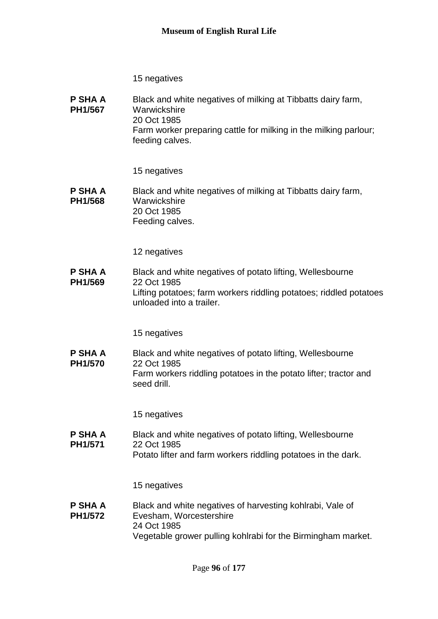**P SHA A PH1/567** Black and white negatives of milking at Tibbatts dairy farm, **Warwickshire** 20 Oct 1985 Farm worker preparing cattle for milking in the milking parlour; feeding calves.

15 negatives

**P SHA A PH1/568** Black and white negatives of milking at Tibbatts dairy farm, **Warwickshire** 20 Oct 1985 Feeding calves.

12 negatives

**P SHA A PH1/569** Black and white negatives of potato lifting, Wellesbourne 22 Oct 1985 Lifting potatoes; farm workers riddling potatoes; riddled potatoes unloaded into a trailer.

15 negatives

**P SHA A PH1/570** Black and white negatives of potato lifting, Wellesbourne 22 Oct 1985 Farm workers riddling potatoes in the potato lifter; tractor and seed drill.

15 negatives

**P SHA A PH1/571** Black and white negatives of potato lifting, Wellesbourne 22 Oct 1985 Potato lifter and farm workers riddling potatoes in the dark.

15 negatives

**P SHA A PH1/572** Black and white negatives of harvesting kohlrabi, Vale of Evesham, Worcestershire 24 Oct 1985 Vegetable grower pulling kohlrabi for the Birmingham market.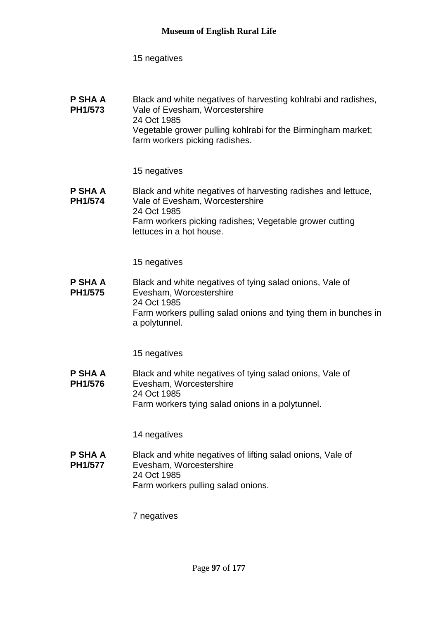| P SHA A<br>PH1/573 | Black and white negatives of harvesting kohlrabi and radishes,<br>Vale of Evesham, Worcestershire |
|--------------------|---------------------------------------------------------------------------------------------------|
|                    | 24 Oct 1985                                                                                       |
|                    | Vegetable grower pulling kohlrabi for the Birmingham market;                                      |
|                    | farm workers picking radishes.                                                                    |

#### 15 negatives

**P SHA A PH1/574** Black and white negatives of harvesting radishes and lettuce, Vale of Evesham, Worcestershire 24 Oct 1985 Farm workers picking radishes; Vegetable grower cutting lettuces in a hot house.

### 15 negatives

**P SHA A PH1/575** Black and white negatives of tying salad onions, Vale of Evesham, Worcestershire 24 Oct 1985 Farm workers pulling salad onions and tying them in bunches in a polytunnel.

15 negatives

**P SHA A PH1/576** Black and white negatives of tying salad onions, Vale of Evesham, Worcestershire 24 Oct 1985 Farm workers tying salad onions in a polytunnel.

14 negatives

**P SHA A PH1/577** Black and white negatives of lifting salad onions, Vale of Evesham, Worcestershire 24 Oct 1985 Farm workers pulling salad onions.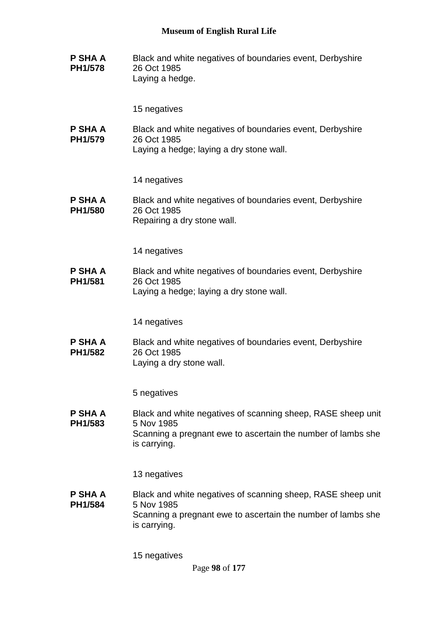**P SHA A PH1/578** Black and white negatives of boundaries event, Derbyshire 26 Oct 1985 Laying a hedge.

15 negatives

**P SHA A PH1/579** Black and white negatives of boundaries event, Derbyshire 26 Oct 1985 Laying a hedge; laying a dry stone wall.

14 negatives

**P SHA A PH1/580** Black and white negatives of boundaries event, Derbyshire 26 Oct 1985 Repairing a dry stone wall.

14 negatives

**P SHA A PH1/581** Black and white negatives of boundaries event, Derbyshire 26 Oct 1985 Laying a hedge; laying a dry stone wall.

14 negatives

**P SHA A PH1/582** Black and white negatives of boundaries event, Derbyshire 26 Oct 1985 Laying a dry stone wall.

5 negatives

**P SHA A PH1/583** Black and white negatives of scanning sheep, RASE sheep unit 5 Nov 1985 Scanning a pregnant ewe to ascertain the number of lambs she is carrying.

13 negatives

**P SHA A PH1/584** Black and white negatives of scanning sheep, RASE sheep unit 5 Nov 1985 Scanning a pregnant ewe to ascertain the number of lambs she is carrying.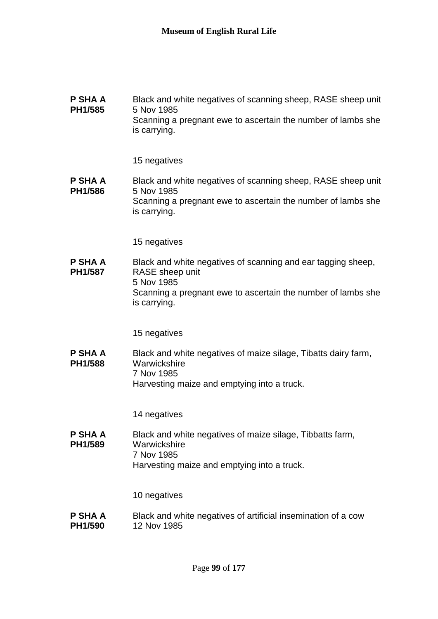#### **P SHA A PH1/585** Black and white negatives of scanning sheep, RASE sheep unit 5 Nov 1985 Scanning a pregnant ewe to ascertain the number of lambs she is carrying.

15 negatives

#### **P SHA A PH1/586** Black and white negatives of scanning sheep, RASE sheep unit 5 Nov 1985 Scanning a pregnant ewe to ascertain the number of lambs she is carrying.

15 negatives

**P SHA A PH1/587** Black and white negatives of scanning and ear tagging sheep, RASE sheep unit 5 Nov 1985 Scanning a pregnant ewe to ascertain the number of lambs she is carrying.

15 negatives

#### **P SHA A PH1/588** Black and white negatives of maize silage, Tibatts dairy farm, **Warwickshire** 7 Nov 1985 Harvesting maize and emptying into a truck.

14 negatives

**P SHA A PH1/589** Black and white negatives of maize silage, Tibbatts farm, **Warwickshire** 7 Nov 1985 Harvesting maize and emptying into a truck.

10 negatives

**P SHA A PH1/590** Black and white negatives of artificial insemination of a cow 12 Nov 1985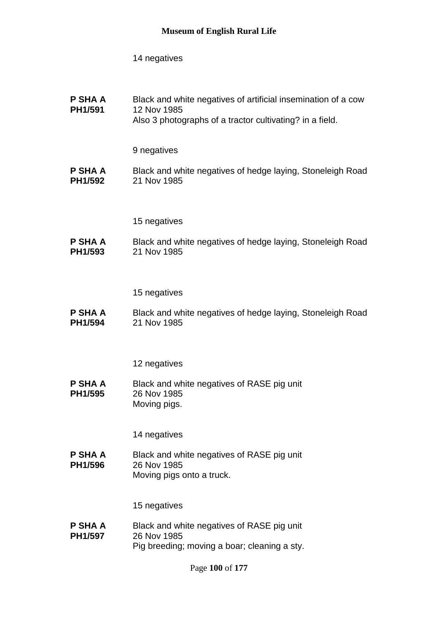**P SHA A PH1/591** Black and white negatives of artificial insemination of a cow 12 Nov 1985 Also 3 photographs of a tractor cultivating? in a field.

9 negatives

**P SHA A PH1/592** Black and white negatives of hedge laying, Stoneleigh Road 21 Nov 1985

15 negatives

**P SHA A PH1/593** Black and white negatives of hedge laying, Stoneleigh Road 21 Nov 1985

15 negatives

**P SHA A PH1/594** Black and white negatives of hedge laying, Stoneleigh Road 21 Nov 1985

12 negatives

**P SHA A PH1/595** Black and white negatives of RASE pig unit 26 Nov 1985 Moving pigs.

14 negatives

**P SHA A PH1/596** Black and white negatives of RASE pig unit 26 Nov 1985 Moving pigs onto a truck.

15 negatives

**P SHA A PH1/597** Black and white negatives of RASE pig unit 26 Nov 1985 Pig breeding; moving a boar; cleaning a sty.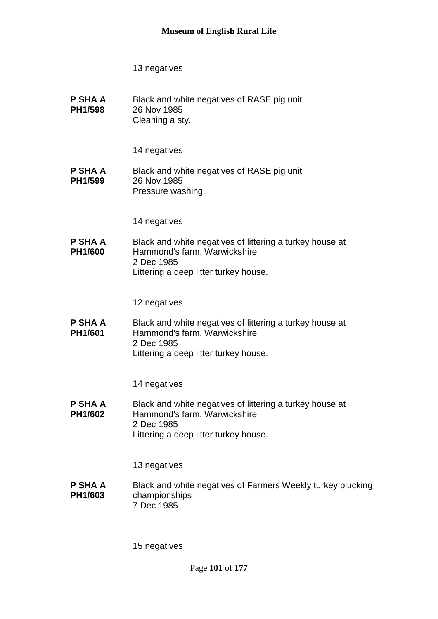**P SHA A PH1/598** Black and white negatives of RASE pig unit 26 Nov 1985 Cleaning a sty.

14 negatives

**P SHA A PH1/599** Black and white negatives of RASE pig unit 26 Nov 1985 Pressure washing.

14 negatives

**P SHA A PH1/600** Black and white negatives of littering a turkey house at Hammond's farm, Warwickshire 2 Dec 1985 Littering a deep litter turkey house.

12 negatives

**P SHA A PH1/601** Black and white negatives of littering a turkey house at Hammond's farm, Warwickshire 2 Dec 1985 Littering a deep litter turkey house.

14 negatives

**P SHA A PH1/602** Black and white negatives of littering a turkey house at Hammond's farm, Warwickshire 2 Dec 1985 Littering a deep litter turkey house.

13 negatives

**P SHA A PH1/603** Black and white negatives of Farmers Weekly turkey plucking championships 7 Dec 1985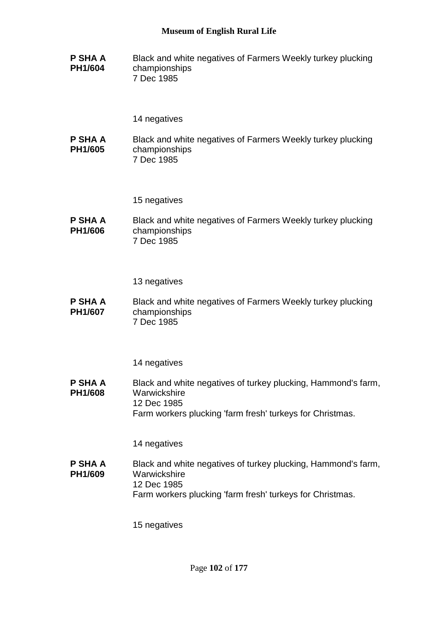**P SHA A PH1/604** Black and white negatives of Farmers Weekly turkey plucking championships 7 Dec 1985

### 14 negatives

**P SHA A PH1/605** Black and white negatives of Farmers Weekly turkey plucking championships 7 Dec 1985

15 negatives

**P SHA A PH1/606** Black and white negatives of Farmers Weekly turkey plucking championships 7 Dec 1985

13 negatives

**P SHA A PH1/607** Black and white negatives of Farmers Weekly turkey plucking championships 7 Dec 1985

14 negatives

**P SHA A PH1/608** Black and white negatives of turkey plucking, Hammond's farm, **Warwickshire** 12 Dec 1985 Farm workers plucking 'farm fresh' turkeys for Christmas.

14 negatives

**P SHA A PH1/609** Black and white negatives of turkey plucking, Hammond's farm, **Warwickshire** 12 Dec 1985 Farm workers plucking 'farm fresh' turkeys for Christmas.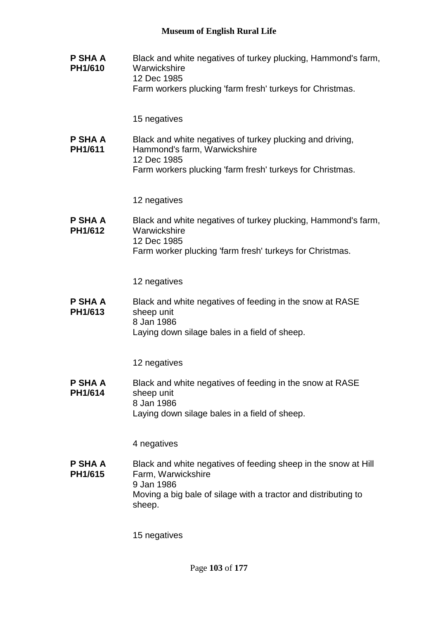**P SHA A PH1/610** Black and white negatives of turkey plucking, Hammond's farm, **Warwickshire** 12 Dec 1985 Farm workers plucking 'farm fresh' turkeys for Christmas. 15 negatives **P SHA A PH1/611** Black and white negatives of turkey plucking and driving, Hammond's farm, Warwickshire 12 Dec 1985 Farm workers plucking 'farm fresh' turkeys for Christmas. 12 negatives **P SHA A PH1/612** Black and white negatives of turkey plucking, Hammond's farm, **Warwickshire** 12 Dec 1985 Farm worker plucking 'farm fresh' turkeys for Christmas. 12 negatives **P SHA A PH1/613** Black and white negatives of feeding in the snow at RASE sheep unit 8 Jan 1986 Laying down silage bales in a field of sheep. 12 negatives **P SHA A PH1/614** Black and white negatives of feeding in the snow at RASE sheep unit 8 Jan 1986 Laying down silage bales in a field of sheep. 4 negatives **P SHA A PH1/615** Black and white negatives of feeding sheep in the snow at Hill Farm, Warwickshire 9 Jan 1986 Moving a big bale of silage with a tractor and distributing to sheep. 15 negatives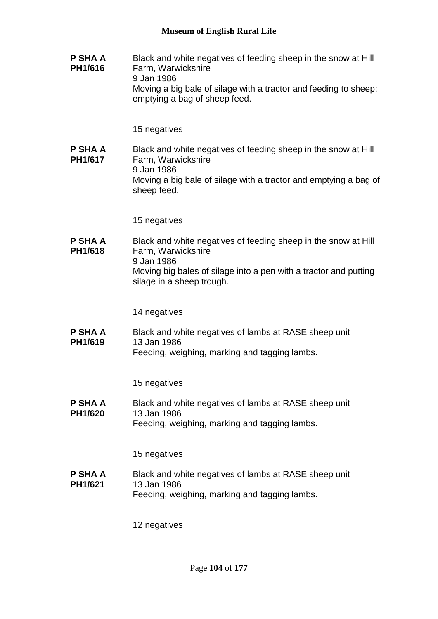**P SHA A PH1/616** Black and white negatives of feeding sheep in the snow at Hill Farm, Warwickshire 9 Jan 1986 Moving a big bale of silage with a tractor and feeding to sheep; emptying a bag of sheep feed.

15 negatives

**P SHA A PH1/617** Black and white negatives of feeding sheep in the snow at Hill Farm, Warwickshire 9 Jan 1986 Moving a big bale of silage with a tractor and emptying a bag of sheep feed.

15 negatives

**P SHA A PH1/618** Black and white negatives of feeding sheep in the snow at Hill Farm, Warwickshire 9 Jan 1986 Moving big bales of silage into a pen with a tractor and putting silage in a sheep trough.

14 negatives

**P SHA A PH1/619** Black and white negatives of lambs at RASE sheep unit 13 Jan 1986 Feeding, weighing, marking and tagging lambs.

15 negatives

**P SHA A PH1/620** Black and white negatives of lambs at RASE sheep unit 13 Jan 1986 Feeding, weighing, marking and tagging lambs.

15 negatives

**P SHA A PH1/621** Black and white negatives of lambs at RASE sheep unit 13 Jan 1986 Feeding, weighing, marking and tagging lambs.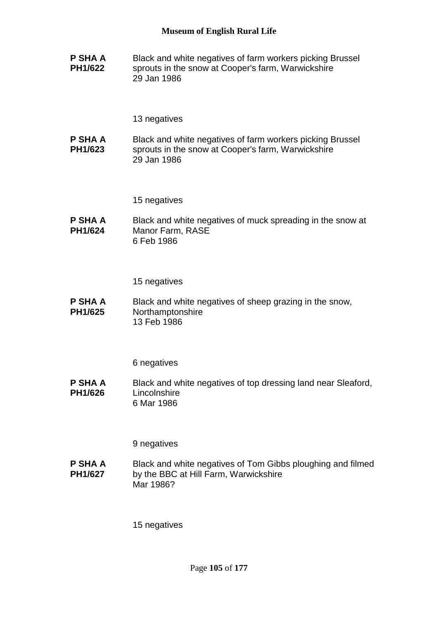**P SHA A PH1/622** Black and white negatives of farm workers picking Brussel sprouts in the snow at Cooper's farm, Warwickshire 29 Jan 1986

13 negatives

**P SHA A PH1/623** Black and white negatives of farm workers picking Brussel sprouts in the snow at Cooper's farm, Warwickshire 29 Jan 1986

15 negatives

**P SHA A PH1/624** Black and white negatives of muck spreading in the snow at Manor Farm, RASE 6 Feb 1986

15 negatives

**P SHA A PH1/625** Black and white negatives of sheep grazing in the snow, Northamptonshire 13 Feb 1986

6 negatives

**P SHA A PH1/626** Black and white negatives of top dressing land near Sleaford, **Lincolnshire** 6 Mar 1986

9 negatives

**P SHA A PH1/627** Black and white negatives of Tom Gibbs ploughing and filmed by the BBC at Hill Farm, Warwickshire Mar 1986?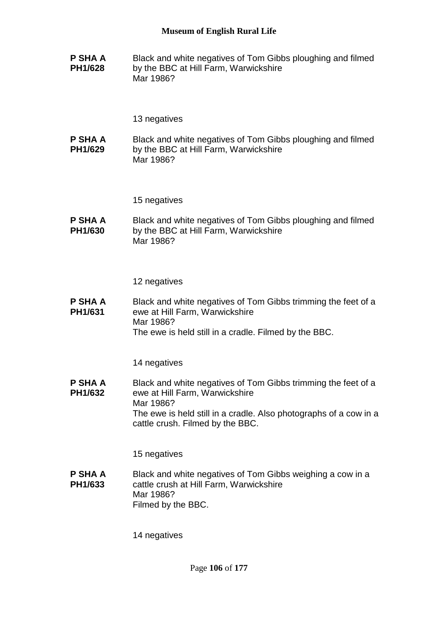**P SHA A PH1/628** Black and white negatives of Tom Gibbs ploughing and filmed by the BBC at Hill Farm, Warwickshire Mar 1986?

13 negatives

**P SHA A PH1/629** Black and white negatives of Tom Gibbs ploughing and filmed by the BBC at Hill Farm, Warwickshire Mar 1986?

15 negatives

**P SHA A PH1/630** Black and white negatives of Tom Gibbs ploughing and filmed by the BBC at Hill Farm, Warwickshire Mar 1986?

12 negatives

**P SHA A PH1/631** Black and white negatives of Tom Gibbs trimming the feet of a ewe at Hill Farm, Warwickshire Mar 1986? The ewe is held still in a cradle. Filmed by the BBC.

14 negatives

**P SHA A PH1/632** Black and white negatives of Tom Gibbs trimming the feet of a ewe at Hill Farm, Warwickshire Mar 1986? The ewe is held still in a cradle. Also photographs of a cow in a cattle crush. Filmed by the BBC.

15 negatives

**P SHA A PH1/633** Black and white negatives of Tom Gibbs weighing a cow in a cattle crush at Hill Farm, Warwickshire Mar 1986? Filmed by the BBC.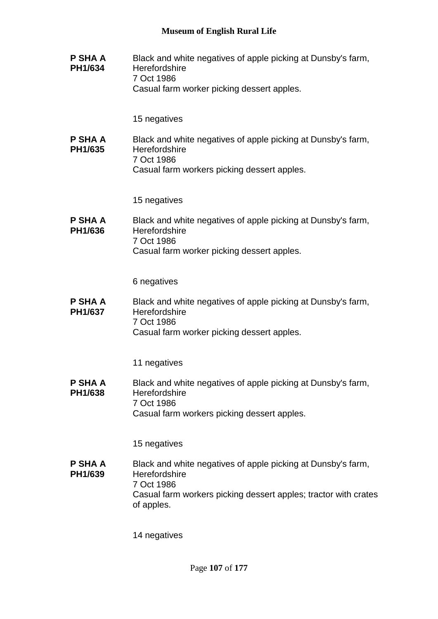| P SHA A<br>PH1/634        | Black and white negatives of apple picking at Dunsby's farm,<br>Herefordshire<br>7 Oct 1986<br>Casual farm worker picking dessert apples.                                    |
|---------------------------|------------------------------------------------------------------------------------------------------------------------------------------------------------------------------|
|                           | 15 negatives                                                                                                                                                                 |
| P SHA A<br>PH1/635        | Black and white negatives of apple picking at Dunsby's farm,<br>Herefordshire<br>7 Oct 1986<br>Casual farm workers picking dessert apples.                                   |
|                           | 15 negatives                                                                                                                                                                 |
| <b>P SHA A</b><br>PH1/636 | Black and white negatives of apple picking at Dunsby's farm,<br>Herefordshire<br>7 Oct 1986<br>Casual farm worker picking dessert apples.                                    |
|                           | 6 negatives                                                                                                                                                                  |
| P SHA A<br>PH1/637        | Black and white negatives of apple picking at Dunsby's farm,<br>Herefordshire<br>7 Oct 1986<br>Casual farm worker picking dessert apples.                                    |
|                           | 11 negatives                                                                                                                                                                 |
| P SHA A<br>PH1/638        | Black and white negatives of apple picking at Dunsby's farm,<br>Herefordshire<br>7 Oct 1986<br>Casual farm workers picking dessert apples.                                   |
|                           | 15 negatives                                                                                                                                                                 |
| P SHA A<br>PH1/639        | Black and white negatives of apple picking at Dunsby's farm,<br>Herefordshire<br>7 Oct 1986<br>Casual farm workers picking dessert apples; tractor with crates<br>of apples. |
|                           | 14 negatives                                                                                                                                                                 |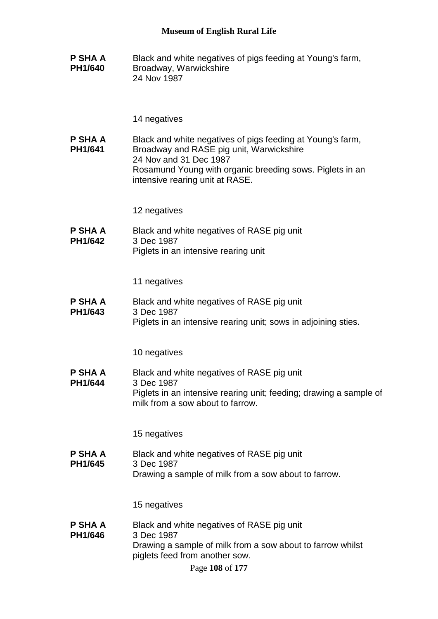**P SHA A PH1/640** Black and white negatives of pigs feeding at Young's farm, Broadway, Warwickshire 24 Nov 1987

#### 14 negatives

**P SHA A PH1/641** Black and white negatives of pigs feeding at Young's farm, Broadway and RASE pig unit, Warwickshire 24 Nov and 31 Dec 1987 Rosamund Young with organic breeding sows. Piglets in an intensive rearing unit at RASE.

12 negatives

**P SHA A PH1/642** Black and white negatives of RASE pig unit 3 Dec 1987 Piglets in an intensive rearing unit

11 negatives

**P SHA A PH1/643** Black and white negatives of RASE pig unit 3 Dec 1987 Piglets in an intensive rearing unit; sows in adjoining sties.

10 negatives

**P SHA A PH1/644** Black and white negatives of RASE pig unit 3 Dec 1987 Piglets in an intensive rearing unit; feeding; drawing a sample of milk from a sow about to farrow.

15 negatives

**P SHA A PH1/645** Black and white negatives of RASE pig unit 3 Dec 1987 Drawing a sample of milk from a sow about to farrow.

15 negatives

**P SHA A PH1/646** Black and white negatives of RASE pig unit 3 Dec 1987 Drawing a sample of milk from a sow about to farrow whilst piglets feed from another sow.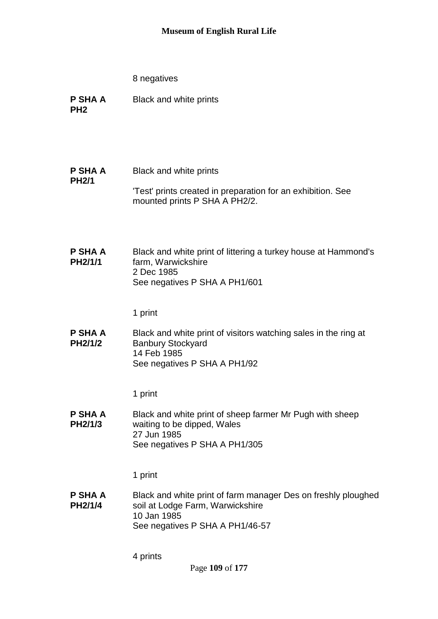- **P SHA A PH2** Black and white prints
- **P SHA A PH2/1** Black and white prints 'Test' prints created in preparation for an exhibition. See mounted prints P SHA A PH2/2.
- **P SHA A PH2/1/1** Black and white print of littering a turkey house at Hammond's farm, Warwickshire 2 Dec 1985 See negatives P SHA A PH1/601

1 print

**P SHA A PH2/1/2** Black and white print of visitors watching sales in the ring at Banbury Stockyard 14 Feb 1985 See negatives P SHA A PH1/92

1 print

**P SHA A PH2/1/3** Black and white print of sheep farmer Mr Pugh with sheep waiting to be dipped, Wales 27 Jun 1985 See negatives P SHA A PH1/305

1 print

**P SHA A PH2/1/4** Black and white print of farm manager Des on freshly ploughed soil at Lodge Farm, Warwickshire 10 Jan 1985 See negatives P SHA A PH1/46-57

4 prints

Page **109** of **177**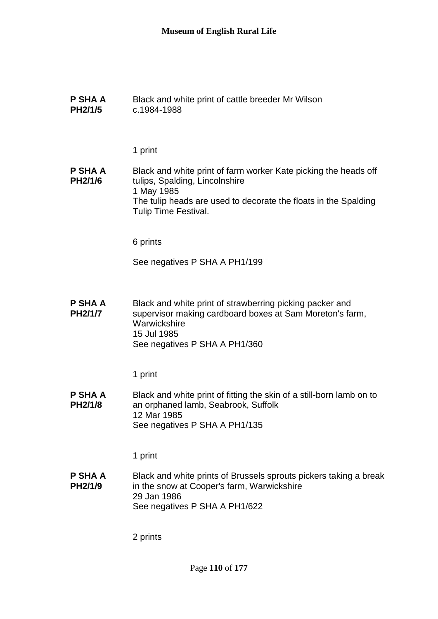| <b>P SHA A</b><br><b>PH2/1/5</b> | Black and white print of cattle breeder Mr Wilson<br>c.1984-1988                                                                                                                                           |
|----------------------------------|------------------------------------------------------------------------------------------------------------------------------------------------------------------------------------------------------------|
|                                  | 1 print                                                                                                                                                                                                    |
| P SHA A<br>PH2/1/6               | Black and white print of farm worker Kate picking the heads off<br>tulips, Spalding, Lincolnshire<br>1 May 1985<br>The tulip heads are used to decorate the floats in the Spalding<br>Tulip Time Festival. |
|                                  | 6 prints                                                                                                                                                                                                   |
|                                  | See negatives P SHA A PH1/199                                                                                                                                                                              |
| <b>P SHA A</b><br>PH2/1/7        | Black and white print of strawberring picking packer and<br>supervisor making cardboard boxes at Sam Moreton's farm,<br>Warwickshire<br>15 Jul 1985<br>See negatives P SHA A PH1/360                       |
|                                  | 1 print                                                                                                                                                                                                    |
| <b>P SHA A</b><br>PH2/1/8        | Black and white print of fitting the skin of a still-born lamb on to<br>an orphaned lamb, Seabrook, Suffolk<br>12 Mar 1985<br>See negatives P SHA A PH1/135                                                |
|                                  | 1 print                                                                                                                                                                                                    |
| <b>P SHA A</b><br>PH2/1/9        | Black and white prints of Brussels sprouts pickers taking a break<br>in the snow at Cooper's farm, Warwickshire<br>29 Jan 1986<br>See negatives P SHA A PH1/622                                            |
|                                  | 2 prints                                                                                                                                                                                                   |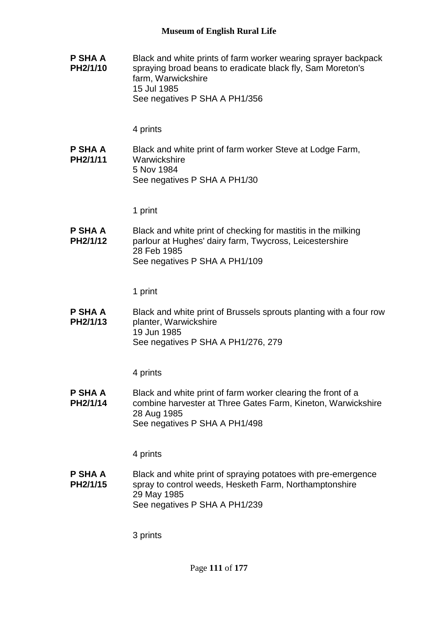**P SHA A PH2/1/10** Black and white prints of farm worker wearing sprayer backpack spraying broad beans to eradicate black fly, Sam Moreton's farm, Warwickshire 15 Jul 1985 See negatives P SHA A PH1/356

#### 4 prints

**P SHA A PH2/1/11** Black and white print of farm worker Steve at Lodge Farm, **Warwickshire** 5 Nov 1984 See negatives P SHA A PH1/30

1 print

**P SHA A PH2/1/12** Black and white print of checking for mastitis in the milking parlour at Hughes' dairy farm, Twycross, Leicestershire 28 Feb 1985 See negatives P SHA A PH1/109

1 print

**P SHA A PH2/1/13** Black and white print of Brussels sprouts planting with a four row planter, Warwickshire 19 Jun 1985 See negatives P SHA A PH1/276, 279

4 prints

**P SHA A PH2/1/14** Black and white print of farm worker clearing the front of a combine harvester at Three Gates Farm, Kineton, Warwickshire 28 Aug 1985 See negatives P SHA A PH1/498

4 prints

**P SHA A PH2/1/15** Black and white print of spraying potatoes with pre-emergence spray to control weeds, Hesketh Farm, Northamptonshire 29 May 1985 See negatives P SHA A PH1/239

3 prints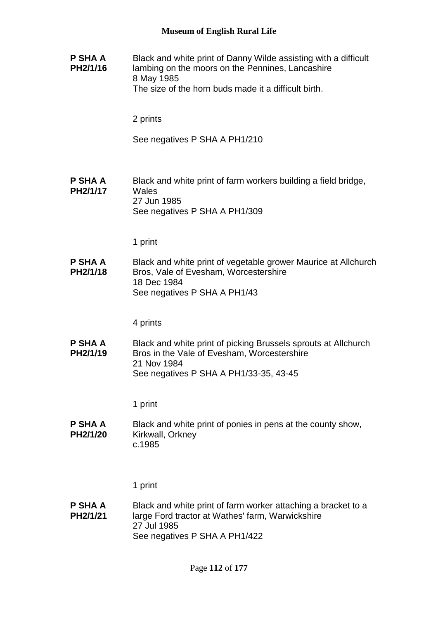| P SHA A<br>PH2/1/16        | Black and white print of Danny Wilde assisting with a difficult<br>lambing on the moors on the Pennines, Lancashire<br>8 May 1985<br>The size of the horn buds made it a difficult birth. |
|----------------------------|-------------------------------------------------------------------------------------------------------------------------------------------------------------------------------------------|
|                            | 2 prints                                                                                                                                                                                  |
|                            | See negatives P SHA A PH1/210                                                                                                                                                             |
| <b>P SHA A</b><br>PH2/1/17 | Black and white print of farm workers building a field bridge,<br>Wales<br>27 Jun 1985<br>See negatives P SHA A PH1/309                                                                   |
|                            | 1 print                                                                                                                                                                                   |
| <b>P SHA A</b><br>PH2/1/18 | Black and white print of vegetable grower Maurice at Allchurch<br>Bros, Vale of Evesham, Worcestershire<br>18 Dec 1984<br>See negatives P SHA A PH1/43                                    |
|                            | 4 prints                                                                                                                                                                                  |
| P SHA A<br>PH2/1/19        | Black and white print of picking Brussels sprouts at Allchurch<br>Bros in the Vale of Evesham, Worcestershire<br>21 Nov 1984<br>See negatives P SHA A PH1/33-35, 43-45                    |
|                            | 1 print                                                                                                                                                                                   |
| P SHA A<br>PH2/1/20        | Black and white print of ponies in pens at the county show,<br>Kirkwall, Orkney<br>c.1985                                                                                                 |
|                            | 1 print                                                                                                                                                                                   |
| P SHA A<br>PH2/1/21        | Black and white print of farm worker attaching a bracket to a<br>large Ford tractor at Wathes' farm, Warwickshire<br>27 Jul 1985<br>See negatives P SHA A PH1/422                         |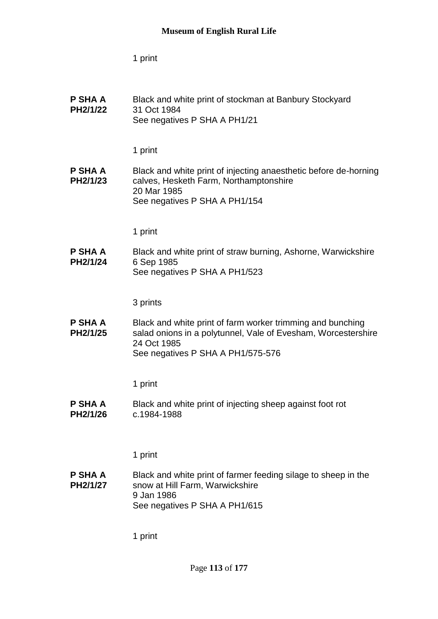1 print

| P SHA A<br>PH2/1/22        | Black and white print of stockman at Banbury Stockyard<br>31 Oct 1984<br>See negatives P SHA A PH1/21                                                                           |
|----------------------------|---------------------------------------------------------------------------------------------------------------------------------------------------------------------------------|
|                            | 1 print                                                                                                                                                                         |
| P SHA A<br>PH2/1/23        | Black and white print of injecting anaesthetic before de-horning<br>calves, Hesketh Farm, Northamptonshire<br>20 Mar 1985<br>See negatives P SHA A PH1/154                      |
|                            | 1 print                                                                                                                                                                         |
| <b>P SHA A</b><br>PH2/1/24 | Black and white print of straw burning, Ashorne, Warwickshire<br>6 Sep 1985<br>See negatives P SHA A PH1/523                                                                    |
|                            | 3 prints                                                                                                                                                                        |
| P SHA A<br>PH2/1/25        | Black and white print of farm worker trimming and bunching<br>salad onions in a polytunnel, Vale of Evesham, Worcestershire<br>24 Oct 1985<br>See negatives P SHA A PH1/575-576 |
|                            | 1 print                                                                                                                                                                         |
| <b>P SHA A</b><br>PH2/1/26 | Black and white print of injecting sheep against foot rot<br>c.1984-1988                                                                                                        |
|                            | 1 print                                                                                                                                                                         |
| P SHA A<br>PH2/1/27        | Black and white print of farmer feeding silage to sheep in the<br>snow at Hill Farm, Warwickshire<br>9 Jan 1986<br>See negatives P SHA A PH1/615                                |
|                            | 1 print                                                                                                                                                                         |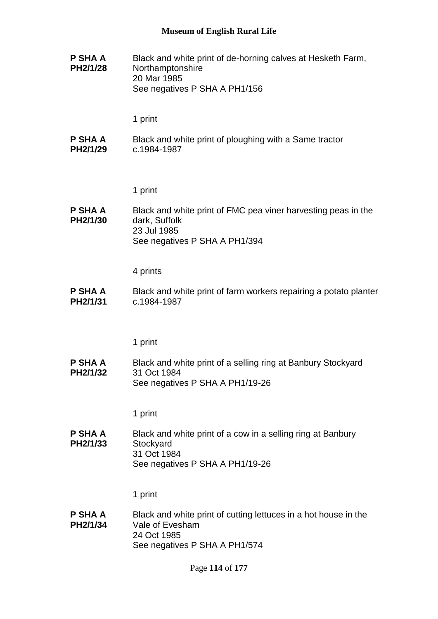**P SHA A PH2/1/28** Black and white print of de-horning calves at Hesketh Farm, Northamptonshire 20 Mar 1985 See negatives P SHA A PH1/156

1 print

**P SHA A PH2/1/29** Black and white print of ploughing with a Same tractor c.1984-1987

1 print

**P SHA A PH2/1/30** Black and white print of FMC pea viner harvesting peas in the dark, Suffolk 23 Jul 1985 See negatives P SHA A PH1/394

4 prints

**P SHA A PH2/1/31** Black and white print of farm workers repairing a potato planter c.1984-1987

1 print

**P SHA A PH2/1/32** Black and white print of a selling ring at Banbury Stockyard 31 Oct 1984 See negatives P SHA A PH1/19-26

1 print

**P SHA A PH2/1/33** Black and white print of a cow in a selling ring at Banbury **Stockyard** 31 Oct 1984 See negatives P SHA A PH1/19-26

1 print

**P SHA A PH2/1/34** Black and white print of cutting lettuces in a hot house in the Vale of Evesham 24 Oct 1985 See negatives P SHA A PH1/574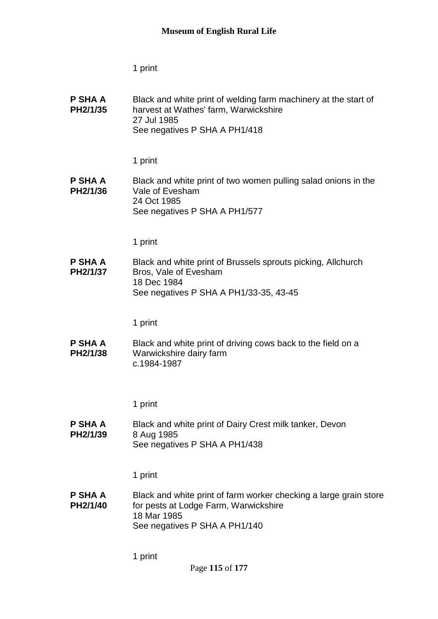1 print

| P SHA A<br>PH2/1/35        | Black and white print of welding farm machinery at the start of<br>harvest at Wathes' farm, Warwickshire<br>27 Jul 1985<br>See negatives P SHA A PH1/418   |
|----------------------------|------------------------------------------------------------------------------------------------------------------------------------------------------------|
|                            | 1 print                                                                                                                                                    |
| <b>P SHA A</b><br>PH2/1/36 | Black and white print of two women pulling salad onions in the<br>Vale of Evesham<br>24 Oct 1985<br>See negatives P SHA A PH1/577                          |
|                            | 1 print                                                                                                                                                    |
| P SHA A<br>PH2/1/37        | Black and white print of Brussels sprouts picking, Allchurch<br>Bros, Vale of Evesham<br>18 Dec 1984<br>See negatives P SHA A PH1/33-35, 43-45             |
|                            | 1 print                                                                                                                                                    |
| P SHA A<br>PH2/1/38        | Black and white print of driving cows back to the field on a<br>Warwickshire dairy farm<br>c.1984-1987                                                     |
|                            | 1 print                                                                                                                                                    |
| P SHA A<br>PH2/1/39        | Black and white print of Dairy Crest milk tanker, Devon<br>8 Aug 1985<br>See negatives P SHA A PH1/438                                                     |
|                            | 1 print                                                                                                                                                    |
| <b>P SHA A</b><br>PH2/1/40 | Black and white print of farm worker checking a large grain store<br>for pests at Lodge Farm, Warwickshire<br>18 Mar 1985<br>See negatives P SHA A PH1/140 |
|                            | 1 print                                                                                                                                                    |

Page **115** of **177**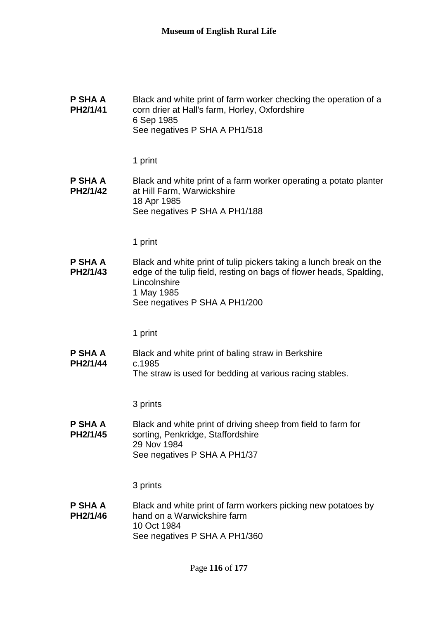| P SHA A<br>PH2/1/41        | Black and white print of farm worker checking the operation of a<br>corn drier at Hall's farm, Horley, Oxfordshire<br>6 Sep 1985<br>See negatives P SHA A PH1/518                                        |
|----------------------------|----------------------------------------------------------------------------------------------------------------------------------------------------------------------------------------------------------|
|                            | 1 print                                                                                                                                                                                                  |
| <b>P SHA A</b><br>PH2/1/42 | Black and white print of a farm worker operating a potato planter<br>at Hill Farm, Warwickshire<br>18 Apr 1985<br>See negatives P SHA A PH1/188                                                          |
|                            | 1 print                                                                                                                                                                                                  |
| P SHA A<br>PH2/1/43        | Black and white print of tulip pickers taking a lunch break on the<br>edge of the tulip field, resting on bags of flower heads, Spalding,<br>Lincolnshire<br>1 May 1985<br>See negatives P SHA A PH1/200 |
|                            | 1 print                                                                                                                                                                                                  |
| P SHA A<br>PH2/1/44        | Black and white print of baling straw in Berkshire<br>c.1985<br>The straw is used for bedding at various racing stables.                                                                                 |
|                            | 3 prints                                                                                                                                                                                                 |
| P SHA A<br>PH2/1/45        | Black and white print of driving sheep from field to farm for<br>sorting, Penkridge, Staffordshire<br>29 Nov 1984<br>See negatives P SHA A PH1/37                                                        |
|                            | 3 prints                                                                                                                                                                                                 |
| <b>P SHA A</b><br>PH2/1/46 | Black and white print of farm workers picking new potatoes by<br>hand on a Warwickshire farm<br>10 Oct 1984<br>See negatives P SHA A PH1/360                                                             |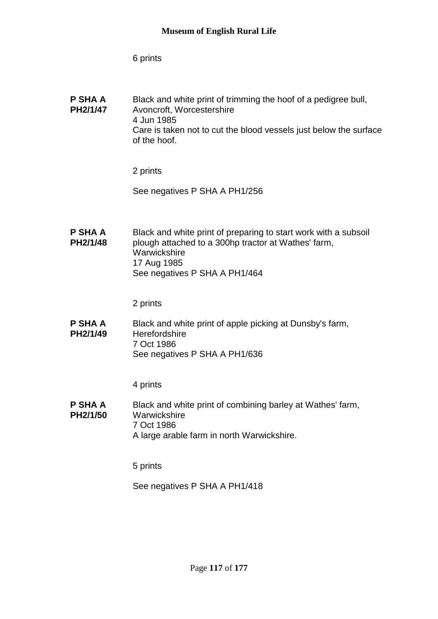6 prints

| P SHA A<br>PH2/1/47 | Black and white print of trimming the hoof of a pedigree bull,<br>Avoncroft, Worcestershire<br>4 Jun 1985<br>Care is taken not to cut the blood vessels just below the surface<br>of the hoof. |
|---------------------|------------------------------------------------------------------------------------------------------------------------------------------------------------------------------------------------|
|                     |                                                                                                                                                                                                |

2 prints

See negatives P SHA A PH1/256

**P SHA A PH2/1/48** Black and white print of preparing to start work with a subsoil plough attached to a 300hp tractor at Wathes' farm, Warwickshire 17 Aug 1985 See negatives P SHA A PH1/464

2 prints

**P SHA A PH2/1/49** Black and white print of apple picking at Dunsby's farm, **Herefordshire** 7 Oct 1986 See negatives P SHA A PH1/636

4 prints

**P SHA A PH2/1/50** Black and white print of combining barley at Wathes' farm, **Warwickshire** 7 Oct 1986 A large arable farm in north Warwickshire.

5 prints

See negatives P SHA A PH1/418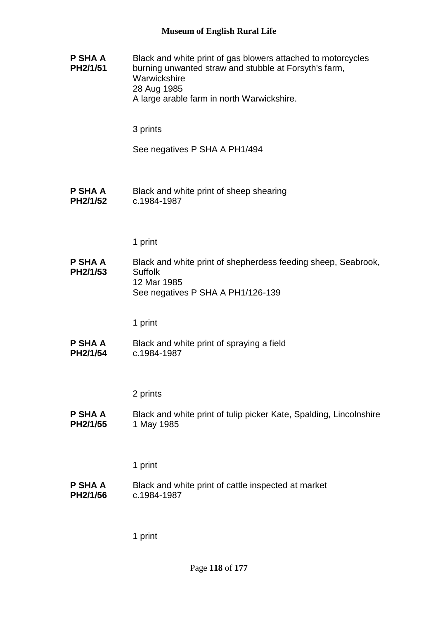**P SHA A PH2/1/51** Black and white print of gas blowers attached to motorcycles burning unwanted straw and stubble at Forsyth's farm, **Warwickshire** 28 Aug 1985 A large arable farm in north Warwickshire. 3 prints See negatives P SHA A PH1/494 **P SHA A PH2/1/52** Black and white print of sheep shearing c.1984-1987 1 print **P SHA A PH2/1/53** Black and white print of shepherdess feeding sheep, Seabrook, Suffolk 12 Mar 1985 See negatives P SHA A PH1/126-139 1 print **P SHA A PH2/1/54** Black and white print of spraying a field c.1984-1987 2 prints **P SHA A PH2/1/55** Black and white print of tulip picker Kate, Spalding, Lincolnshire 1 May 1985 1 print **P SHA A PH2/1/56** Black and white print of cattle inspected at market c.1984-1987 1 print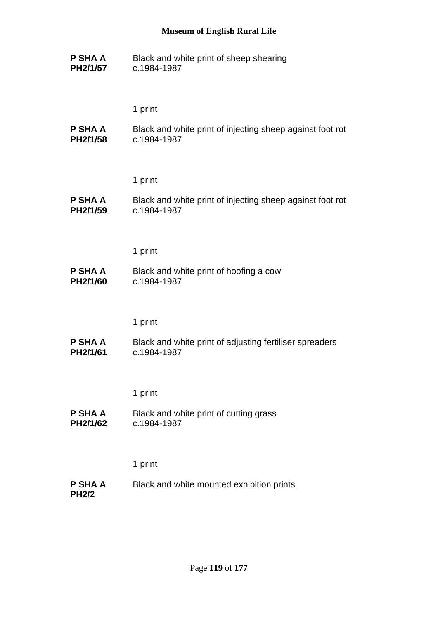**P SHA A PH2/1/57** Black and white print of sheep shearing c.1984-1987

1 print

**P SHA A PH2/1/58** Black and white print of injecting sheep against foot rot c.1984-1987

1 print

**P SHA A PH2/1/59** Black and white print of injecting sheep against foot rot c.1984-1987

1 print

**P SHA A PH2/1/60** Black and white print of hoofing a cow c.1984-1987

1 print

**P SHA A PH2/1/61** Black and white print of adjusting fertiliser spreaders c.1984-1987

1 print

**P SHA A PH2/1/62** Black and white print of cutting grass c.1984-1987

1 print

**P SHA A PH2/2** Black and white mounted exhibition prints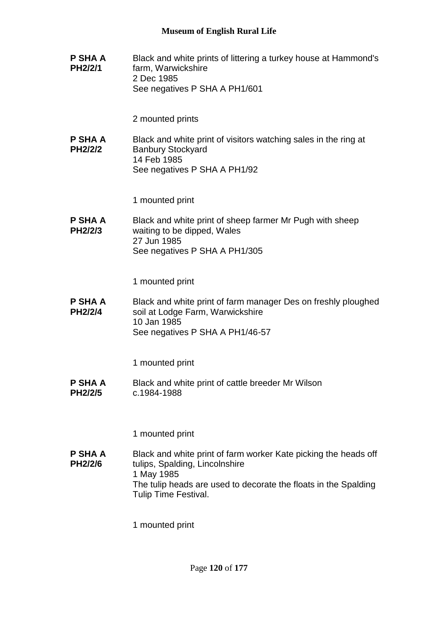**P SHA A PH2/2/1** Black and white prints of littering a turkey house at Hammond's farm, Warwickshire 2 Dec 1985 See negatives P SHA A PH1/601

2 mounted prints

**P SHA A PH2/2/2** Black and white print of visitors watching sales in the ring at Banbury Stockyard 14 Feb 1985 See negatives P SHA A PH1/92

1 mounted print

**P SHA A PH2/2/3** Black and white print of sheep farmer Mr Pugh with sheep waiting to be dipped, Wales 27 Jun 1985 See negatives P SHA A PH1/305

1 mounted print

**P SHA A PH2/2/4** Black and white print of farm manager Des on freshly ploughed soil at Lodge Farm, Warwickshire 10 Jan 1985 See negatives P SHA A PH1/46-57

1 mounted print

**P SHA A PH2/2/5** Black and white print of cattle breeder Mr Wilson c.1984-1988

1 mounted print

**P SHA A PH2/2/6** Black and white print of farm worker Kate picking the heads off tulips, Spalding, Lincolnshire 1 May 1985 The tulip heads are used to decorate the floats in the Spalding Tulip Time Festival.

1 mounted print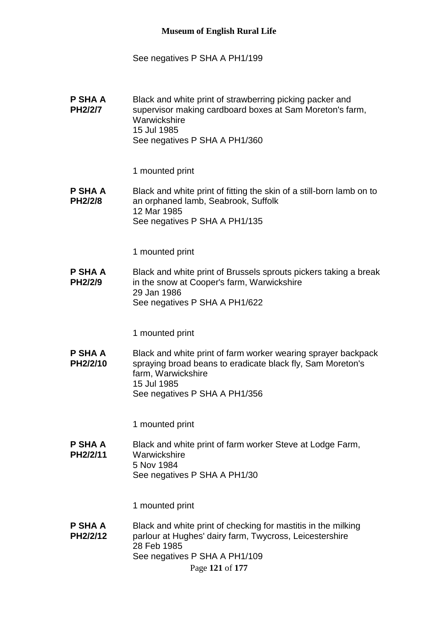#### See negatives P SHA A PH1/199

**P SHA A PH2/2/7** Black and white print of strawberring picking packer and supervisor making cardboard boxes at Sam Moreton's farm, **Warwickshire** 15 Jul 1985 See negatives P SHA A PH1/360

1 mounted print

**P SHA A PH2/2/8** Black and white print of fitting the skin of a still-born lamb on to an orphaned lamb, Seabrook, Suffolk 12 Mar 1985 See negatives P SHA A PH1/135

1 mounted print

**P SHA A PH2/2/9** Black and white print of Brussels sprouts pickers taking a break in the snow at Cooper's farm, Warwickshire 29 Jan 1986 See negatives P SHA A PH1/622

1 mounted print

**P SHA A PH2/2/10** Black and white print of farm worker wearing sprayer backpack spraying broad beans to eradicate black fly, Sam Moreton's farm, Warwickshire 15 Jul 1985 See negatives P SHA A PH1/356

1 mounted print

**P SHA A PH2/2/11** Black and white print of farm worker Steve at Lodge Farm, **Warwickshire** 5 Nov 1984 See negatives P SHA A PH1/30

1 mounted print

Page **121** of **177 P SHA A PH2/2/12** Black and white print of checking for mastitis in the milking parlour at Hughes' dairy farm, Twycross, Leicestershire 28 Feb 1985 See negatives P SHA A PH1/109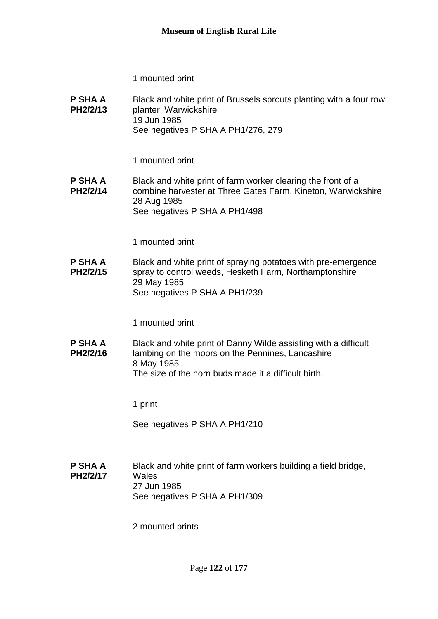1 mounted print

**P SHA A PH2/2/13** Black and white print of Brussels sprouts planting with a four row planter, Warwickshire 19 Jun 1985 See negatives P SHA A PH1/276, 279

1 mounted print

**P SHA A PH2/2/14** Black and white print of farm worker clearing the front of a combine harvester at Three Gates Farm, Kineton, Warwickshire 28 Aug 1985 See negatives P SHA A PH1/498

1 mounted print

**P SHA A PH2/2/15** Black and white print of spraying potatoes with pre-emergence spray to control weeds, Hesketh Farm, Northamptonshire 29 May 1985 See negatives P SHA A PH1/239

1 mounted print

**P SHA A PH2/2/16** Black and white print of Danny Wilde assisting with a difficult lambing on the moors on the Pennines, Lancashire 8 May 1985 The size of the horn buds made it a difficult birth.

1 print

See negatives P SHA A PH1/210

**P SHA A PH2/2/17** Black and white print of farm workers building a field bridge, **Wales** 27 Jun 1985 See negatives P SHA A PH1/309

2 mounted prints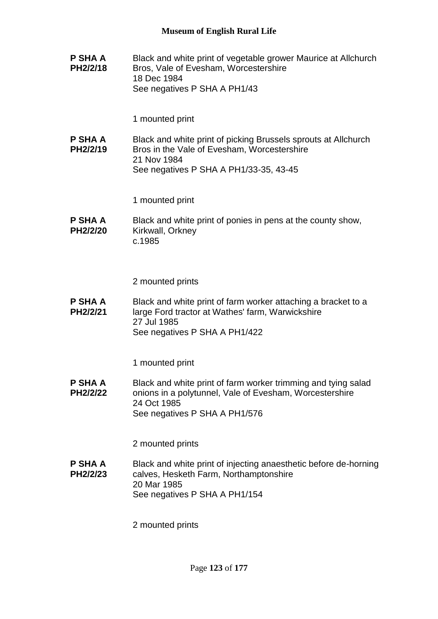**P SHA A PH2/2/18** Black and white print of vegetable grower Maurice at Allchurch Bros, Vale of Evesham, Worcestershire 18 Dec 1984 See negatives P SHA A PH1/43

1 mounted print

**P SHA A PH2/2/19** Black and white print of picking Brussels sprouts at Allchurch Bros in the Vale of Evesham, Worcestershire 21 Nov 1984 See negatives P SHA A PH1/33-35, 43-45

1 mounted print

**P SHA A PH2/2/20** Black and white print of ponies in pens at the county show, Kirkwall, Orkney c.1985

2 mounted prints

**P SHA A PH2/2/21** Black and white print of farm worker attaching a bracket to a large Ford tractor at Wathes' farm, Warwickshire 27 Jul 1985 See negatives P SHA A PH1/422

1 mounted print

**P SHA A PH2/2/22** Black and white print of farm worker trimming and tying salad onions in a polytunnel, Vale of Evesham, Worcestershire 24 Oct 1985 See negatives P SHA A PH1/576

2 mounted prints

**P SHA A PH2/2/23** Black and white print of injecting anaesthetic before de-horning calves, Hesketh Farm, Northamptonshire 20 Mar 1985 See negatives P SHA A PH1/154

2 mounted prints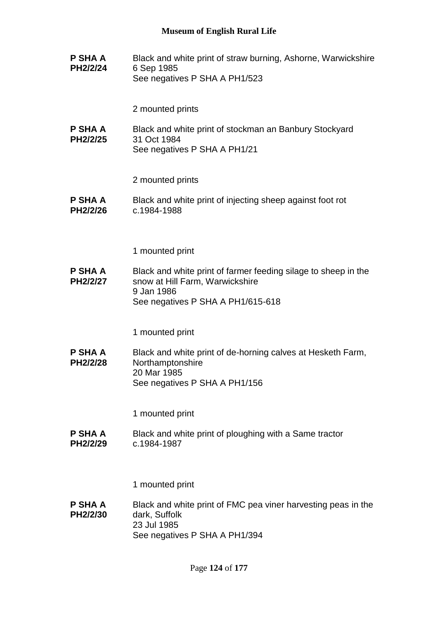**P SHA A PH2/2/24** Black and white print of straw burning, Ashorne, Warwickshire 6 Sep 1985 See negatives P SHA A PH1/523

2 mounted prints

**P SHA A PH2/2/25** Black and white print of stockman an Banbury Stockyard 31 Oct 1984 See negatives P SHA A PH1/21

2 mounted prints

**P SHA A PH2/2/26** Black and white print of injecting sheep against foot rot c.1984-1988

1 mounted print

**P SHA A PH2/2/27** Black and white print of farmer feeding silage to sheep in the snow at Hill Farm, Warwickshire 9 Jan 1986 See negatives P SHA A PH1/615-618

1 mounted print

**P SHA A PH2/2/28** Black and white print of de-horning calves at Hesketh Farm, Northamptonshire 20 Mar 1985 See negatives P SHA A PH1/156

1 mounted print

**P SHA A PH2/2/29** Black and white print of ploughing with a Same tractor c.1984-1987

1 mounted print

**P SHA A PH2/2/30** Black and white print of FMC pea viner harvesting peas in the dark, Suffolk 23 Jul 1985 See negatives P SHA A PH1/394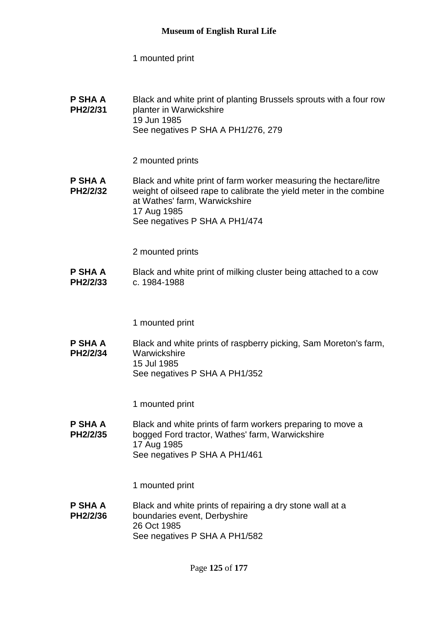1 mounted print

**P SHA A PH2/2/31** Black and white print of planting Brussels sprouts with a four row planter in Warwickshire 19 Jun 1985 See negatives P SHA A PH1/276, 279

2 mounted prints

**P SHA A PH2/2/32** Black and white print of farm worker measuring the hectare/litre weight of oilseed rape to calibrate the yield meter in the combine at Wathes' farm, Warwickshire 17 Aug 1985 See negatives P SHA A PH1/474

2 mounted prints

**P SHA A PH2/2/33** Black and white print of milking cluster being attached to a cow c. 1984-1988

1 mounted print

**P SHA A PH2/2/34** Black and white prints of raspberry picking, Sam Moreton's farm, **Warwickshire** 15 Jul 1985 See negatives P SHA A PH1/352

1 mounted print

**P SHA A PH2/2/35** Black and white prints of farm workers preparing to move a bogged Ford tractor, Wathes' farm, Warwickshire 17 Aug 1985 See negatives P SHA A PH1/461

1 mounted print

**P SHA A PH2/2/36** Black and white prints of repairing a dry stone wall at a boundaries event, Derbyshire 26 Oct 1985 See negatives P SHA A PH1/582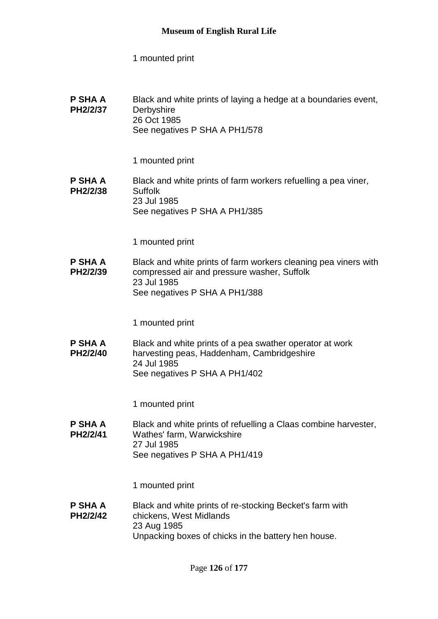1 mounted print

| P SHA A  | Black and white prints of laying a hedge at a boundaries event, |
|----------|-----------------------------------------------------------------|
| PH2/2/37 | Derbyshire                                                      |
|          | 26 Oct 1985<br>See negatives P SHA A PH1/578                    |

1 mounted print

#### **P SHA A PH2/2/38** Black and white prints of farm workers refuelling a pea viner, Suffolk 23 Jul 1985 See negatives P SHA A PH1/385

1 mounted print

**P SHA A PH2/2/39** Black and white prints of farm workers cleaning pea viners with compressed air and pressure washer, Suffolk 23 Jul 1985 See negatives P SHA A PH1/388

1 mounted print

**P SHA A PH2/2/40** Black and white prints of a pea swather operator at work harvesting peas, Haddenham, Cambridgeshire 24 Jul 1985 See negatives P SHA A PH1/402

1 mounted print

**P SHA A PH2/2/41** Black and white prints of refuelling a Claas combine harvester, Wathes' farm, Warwickshire 27 Jul 1985 See negatives P SHA A PH1/419

1 mounted print

**P SHA A PH2/2/42** Black and white prints of re-stocking Becket's farm with chickens, West Midlands 23 Aug 1985 Unpacking boxes of chicks in the battery hen house.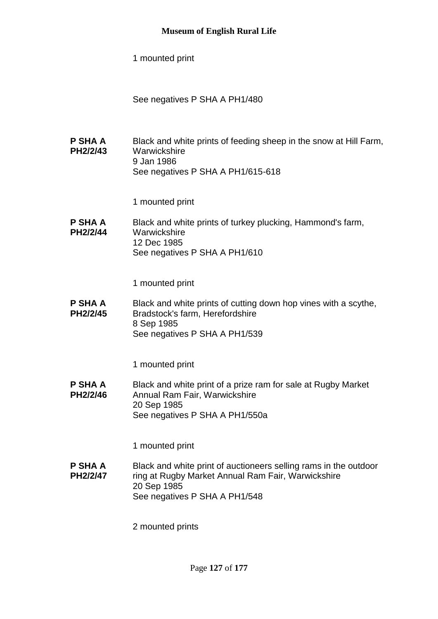1 mounted print

See negatives P SHA A PH1/480

**P SHA A PH2/2/43** Black and white prints of feeding sheep in the snow at Hill Farm, **Warwickshire** 9 Jan 1986 See negatives P SHA A PH1/615-618

1 mounted print

**P SHA A PH2/2/44** Black and white prints of turkey plucking, Hammond's farm, **Warwickshire** 12 Dec 1985 See negatives P SHA A PH1/610

1 mounted print

**P SHA A PH2/2/45** Black and white prints of cutting down hop vines with a scythe, Bradstock's farm, Herefordshire 8 Sep 1985 See negatives P SHA A PH1/539

1 mounted print

**P SHA A PH2/2/46** Black and white print of a prize ram for sale at Rugby Market Annual Ram Fair, Warwickshire 20 Sep 1985 See negatives P SHA A PH1/550a

1 mounted print

**P SHA A PH2/2/47** Black and white print of auctioneers selling rams in the outdoor ring at Rugby Market Annual Ram Fair, Warwickshire 20 Sep 1985 See negatives P SHA A PH1/548

2 mounted prints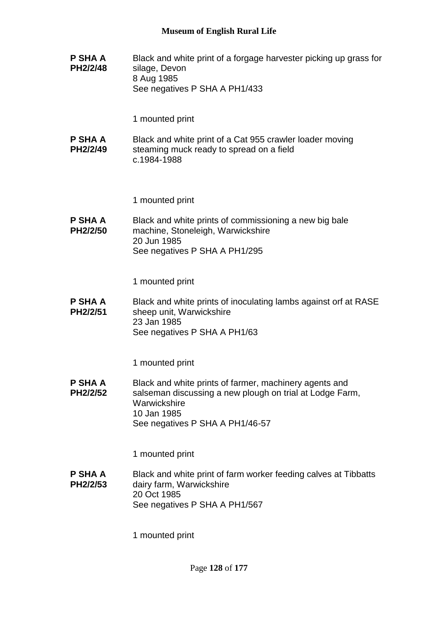**P SHA A PH2/2/48** Black and white print of a forgage harvester picking up grass for silage, Devon 8 Aug 1985 See negatives P SHA A PH1/433

1 mounted print

**P SHA A PH2/2/49** Black and white print of a Cat 955 crawler loader moving steaming muck ready to spread on a field c.1984-1988

1 mounted print

**P SHA A PH2/2/50** Black and white prints of commissioning a new big bale machine, Stoneleigh, Warwickshire 20 Jun 1985 See negatives P SHA A PH1/295

1 mounted print

**P SHA A PH2/2/51** Black and white prints of inoculating lambs against orf at RASE sheep unit, Warwickshire 23 Jan 1985 See negatives P SHA A PH1/63

1 mounted print

**P SHA A PH2/2/52** Black and white prints of farmer, machinery agents and salseman discussing a new plough on trial at Lodge Farm, **Warwickshire** 10 Jan 1985 See negatives P SHA A PH1/46-57

1 mounted print

**P SHA A PH2/2/53** Black and white print of farm worker feeding calves at Tibbatts dairy farm, Warwickshire 20 Oct 1985 See negatives P SHA A PH1/567

1 mounted print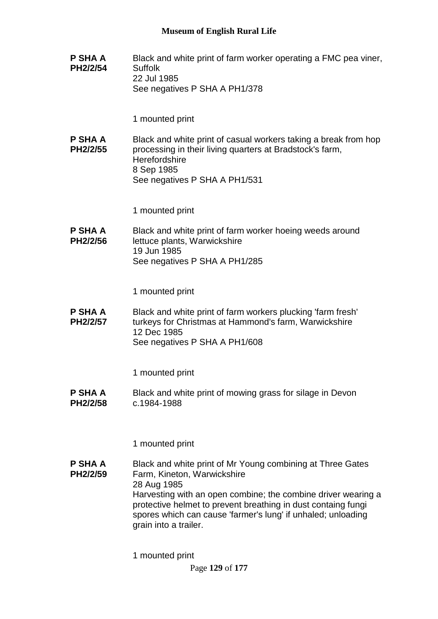**P SHA A PH2/2/54** Black and white print of farm worker operating a FMC pea viner, **Suffolk** 22 Jul 1985 See negatives P SHA A PH1/378

1 mounted print

**P SHA A PH2/2/55** Black and white print of casual workers taking a break from hop processing in their living quarters at Bradstock's farm, **Herefordshire** 8 Sep 1985 See negatives P SHA A PH1/531

1 mounted print

**P SHA A PH2/2/56** Black and white print of farm worker hoeing weeds around lettuce plants, Warwickshire 19 Jun 1985 See negatives P SHA A PH1/285

1 mounted print

**P SHA A PH2/2/57** Black and white print of farm workers plucking 'farm fresh' turkeys for Christmas at Hammond's farm, Warwickshire 12 Dec 1985 See negatives P SHA A PH1/608

1 mounted print

**P SHA A PH2/2/58** Black and white print of mowing grass for silage in Devon c.1984-1988

1 mounted print

**P SHA A PH2/2/59** Black and white print of Mr Young combining at Three Gates Farm, Kineton, Warwickshire 28 Aug 1985 Harvesting with an open combine; the combine driver wearing a protective helmet to prevent breathing in dust containg fungi spores which can cause 'farmer's lung' if unhaled; unloading grain into a trailer.

1 mounted print

Page **129** of **177**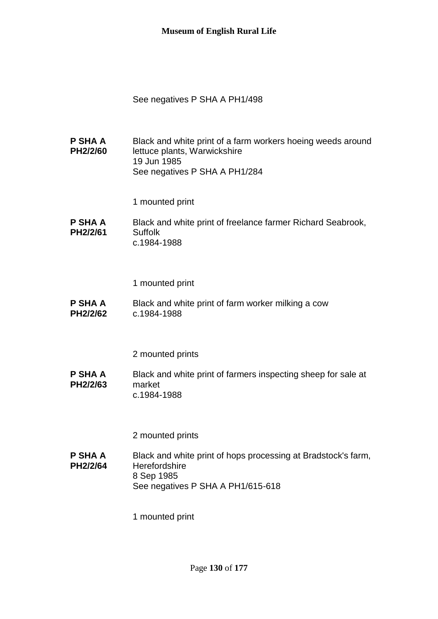See negatives P SHA A PH1/498

**P SHA A PH2/2/60** Black and white print of a farm workers hoeing weeds around lettuce plants, Warwickshire 19 Jun 1985 See negatives P SHA A PH1/284

1 mounted print

**P SHA A PH2/2/61** Black and white print of freelance farmer Richard Seabrook, Suffolk c.1984-1988

1 mounted print

**P SHA A PH2/2/62** Black and white print of farm worker milking a cow c.1984-1988

2 mounted prints

**P SHA A PH2/2/63** Black and white print of farmers inspecting sheep for sale at market c.1984-1988

2 mounted prints

**P SHA A PH2/2/64** Black and white print of hops processing at Bradstock's farm, **Herefordshire** 8 Sep 1985 See negatives P SHA A PH1/615-618

1 mounted print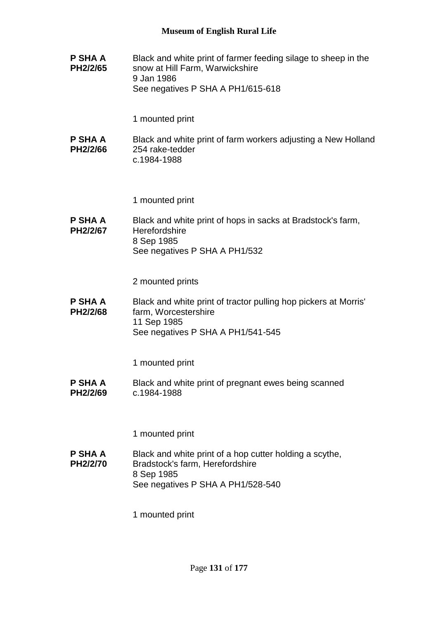**P SHA A PH2/2/65** Black and white print of farmer feeding silage to sheep in the snow at Hill Farm, Warwickshire 9 Jan 1986 See negatives P SHA A PH1/615-618

1 mounted print

**P SHA A PH2/2/66** Black and white print of farm workers adjusting a New Holland 254 rake-tedder c.1984-1988

1 mounted print

**P SHA A PH2/2/67** Black and white print of hops in sacks at Bradstock's farm, **Herefordshire** 8 Sep 1985 See negatives P SHA A PH1/532

2 mounted prints

**P SHA A PH2/2/68** Black and white print of tractor pulling hop pickers at Morris' farm, Worcestershire 11 Sep 1985 See negatives P SHA A PH1/541-545

1 mounted print

**P SHA A PH2/2/69** Black and white print of pregnant ewes being scanned c.1984-1988

1 mounted print

**P SHA A PH2/2/70** Black and white print of a hop cutter holding a scythe, Bradstock's farm, Herefordshire 8 Sep 1985 See negatives P SHA A PH1/528-540

1 mounted print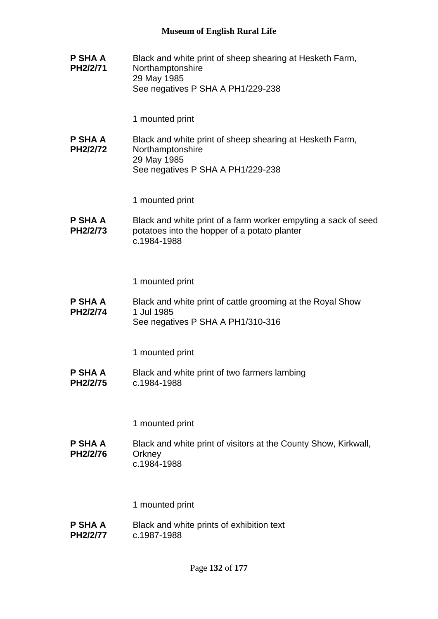**P SHA A PH2/2/71** Black and white print of sheep shearing at Hesketh Farm, Northamptonshire 29 May 1985 See negatives P SHA A PH1/229-238

1 mounted print

**P SHA A PH2/2/72** Black and white print of sheep shearing at Hesketh Farm, Northamptonshire 29 May 1985 See negatives P SHA A PH1/229-238

1 mounted print

**P SHA A PH2/2/73** Black and white print of a farm worker empyting a sack of seed potatoes into the hopper of a potato planter c.1984-1988

1 mounted print

**P SHA A PH2/2/74** Black and white print of cattle grooming at the Royal Show 1 Jul 1985 See negatives P SHA A PH1/310-316

1 mounted print

**P SHA A PH2/2/75** Black and white print of two farmers lambing c.1984-1988

1 mounted print

**P SHA A PH2/2/76** Black and white print of visitors at the County Show, Kirkwall, **Orkney** c.1984-1988

1 mounted print

**P SHA A PH2/2/77** Black and white prints of exhibition text c.1987-1988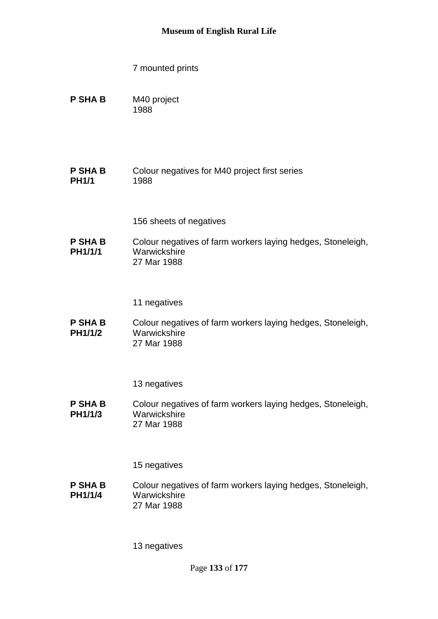- 7 mounted prints
- **P SHA B** M40 project 1988
- **P SHA B PH1/1** Colour negatives for M40 project first series 1988
	- 156 sheets of negatives
- **P SHA B PH1/1/1** Colour negatives of farm workers laying hedges, Stoneleigh, Warwickshire 27 Mar 1988
	- 11 negatives
- **P SHA B PH1/1/2** Colour negatives of farm workers laying hedges, Stoneleigh, Warwickshire 27 Mar 1988

**P SHA B PH1/1/3** Colour negatives of farm workers laying hedges, Stoneleigh, Warwickshire 27 Mar 1988

15 negatives

**P SHA B PH1/1/4** Colour negatives of farm workers laying hedges, Stoneleigh, **Warwickshire** 27 Mar 1988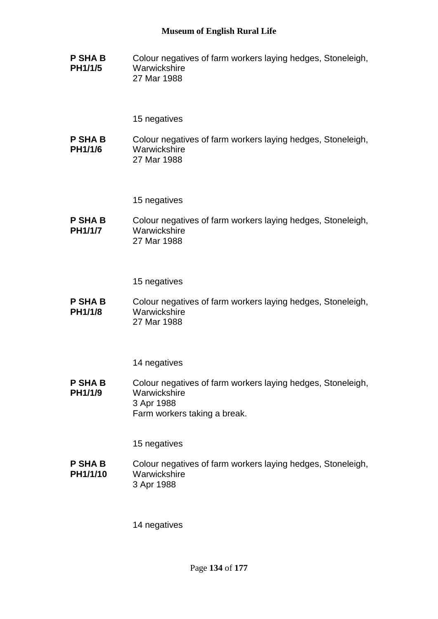**P SHA B PH1/1/5** Colour negatives of farm workers laying hedges, Stoneleigh, **Warwickshire** 27 Mar 1988

#### 15 negatives

**P SHA B PH1/1/6** Colour negatives of farm workers laying hedges, Stoneleigh, **Warwickshire** 27 Mar 1988

15 negatives

**P SHA B PH1/1/7** Colour negatives of farm workers laying hedges, Stoneleigh, **Warwickshire** 27 Mar 1988

15 negatives

**P SHA B PH1/1/8** Colour negatives of farm workers laying hedges, Stoneleigh, **Warwickshire** 27 Mar 1988

14 negatives

**P SHA B PH1/1/9** Colour negatives of farm workers laying hedges, Stoneleigh, **Warwickshire** 3 Apr 1988 Farm workers taking a break.

15 negatives

**P SHA B PH1/1/10** Colour negatives of farm workers laying hedges, Stoneleigh, **Warwickshire** 3 Apr 1988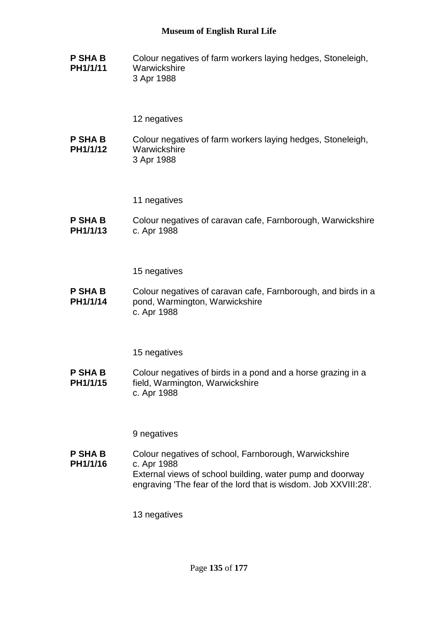**P SHA B PH1/1/11** Colour negatives of farm workers laying hedges, Stoneleigh, **Warwickshire** 3 Apr 1988

# 12 negatives

- **P SHA B PH1/1/12** Colour negatives of farm workers laying hedges, Stoneleigh, **Warwickshire** 3 Apr 1988
	- 11 negatives
- **P SHA B PH1/1/13** Colour negatives of caravan cafe, Farnborough, Warwickshire c. Apr 1988

15 negatives

**P SHA B PH1/1/14** Colour negatives of caravan cafe, Farnborough, and birds in a pond, Warmington, Warwickshire c. Apr 1988

15 negatives

**P SHA B PH1/1/15** Colour negatives of birds in a pond and a horse grazing in a field, Warmington, Warwickshire c. Apr 1988

9 negatives

**P SHA B PH1/1/16** Colour negatives of school, Farnborough, Warwickshire c. Apr 1988 External views of school building, water pump and doorway engraving 'The fear of the lord that is wisdom. Job XXVIII:28'.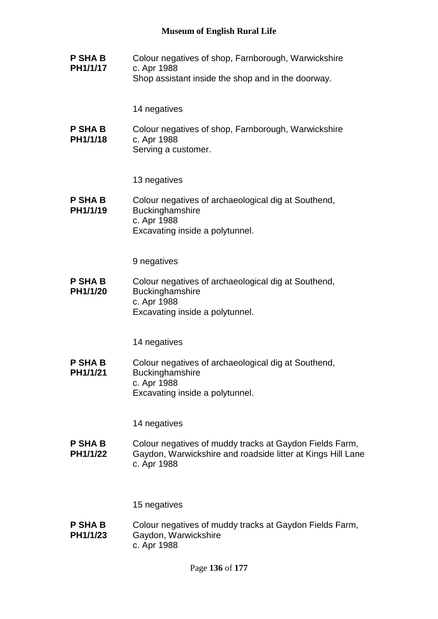**P SHA B PH1/1/17** Colour negatives of shop, Farnborough, Warwickshire c. Apr 1988 Shop assistant inside the shop and in the doorway.

14 negatives

**P SHA B PH1/1/18** Colour negatives of shop, Farnborough, Warwickshire c. Apr 1988 Serving a customer.

13 negatives

**P SHA B PH1/1/19** Colour negatives of archaeological dig at Southend, **Buckinghamshire** c. Apr 1988 Excavating inside a polytunnel.

9 negatives

**P SHA B PH1/1/20** Colour negatives of archaeological dig at Southend, **Buckinghamshire** c. Apr 1988 Excavating inside a polytunnel.

14 negatives

**P SHA B PH1/1/21** Colour negatives of archaeological dig at Southend, **Buckinghamshire** c. Apr 1988 Excavating inside a polytunnel.

14 negatives

**P SHA B PH1/1/22** Colour negatives of muddy tracks at Gaydon Fields Farm, Gaydon, Warwickshire and roadside litter at Kings Hill Lane c. Apr 1988

15 negatives

**P SHA B PH1/1/23** Colour negatives of muddy tracks at Gaydon Fields Farm, Gaydon, Warwickshire c. Apr 1988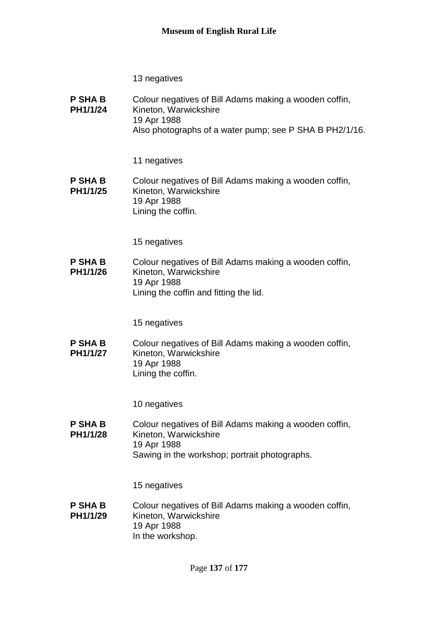| <b>P SHA B</b><br>PH1/1/24 | Colour negatives of Bill Adams making a wooden coffin,<br>Kineton, Warwickshire |
|----------------------------|---------------------------------------------------------------------------------|
|                            | 19 Apr 1988                                                                     |
|                            | Also photographs of a water pump; see P SHA B PH2/1/16.                         |

# 11 negatives

#### **P SHA B PH1/1/25** Colour negatives of Bill Adams making a wooden coffin, Kineton, Warwickshire 19 Apr 1988 Lining the coffin.

15 negatives

**P SHA B PH1/1/26** Colour negatives of Bill Adams making a wooden coffin, Kineton, Warwickshire 19 Apr 1988 Lining the coffin and fitting the lid.

15 negatives

**P SHA B PH1/1/27** Colour negatives of Bill Adams making a wooden coffin, Kineton, Warwickshire 19 Apr 1988 Lining the coffin.

10 negatives

**P SHA B PH1/1/28** Colour negatives of Bill Adams making a wooden coffin, Kineton, Warwickshire 19 Apr 1988 Sawing in the workshop; portrait photographs.

15 negatives

#### **P SHA B PH1/1/29** Colour negatives of Bill Adams making a wooden coffin, Kineton, Warwickshire 19 Apr 1988 In the workshop.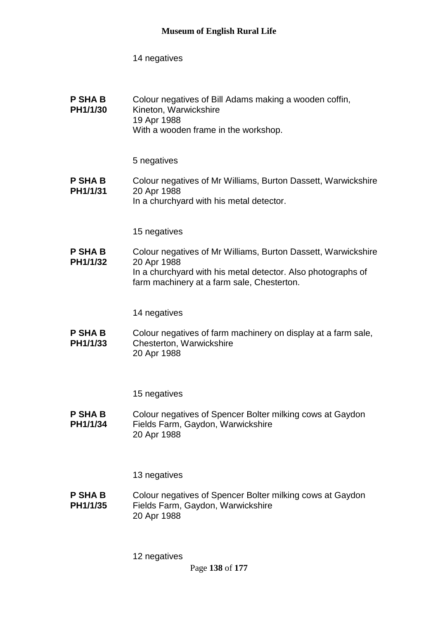| <b>P SHA B</b><br>PH1/1/30 | Colour negatives of Bill Adams making a wooden coffin,<br>Kineton, Warwickshire |
|----------------------------|---------------------------------------------------------------------------------|
|                            | 19 Apr 1988                                                                     |
|                            | With a wooden frame in the workshop.                                            |

# 5 negatives

**P SHA B PH1/1/31** Colour negatives of Mr Williams, Burton Dassett, Warwickshire 20 Apr 1988 In a churchyard with his metal detector.

15 negatives

**P SHA B PH1/1/32** Colour negatives of Mr Williams, Burton Dassett, Warwickshire 20 Apr 1988 In a churchyard with his metal detector. Also photographs of farm machinery at a farm sale, Chesterton.

14 negatives

**P SHA B PH1/1/33** Colour negatives of farm machinery on display at a farm sale, Chesterton, Warwickshire 20 Apr 1988

15 negatives

**P SHA B PH1/1/34** Colour negatives of Spencer Bolter milking cows at Gaydon Fields Farm, Gaydon, Warwickshire 20 Apr 1988

13 negatives

**P SHA B PH1/1/35** Colour negatives of Spencer Bolter milking cows at Gaydon Fields Farm, Gaydon, Warwickshire 20 Apr 1988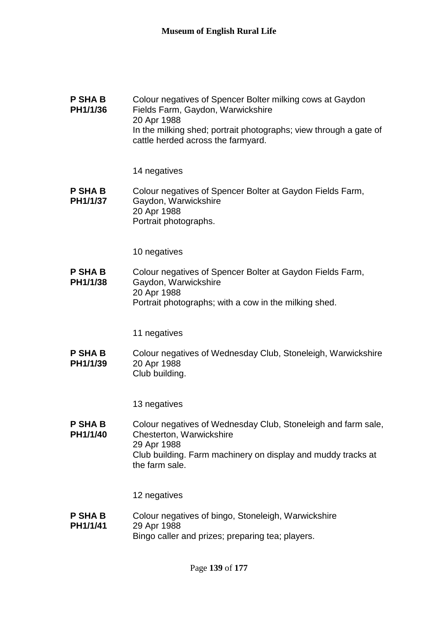| <b>P SHA B</b><br>PH1/1/36 | Colour negatives of Spencer Bolter milking cows at Gaydon<br>Fields Farm, Gaydon, Warwickshire<br>20 Apr 1988 |
|----------------------------|---------------------------------------------------------------------------------------------------------------|
|                            | In the milking shed; portrait photographs; view through a gate of<br>cattle herded across the farmyard.       |

**P SHA B PH1/1/37** Colour negatives of Spencer Bolter at Gaydon Fields Farm, Gaydon, Warwickshire 20 Apr 1988 Portrait photographs.

10 negatives

**P SHA B PH1/1/38** Colour negatives of Spencer Bolter at Gaydon Fields Farm, Gaydon, Warwickshire 20 Apr 1988 Portrait photographs; with a cow in the milking shed.

11 negatives

**P SHA B PH1/1/39** Colour negatives of Wednesday Club, Stoneleigh, Warwickshire 20 Apr 1988 Club building.

13 negatives

**P SHA B PH1/1/40** Colour negatives of Wednesday Club, Stoneleigh and farm sale, Chesterton, Warwickshire 29 Apr 1988 Club building. Farm machinery on display and muddy tracks at the farm sale.

12 negatives

**P SHA B PH1/1/41** Colour negatives of bingo, Stoneleigh, Warwickshire 29 Apr 1988 Bingo caller and prizes; preparing tea; players.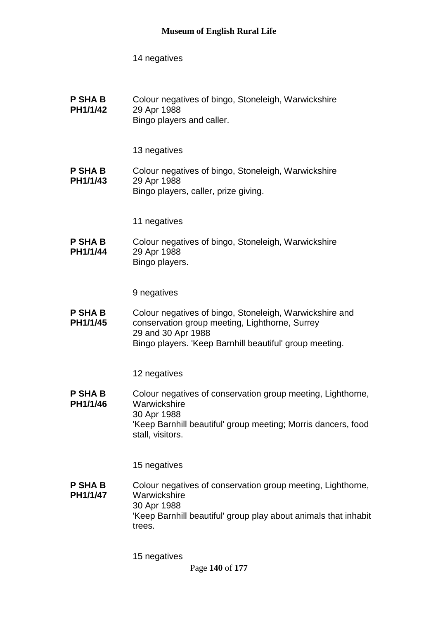**P SHA B PH1/1/42** Colour negatives of bingo, Stoneleigh, Warwickshire 29 Apr 1988 Bingo players and caller.

13 negatives

**P SHA B PH1/1/43** Colour negatives of bingo, Stoneleigh, Warwickshire 29 Apr 1988 Bingo players, caller, prize giving.

11 negatives

**P SHA B PH1/1/44** Colour negatives of bingo, Stoneleigh, Warwickshire 29 Apr 1988 Bingo players.

9 negatives

**P SHA B PH1/1/45** Colour negatives of bingo, Stoneleigh, Warwickshire and conservation group meeting, Lighthorne, Surrey 29 and 30 Apr 1988 Bingo players. 'Keep Barnhill beautiful' group meeting.

12 negatives

**P SHA B PH1/1/46** Colour negatives of conservation group meeting, Lighthorne, **Warwickshire** 30 Apr 1988 'Keep Barnhill beautiful' group meeting; Morris dancers, food stall, visitors.

15 negatives

**P SHA B PH1/1/47** Colour negatives of conservation group meeting, Lighthorne, **Warwickshire** 30 Apr 1988 'Keep Barnhill beautiful' group play about animals that inhabit trees.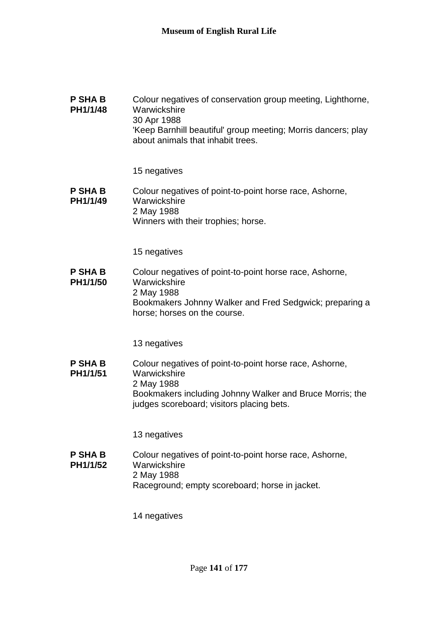| <b>P SHA B</b><br>PH1/1/48 | Colour negatives of conservation group meeting, Lighthorne,<br>Warwickshire<br>30 Apr 1988<br>'Keep Barnhill beautiful' group meeting; Morris dancers; play |
|----------------------------|-------------------------------------------------------------------------------------------------------------------------------------------------------------|
|                            | about animals that inhabit trees.                                                                                                                           |

**P SHA B PH1/1/49** Colour negatives of point-to-point horse race, Ashorne, **Warwickshire** 2 May 1988 Winners with their trophies; horse.

15 negatives

**P SHA B PH1/1/50** Colour negatives of point-to-point horse race, Ashorne, **Warwickshire** 2 May 1988 Bookmakers Johnny Walker and Fred Sedgwick; preparing a horse; horses on the course.

13 negatives

**P SHA B PH1/1/51** Colour negatives of point-to-point horse race, Ashorne, **Warwickshire** 2 May 1988 Bookmakers including Johnny Walker and Bruce Morris; the judges scoreboard; visitors placing bets.

13 negatives

**P SHA B PH1/1/52** Colour negatives of point-to-point horse race, Ashorne, **Warwickshire** 2 May 1988 Raceground; empty scoreboard; horse in jacket.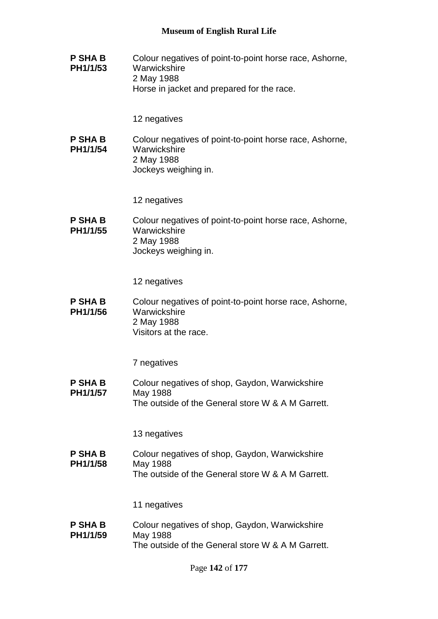**P SHA B PH1/1/53** Colour negatives of point-to-point horse race, Ashorne, **Warwickshire** 2 May 1988 Horse in jacket and prepared for the race.

12 negatives

**P SHA B PH1/1/54** Colour negatives of point-to-point horse race, Ashorne, **Warwickshire** 2 May 1988 Jockeys weighing in.

12 negatives

**P SHA B PH1/1/55** Colour negatives of point-to-point horse race, Ashorne, **Warwickshire** 2 May 1988 Jockeys weighing in.

12 negatives

**P SHA B PH1/1/56** Colour negatives of point-to-point horse race, Ashorne, **Warwickshire** 2 May 1988 Visitors at the race.

7 negatives

**P SHA B PH1/1/57** Colour negatives of shop, Gaydon, Warwickshire May 1988 The outside of the General store W & A M Garrett.

13 negatives

**P SHA B PH1/1/58** Colour negatives of shop, Gaydon, Warwickshire May 1988 The outside of the General store W & A M Garrett.

11 negatives

**P SHA B PH1/1/59** Colour negatives of shop, Gaydon, Warwickshire May 1988 The outside of the General store W & A M Garrett.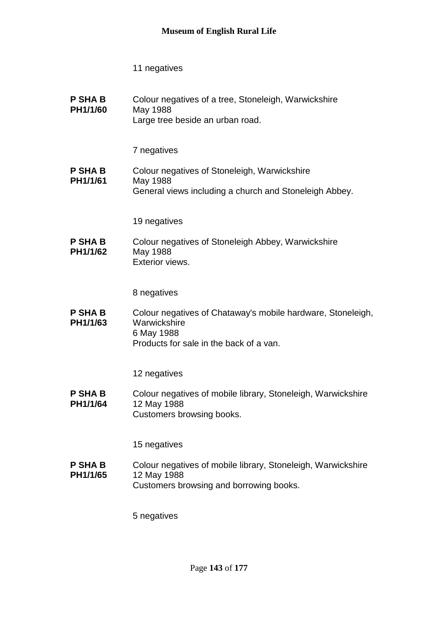**P SHA B PH1/1/60** Colour negatives of a tree, Stoneleigh, Warwickshire May 1988 Large tree beside an urban road.

7 negatives

**P SHA B PH1/1/61** Colour negatives of Stoneleigh, Warwickshire May 1988 General views including a church and Stoneleigh Abbey.

19 negatives

**P SHA B PH1/1/62** Colour negatives of Stoneleigh Abbey, Warwickshire May 1988 Exterior views.

8 negatives

**P SHA B PH1/1/63** Colour negatives of Chataway's mobile hardware, Stoneleigh, **Warwickshire** 6 May 1988 Products for sale in the back of a van.

12 negatives

**P SHA B PH1/1/64** Colour negatives of mobile library, Stoneleigh, Warwickshire 12 May 1988 Customers browsing books.

15 negatives

**P SHA B PH1/1/65** Colour negatives of mobile library, Stoneleigh, Warwickshire 12 May 1988 Customers browsing and borrowing books.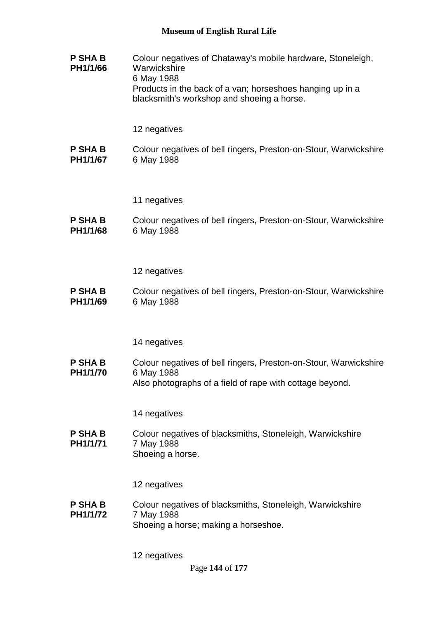**P SHA B PH1/1/66** Colour negatives of Chataway's mobile hardware, Stoneleigh, **Warwickshire** 6 May 1988 Products in the back of a van; horseshoes hanging up in a blacksmith's workshop and shoeing a horse.

#### 12 negatives

**P SHA B PH1/1/67** Colour negatives of bell ringers, Preston-on-Stour, Warwickshire 6 May 1988

#### 11 negatives

**P SHA B PH1/1/68** Colour negatives of bell ringers, Preston-on-Stour, Warwickshire 6 May 1988

12 negatives

**P SHA B PH1/1/69** Colour negatives of bell ringers, Preston-on-Stour, Warwickshire 6 May 1988

#### 14 negatives

**P SHA B PH1/1/70** Colour negatives of bell ringers, Preston-on-Stour, Warwickshire 6 May 1988 Also photographs of a field of rape with cottage beyond.

14 negatives

**P SHA B PH1/1/71** Colour negatives of blacksmiths, Stoneleigh, Warwickshire 7 May 1988 Shoeing a horse.

12 negatives

**P SHA B PH1/1/72** Colour negatives of blacksmiths, Stoneleigh, Warwickshire 7 May 1988 Shoeing a horse; making a horseshoe.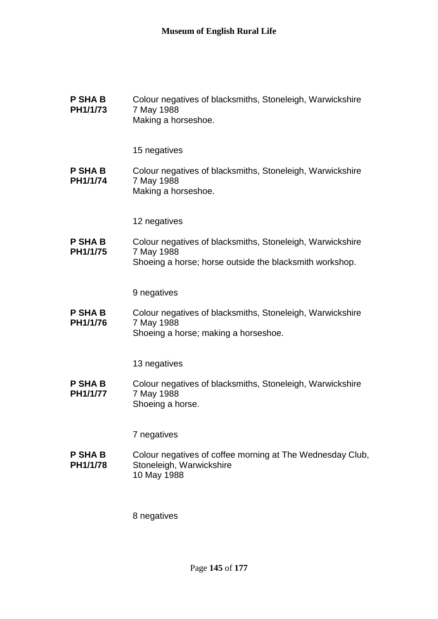| <b>P SHA B</b> | Colour negatives of blacksmiths, Stoneleigh, Warwickshire |
|----------------|-----------------------------------------------------------|
| PH1/1/73       | 7 May 1988                                                |
|                | Making a horseshoe.                                       |

**P SHA B PH1/1/74** Colour negatives of blacksmiths, Stoneleigh, Warwickshire 7 May 1988 Making a horseshoe.

12 negatives

**P SHA B PH1/1/75** Colour negatives of blacksmiths, Stoneleigh, Warwickshire 7 May 1988 Shoeing a horse; horse outside the blacksmith workshop.

9 negatives

**P SHA B PH1/1/76** Colour negatives of blacksmiths, Stoneleigh, Warwickshire 7 May 1988 Shoeing a horse; making a horseshoe.

13 negatives

**P SHA B PH1/1/77** Colour negatives of blacksmiths, Stoneleigh, Warwickshire 7 May 1988 Shoeing a horse.

7 negatives

**P SHA B PH1/1/78** Colour negatives of coffee morning at The Wednesday Club, Stoneleigh, Warwickshire 10 May 1988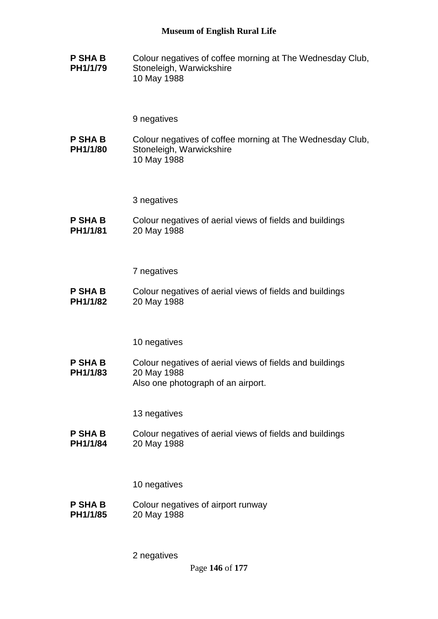**P SHA B PH1/1/79** Colour negatives of coffee morning at The Wednesday Club, Stoneleigh, Warwickshire 10 May 1988

9 negatives

**P SHA B PH1/1/80** Colour negatives of coffee morning at The Wednesday Club, Stoneleigh, Warwickshire 10 May 1988

3 negatives

**P SHA B PH1/1/81** Colour negatives of aerial views of fields and buildings 20 May 1988

7 negatives

**P SHA B PH1/1/82** Colour negatives of aerial views of fields and buildings 20 May 1988

10 negatives

**P SHA B PH1/1/83** Colour negatives of aerial views of fields and buildings 20 May 1988 Also one photograph of an airport.

13 negatives

**P SHA B PH1/1/84** Colour negatives of aerial views of fields and buildings 20 May 1988

10 negatives

**P SHA B PH1/1/85** Colour negatives of airport runway 20 May 1988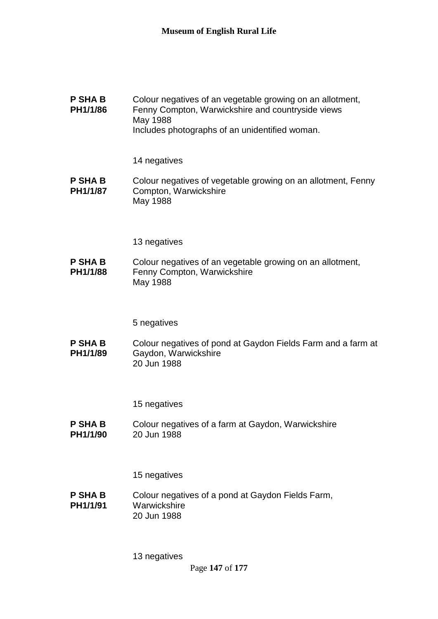**P SHA B PH1/1/86** Colour negatives of an vegetable growing on an allotment, Fenny Compton, Warwickshire and countryside views May 1988 Includes photographs of an unidentified woman.

14 negatives

**P SHA B PH1/1/87** Colour negatives of vegetable growing on an allotment, Fenny Compton, Warwickshire May 1988

13 negatives

**P SHA B PH1/1/88** Colour negatives of an vegetable growing on an allotment, Fenny Compton, Warwickshire May 1988

5 negatives

**P SHA B PH1/1/89** Colour negatives of pond at Gaydon Fields Farm and a farm at Gaydon, Warwickshire 20 Jun 1988

15 negatives

**P SHA B PH1/1/90** Colour negatives of a farm at Gaydon, Warwickshire 20 Jun 1988

15 negatives

**P SHA B PH1/1/91** Colour negatives of a pond at Gaydon Fields Farm, **Warwickshire** 20 Jun 1988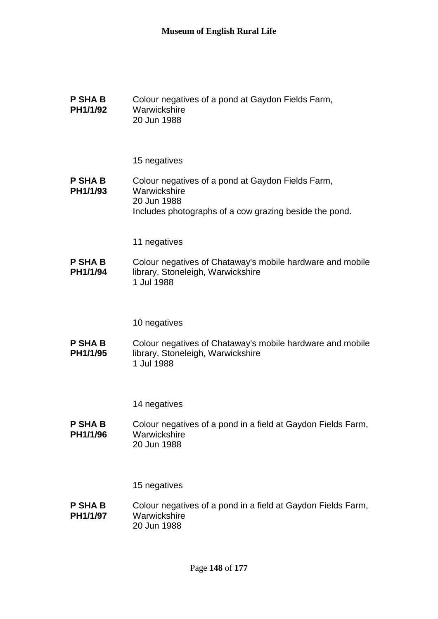| <b>P SHA B</b><br>PH1/1/92 | Colour negatives of a pond at Gaydon Fields Farm,<br>Warwickshire<br>20 Jun 1988                                                           |
|----------------------------|--------------------------------------------------------------------------------------------------------------------------------------------|
|                            | 15 negatives                                                                                                                               |
| <b>P SHA B</b><br>PH1/1/93 | Colour negatives of a pond at Gaydon Fields Farm,<br>Warwickshire<br>20 Jun 1988<br>Includes photographs of a cow grazing beside the pond. |
|                            | 11 negatives                                                                                                                               |
| <b>P SHA B</b><br>PH1/1/94 | Colour negatives of Chataway's mobile hardware and mobile<br>library, Stoneleigh, Warwickshire<br>1 Jul 1988                               |
|                            | 10 negatives                                                                                                                               |
| <b>P SHA B</b><br>PH1/1/95 | Colour negatives of Chataway's mobile hardware and mobile<br>library, Stoneleigh, Warwickshire<br>1 Jul 1988                               |
|                            | 14 negatives                                                                                                                               |
| <b>P SHA B</b><br>PH1/1/96 | Colour negatives of a pond in a field at Gaydon Fields Farm,<br>Warwickshire<br>20 Jun 1988                                                |
|                            | 15 negatives                                                                                                                               |
| <b>P SHA B</b><br>PH1/1/97 | Colour negatives of a pond in a field at Gaydon Fields Farm,<br>Warwickshire                                                               |

20 Jun 1988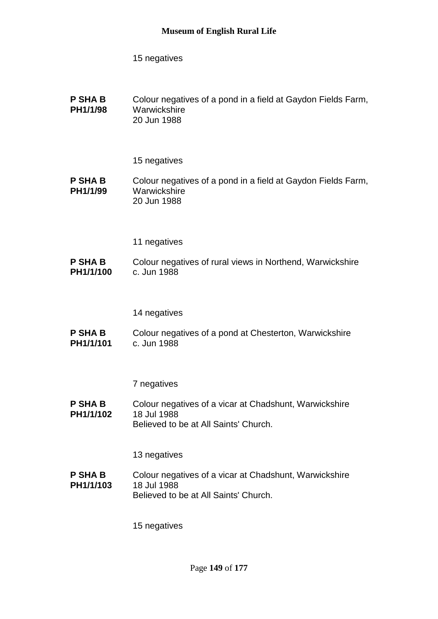**P SHA B PH1/1/98** Colour negatives of a pond in a field at Gaydon Fields Farm, **Warwickshire** 20 Jun 1988

15 negatives

**P SHA B PH1/1/99** Colour negatives of a pond in a field at Gaydon Fields Farm, **Warwickshire** 20 Jun 1988

11 negatives

**P SHA B PH1/1/100** Colour negatives of rural views in Northend, Warwickshire c. Jun 1988

14 negatives

**P SHA B PH1/1/101** Colour negatives of a pond at Chesterton, Warwickshire c. Jun 1988

7 negatives

**P SHA B PH1/1/102** Colour negatives of a vicar at Chadshunt, Warwickshire 18 Jul 1988 Believed to be at All Saints' Church.

13 negatives

**P SHA B PH1/1/103** Colour negatives of a vicar at Chadshunt, Warwickshire 18 Jul 1988 Believed to be at All Saints' Church.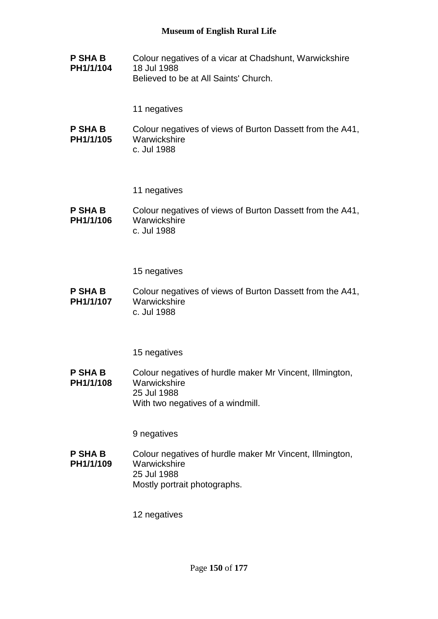**P SHA B PH1/1/104** Colour negatives of a vicar at Chadshunt, Warwickshire 18 Jul 1988 Believed to be at All Saints' Church.

11 negatives

**P SHA B PH1/1/105** Colour negatives of views of Burton Dassett from the A41, **Warwickshire** c. Jul 1988

11 negatives

**P SHA B PH1/1/106** Colour negatives of views of Burton Dassett from the A41, **Warwickshire** c. Jul 1988

15 negatives

**P SHA B PH1/1/107** Colour negatives of views of Burton Dassett from the A41, **Warwickshire** c. Jul 1988

15 negatives

**P SHA B PH1/1/108** Colour negatives of hurdle maker Mr Vincent, Illmington, **Warwickshire** 25 Jul 1988 With two negatives of a windmill.

9 negatives

**P SHA B PH1/1/109** Colour negatives of hurdle maker Mr Vincent, Illmington, **Warwickshire** 25 Jul 1988 Mostly portrait photographs.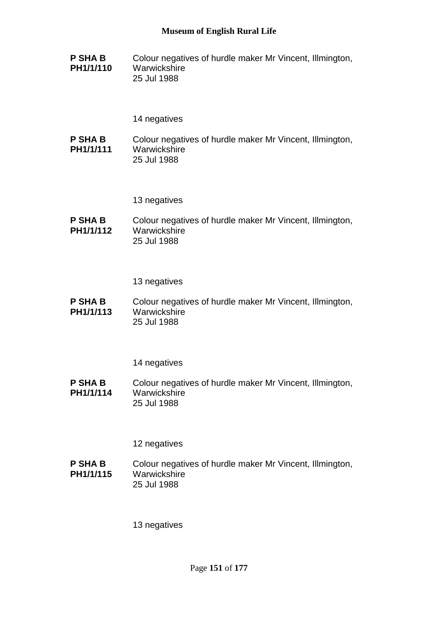**P SHA B PH1/1/110** Colour negatives of hurdle maker Mr Vincent, Illmington, **Warwickshire** 25 Jul 1988

## 14 negatives

**P SHA B PH1/1/111** Colour negatives of hurdle maker Mr Vincent, Illmington, **Warwickshire** 25 Jul 1988

13 negatives

**P SHA B PH1/1/112** Colour negatives of hurdle maker Mr Vincent, Illmington, **Warwickshire** 25 Jul 1988

13 negatives

**P SHA B PH1/1/113** Colour negatives of hurdle maker Mr Vincent, Illmington, **Warwickshire** 25 Jul 1988

14 negatives

**P SHA B PH1/1/114** Colour negatives of hurdle maker Mr Vincent, Illmington, **Warwickshire** 25 Jul 1988

12 negatives

**P SHA B PH1/1/115** Colour negatives of hurdle maker Mr Vincent, Illmington, **Warwickshire** 25 Jul 1988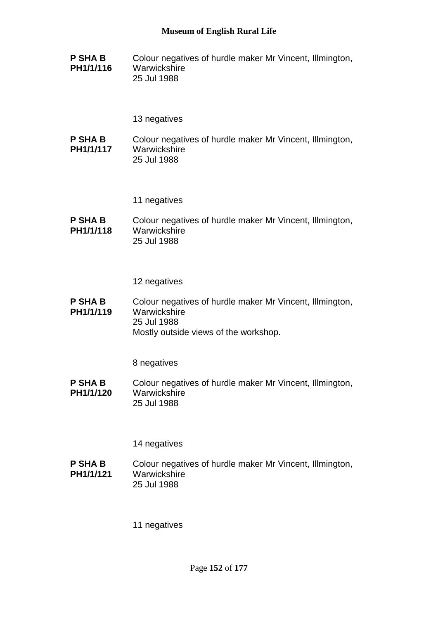**P SHA B PH1/1/116** Colour negatives of hurdle maker Mr Vincent, Illmington, **Warwickshire** 25 Jul 1988

13 negatives

**P SHA B PH1/1/117** Colour negatives of hurdle maker Mr Vincent, Illmington, **Warwickshire** 25 Jul 1988

11 negatives

**P SHA B PH1/1/118** Colour negatives of hurdle maker Mr Vincent, Illmington, **Warwickshire** 25 Jul 1988

12 negatives

**P SHA B PH1/1/119** Colour negatives of hurdle maker Mr Vincent, Illmington, **Warwickshire** 25 Jul 1988 Mostly outside views of the workshop.

8 negatives

**P SHA B PH1/1/120** Colour negatives of hurdle maker Mr Vincent, Illmington, **Warwickshire** 25 Jul 1988

14 negatives

**P SHA B PH1/1/121** Colour negatives of hurdle maker Mr Vincent, Illmington, **Warwickshire** 25 Jul 1988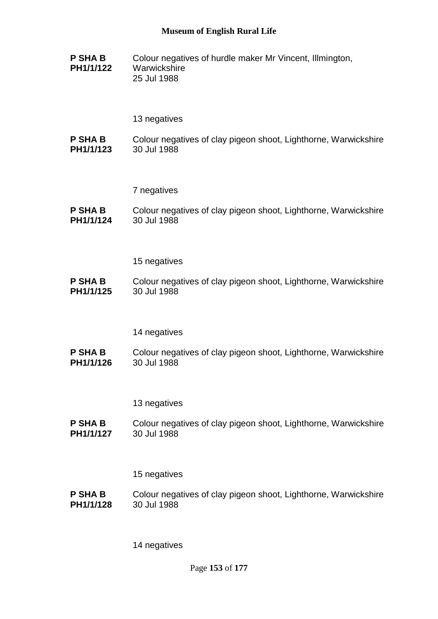**P SHA B PH1/1/122** Colour negatives of hurdle maker Mr Vincent, Illmington, **Warwickshire** 25 Jul 1988

### 13 negatives

**P SHA B PH1/1/123** Colour negatives of clay pigeon shoot, Lighthorne, Warwickshire 30 Jul 1988

#### 7 negatives

**P SHA B PH1/1/124** Colour negatives of clay pigeon shoot, Lighthorne, Warwickshire 30 Jul 1988

#### 15 negatives

**P SHA B PH1/1/125** Colour negatives of clay pigeon shoot, Lighthorne, Warwickshire 30 Jul 1988

#### 14 negatives

**P SHA B PH1/1/126** Colour negatives of clay pigeon shoot, Lighthorne, Warwickshire 30 Jul 1988

#### 13 negatives

**P SHA B PH1/1/127** Colour negatives of clay pigeon shoot, Lighthorne, Warwickshire 30 Jul 1988

#### 15 negatives

**P SHA B PH1/1/128** Colour negatives of clay pigeon shoot, Lighthorne, Warwickshire 30 Jul 1988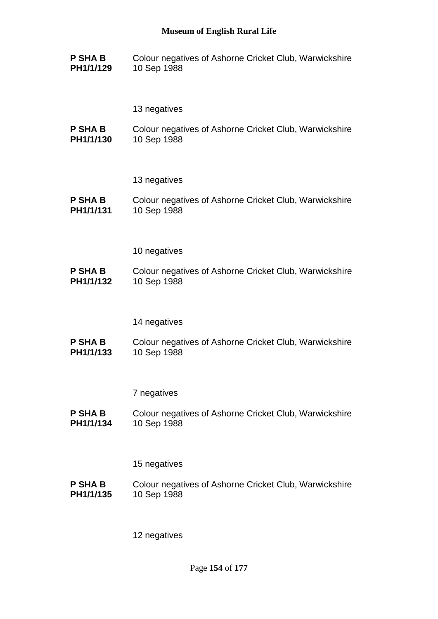**P SHA B PH1/1/129** Colour negatives of Ashorne Cricket Club, Warwickshire 10 Sep 1988

13 negatives

**P SHA B PH1/1/130** Colour negatives of Ashorne Cricket Club, Warwickshire 10 Sep 1988

13 negatives

**P SHA B PH1/1/131** Colour negatives of Ashorne Cricket Club, Warwickshire 10 Sep 1988

10 negatives

**P SHA B PH1/1/132** Colour negatives of Ashorne Cricket Club, Warwickshire 10 Sep 1988

14 negatives

**P SHA B PH1/1/133** Colour negatives of Ashorne Cricket Club, Warwickshire 10 Sep 1988

7 negatives

**P SHA B PH1/1/134** Colour negatives of Ashorne Cricket Club, Warwickshire 10 Sep 1988

15 negatives

**P SHA B PH1/1/135** Colour negatives of Ashorne Cricket Club, Warwickshire 10 Sep 1988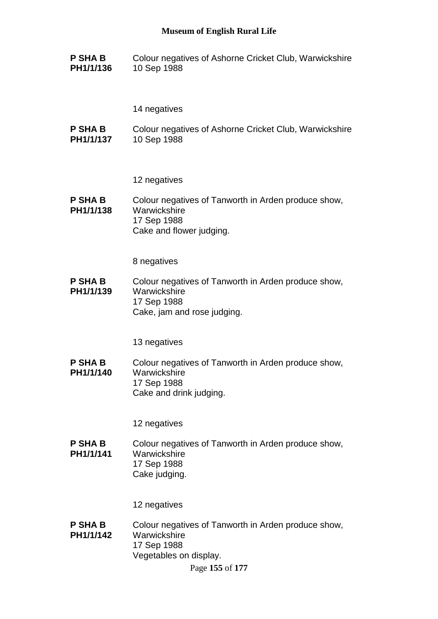**P SHA B PH1/1/136** Colour negatives of Ashorne Cricket Club, Warwickshire 10 Sep 1988

14 negatives

**P SHA B PH1/1/137** Colour negatives of Ashorne Cricket Club, Warwickshire 10 Sep 1988

12 negatives

**P SHA B PH1/1/138** Colour negatives of Tanworth in Arden produce show, **Warwickshire** 17 Sep 1988 Cake and flower judging.

8 negatives

**P SHA B PH1/1/139** Colour negatives of Tanworth in Arden produce show, Warwickshire 17 Sep 1988 Cake, jam and rose judging.

13 negatives

**P SHA B PH1/1/140** Colour negatives of Tanworth in Arden produce show, **Warwickshire** 17 Sep 1988 Cake and drink judging.

12 negatives

**P SHA B PH1/1/141** Colour negatives of Tanworth in Arden produce show, Warwickshire 17 Sep 1988 Cake judging.

12 negatives

**P SHA B PH1/1/142** Colour negatives of Tanworth in Arden produce show, **Warwickshire** 17 Sep 1988 Vegetables on display.

Page **155** of **177**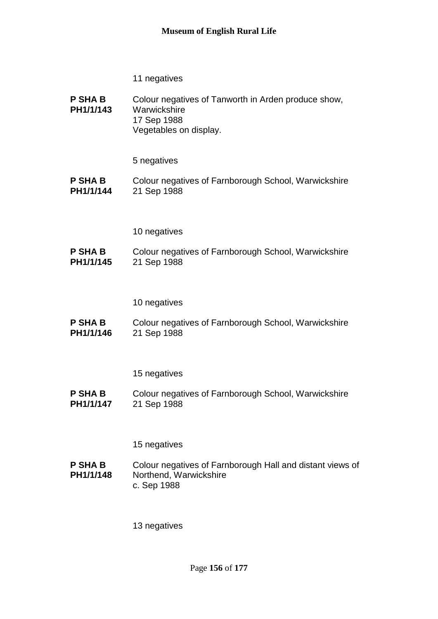- 11 negatives
- **P SHA B PH1/1/143** Colour negatives of Tanworth in Arden produce show, **Warwickshire** 17 Sep 1988 Vegetables on display.

**P SHA B PH1/1/144** Colour negatives of Farnborough School, Warwickshire 21 Sep 1988

### 10 negatives

**P SHA B PH1/1/145** Colour negatives of Farnborough School, Warwickshire 21 Sep 1988

10 negatives

**P SHA B PH1/1/146** Colour negatives of Farnborough School, Warwickshire 21 Sep 1988

15 negatives

**P SHA B PH1/1/147** Colour negatives of Farnborough School, Warwickshire 21 Sep 1988

15 negatives

**P SHA B PH1/1/148** Colour negatives of Farnborough Hall and distant views of Northend, Warwickshire c. Sep 1988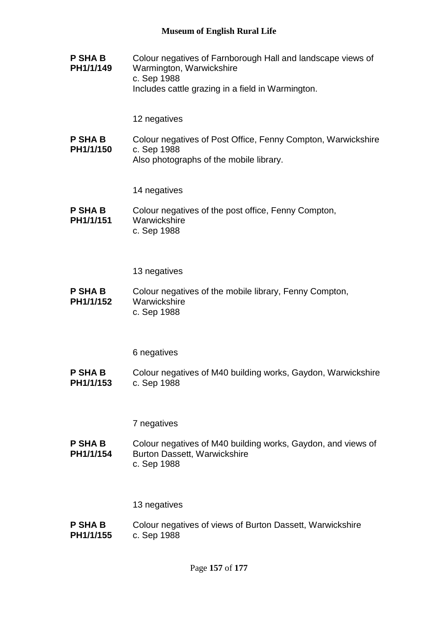**P SHA B PH1/1/149** Colour negatives of Farnborough Hall and landscape views of Warmington, Warwickshire c. Sep 1988 Includes cattle grazing in a field in Warmington.

12 negatives

**P SHA B PH1/1/150** Colour negatives of Post Office, Fenny Compton, Warwickshire c. Sep 1988 Also photographs of the mobile library.

14 negatives

**P SHA B PH1/1/151** Colour negatives of the post office, Fenny Compton, Warwickshire c. Sep 1988

13 negatives

**P SHA B PH1/1/152** Colour negatives of the mobile library, Fenny Compton, **Warwickshire** c. Sep 1988

6 negatives

**P SHA B PH1/1/153** Colour negatives of M40 building works, Gaydon, Warwickshire c. Sep 1988

7 negatives

**P SHA B PH1/1/154** Colour negatives of M40 building works, Gaydon, and views of Burton Dassett, Warwickshire c. Sep 1988

13 negatives

**P SHA B PH1/1/155** Colour negatives of views of Burton Dassett, Warwickshire c. Sep 1988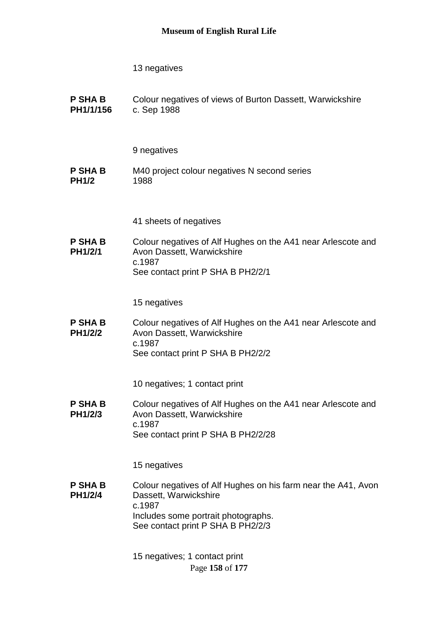**P SHA B PH1/1/156** Colour negatives of views of Burton Dassett, Warwickshire c. Sep 1988

9 negatives

- **P SHA B PH1/2** M40 project colour negatives N second series 1988
	- 41 sheets of negatives
- **P SHA B PH1/2/1** Colour negatives of Alf Hughes on the A41 near Arlescote and Avon Dassett, Warwickshire c.1987 See contact print P SHA B PH2/2/1

15 negatives

**P SHA B PH1/2/2** Colour negatives of Alf Hughes on the A41 near Arlescote and Avon Dassett, Warwickshire c.1987 See contact print P SHA B PH2/2/2

10 negatives; 1 contact print

**P SHA B PH1/2/3** Colour negatives of Alf Hughes on the A41 near Arlescote and Avon Dassett, Warwickshire c.1987 See contact print P SHA B PH2/2/28

15 negatives

**P SHA B PH1/2/4** Colour negatives of Alf Hughes on his farm near the A41, Avon Dassett, Warwickshire c.1987 Includes some portrait photographs. See contact print P SHA B PH2/2/3

> Page **158** of **177** 15 negatives; 1 contact print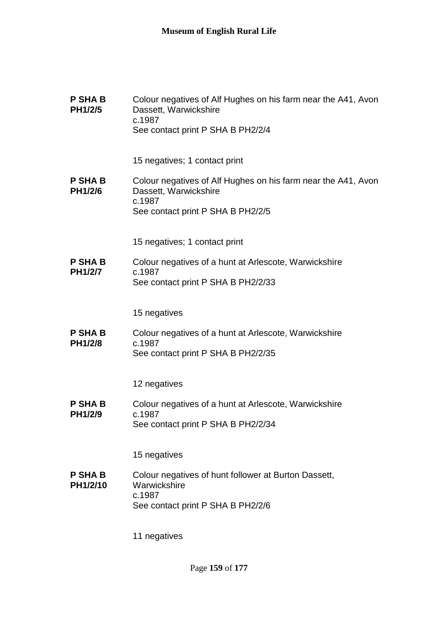| <b>P SHA B</b><br>PH1/2/5  | Colour negatives of Alf Hughes on his farm near the A41, Avon<br>Dassett, Warwickshire<br>c.1987<br>See contact print P SHA B PH2/2/4 |
|----------------------------|---------------------------------------------------------------------------------------------------------------------------------------|
|                            | 15 negatives; 1 contact print                                                                                                         |
| <b>P SHA B</b><br>PH1/2/6  | Colour negatives of Alf Hughes on his farm near the A41, Avon<br>Dassett, Warwickshire<br>c.1987<br>See contact print P SHA B PH2/2/5 |
|                            |                                                                                                                                       |
|                            | 15 negatives; 1 contact print                                                                                                         |
| <b>P SHA B</b>             | Colour negatives of a hunt at Arlescote, Warwickshire                                                                                 |
| <b>PH1/2/7</b>             | c.1987<br>See contact print P SHA B PH2/2/33                                                                                          |
|                            |                                                                                                                                       |
|                            | 15 negatives                                                                                                                          |
| <b>P SHA B</b>             | Colour negatives of a hunt at Arlescote, Warwickshire                                                                                 |
| <b>PH1/2/8</b>             | c.1987<br>See contact print P SHA B PH2/2/35                                                                                          |
|                            |                                                                                                                                       |
|                            | 12 negatives                                                                                                                          |
| <b>P SHA B</b>             | Colour negatives of a hunt at Arlescote, Warwickshire                                                                                 |
| PH1/2/9                    | c.1987<br>See contact print P SHA B PH2/2/34                                                                                          |
|                            |                                                                                                                                       |
|                            | 15 negatives                                                                                                                          |
| <b>P SHA B</b><br>PH1/2/10 | Colour negatives of hunt follower at Burton Dassett,<br>Warwickshire<br>c.1987                                                        |
|                            | See contact print P SHA B PH2/2/6                                                                                                     |
|                            |                                                                                                                                       |
|                            | 11 negatives                                                                                                                          |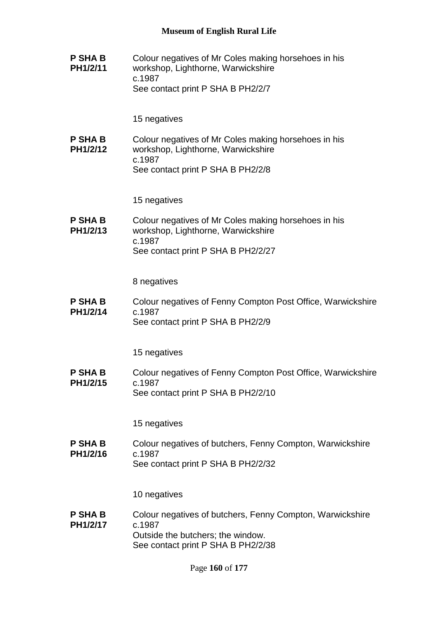**P SHA B PH1/2/11** Colour negatives of Mr Coles making horsehoes in his workshop, Lighthorne, Warwickshire c.1987 See contact print P SHA B PH2/2/7

15 negatives

**P SHA B PH1/2/12** Colour negatives of Mr Coles making horsehoes in his workshop, Lighthorne, Warwickshire c.1987 See contact print P SHA B PH2/2/8

15 negatives

**P SHA B PH1/2/13** Colour negatives of Mr Coles making horsehoes in his workshop, Lighthorne, Warwickshire c.1987 See contact print P SHA B PH2/2/27

8 negatives

**P SHA B PH1/2/14** Colour negatives of Fenny Compton Post Office, Warwickshire c.1987 See contact print P SHA B PH2/2/9

15 negatives

**P SHA B PH1/2/15** Colour negatives of Fenny Compton Post Office, Warwickshire c.1987 See contact print P SHA B PH2/2/10

15 negatives

**P SHA B PH1/2/16** Colour negatives of butchers, Fenny Compton, Warwickshire c.1987 See contact print P SHA B PH2/2/32

10 negatives

**P SHA B PH1/2/17** Colour negatives of butchers, Fenny Compton, Warwickshire c.1987 Outside the butchers; the window. See contact print P SHA B PH2/2/38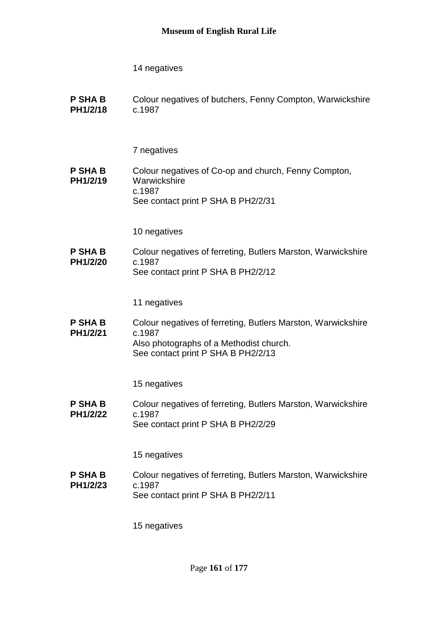**P SHA B PH1/2/18** Colour negatives of butchers, Fenny Compton, Warwickshire c.1987

7 negatives

**P SHA B PH1/2/19** Colour negatives of Co-op and church, Fenny Compton, **Warwickshire** c.1987 See contact print P SHA B PH2/2/31

10 negatives

**P SHA B PH1/2/20** Colour negatives of ferreting, Butlers Marston, Warwickshire c.1987 See contact print P SHA B PH2/2/12

11 negatives

**P SHA B PH1/2/21** Colour negatives of ferreting, Butlers Marston, Warwickshire c.1987 Also photographs of a Methodist church. See contact print P SHA B PH2/2/13

15 negatives

**P SHA B PH1/2/22** Colour negatives of ferreting, Butlers Marston, Warwickshire c.1987 See contact print P SHA B PH2/2/29

15 negatives

**P SHA B PH1/2/23** Colour negatives of ferreting, Butlers Marston, Warwickshire c.1987 See contact print P SHA B PH2/2/11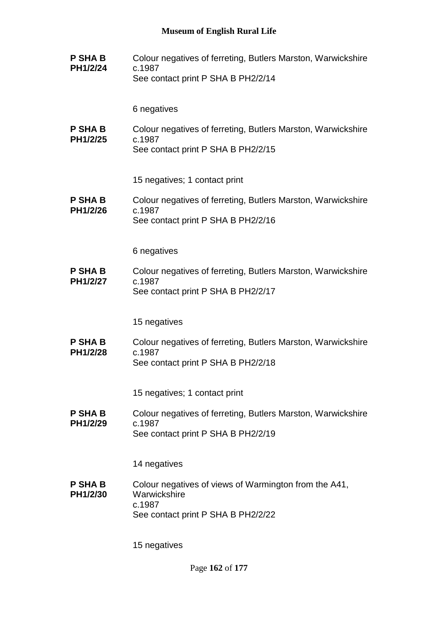**P SHA B PH1/2/24** Colour negatives of ferreting, Butlers Marston, Warwickshire c.1987 See contact print P SHA B PH2/2/14

6 negatives

**P SHA B PH1/2/25** Colour negatives of ferreting, Butlers Marston, Warwickshire c.1987 See contact print P SHA B PH2/2/15

15 negatives; 1 contact print

**P SHA B PH1/2/26** Colour negatives of ferreting, Butlers Marston, Warwickshire c.1987 See contact print P SHA B PH2/2/16

6 negatives

**P SHA B PH1/2/27** Colour negatives of ferreting, Butlers Marston, Warwickshire c.1987 See contact print P SHA B PH2/2/17

15 negatives

**P SHA B PH1/2/28** Colour negatives of ferreting, Butlers Marston, Warwickshire c.1987 See contact print P SHA B PH2/2/18

15 negatives; 1 contact print

**P SHA B PH1/2/29** Colour negatives of ferreting, Butlers Marston, Warwickshire c.1987 See contact print P SHA B PH2/2/19

14 negatives

**P SHA B PH1/2/30** Colour negatives of views of Warmington from the A41, **Warwickshire** c.1987 See contact print P SHA B PH2/2/22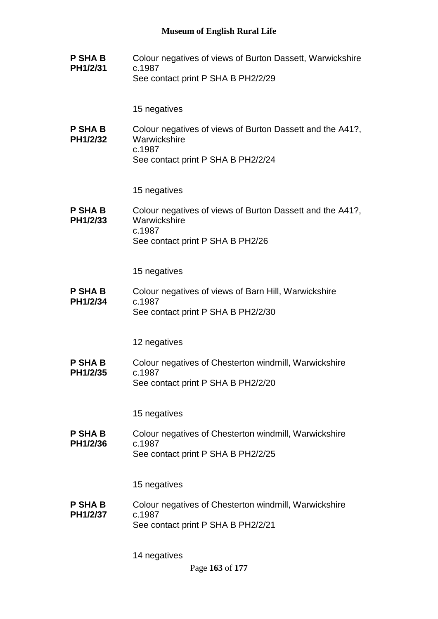**P SHA B PH1/2/31** Colour negatives of views of Burton Dassett, Warwickshire c.1987 See contact print P SHA B PH2/2/29

15 negatives

**P SHA B PH1/2/32** Colour negatives of views of Burton Dassett and the A41?, **Warwickshire** c.1987 See contact print P SHA B PH2/2/24

15 negatives

**P SHA B PH1/2/33** Colour negatives of views of Burton Dassett and the A41?, **Warwickshire** c.1987 See contact print P SHA B PH2/26

15 negatives

**P SHA B PH1/2/34** Colour negatives of views of Barn Hill, Warwickshire c.1987 See contact print P SHA B PH2/2/30

12 negatives

**P SHA B PH1/2/35** Colour negatives of Chesterton windmill, Warwickshire c.1987 See contact print P SHA B PH2/2/20

15 negatives

**P SHA B PH1/2/36** Colour negatives of Chesterton windmill, Warwickshire c.1987 See contact print P SHA B PH2/2/25

15 negatives

**P SHA B PH1/2/37** Colour negatives of Chesterton windmill, Warwickshire c.1987 See contact print P SHA B PH2/2/21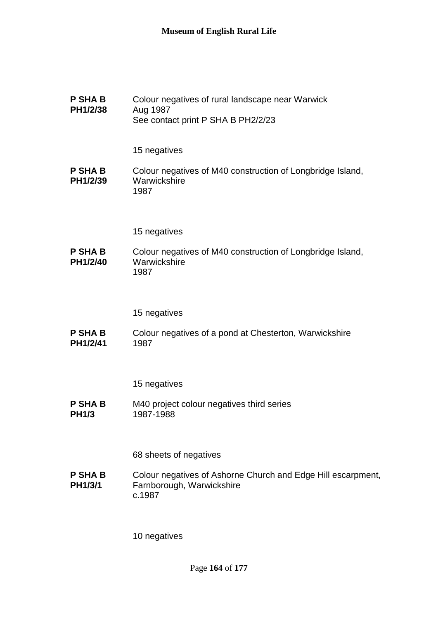| <b>P SHA B</b><br>PH1/2/38     | Colour negatives of rural landscape near Warwick<br>Aug 1987<br>See contact print P SHA B PH2/2/23  |
|--------------------------------|-----------------------------------------------------------------------------------------------------|
|                                | 15 negatives                                                                                        |
| <b>P SHA B</b><br>PH1/2/39     | Colour negatives of M40 construction of Longbridge Island,<br>Warwickshire<br>1987                  |
|                                | 15 negatives                                                                                        |
| <b>P SHA B</b><br>PH1/2/40     | Colour negatives of M40 construction of Longbridge Island,<br>Warwickshire<br>1987                  |
|                                | 15 negatives                                                                                        |
| <b>P SHA B</b><br>PH1/2/41     | Colour negatives of a pond at Chesterton, Warwickshire<br>1987                                      |
|                                | 15 negatives                                                                                        |
| <b>P SHA B</b><br><b>PH1/3</b> | M40 project colour negatives third series<br>1987-1988                                              |
|                                | 68 sheets of negatives                                                                              |
| <b>P SHA B</b><br>PH1/3/1      | Colour negatives of Ashorne Church and Edge Hill escarpment,<br>Farnborough, Warwickshire<br>c.1987 |
|                                | 10 negatives                                                                                        |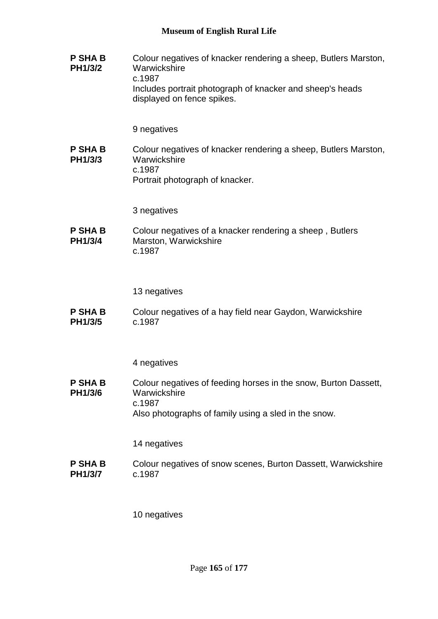**P SHA B PH1/3/2** Colour negatives of knacker rendering a sheep, Butlers Marston, **Warwickshire** c.1987 Includes portrait photograph of knacker and sheep's heads displayed on fence spikes.

## 9 negatives

**P SHA B PH1/3/3** Colour negatives of knacker rendering a sheep, Butlers Marston, **Warwickshire** c.1987 Portrait photograph of knacker.

3 negatives

**P SHA B PH1/3/4** Colour negatives of a knacker rendering a sheep , Butlers Marston, Warwickshire c.1987

13 negatives

**P SHA B PH1/3/5** Colour negatives of a hay field near Gaydon, Warwickshire c.1987

4 negatives

**P SHA B PH1/3/6** Colour negatives of feeding horses in the snow, Burton Dassett, **Warwickshire** c.1987 Also photographs of family using a sled in the snow.

14 negatives

**P SHA B PH1/3/7** Colour negatives of snow scenes, Burton Dassett, Warwickshire c.1987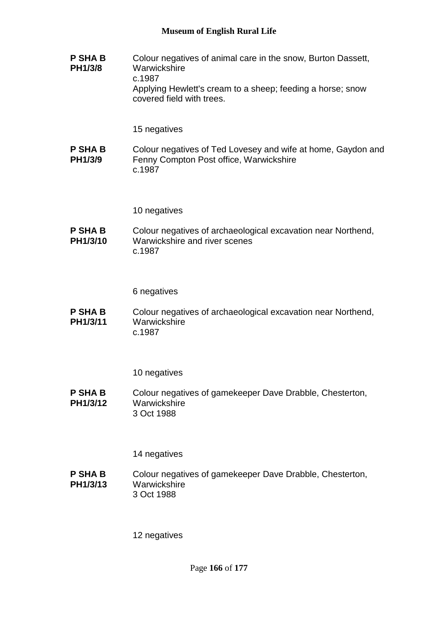**P SHA B PH1/3/8** Colour negatives of animal care in the snow, Burton Dassett, **Warwickshire** c.1987 Applying Hewlett's cream to a sheep; feeding a horse; snow covered field with trees.

15 negatives

**P SHA B PH1/3/9** Colour negatives of Ted Lovesey and wife at home, Gaydon and Fenny Compton Post office, Warwickshire c.1987

10 negatives

**P SHA B PH1/3/10** Colour negatives of archaeological excavation near Northend, Warwickshire and river scenes c.1987

6 negatives

**P SHA B PH1/3/11** Colour negatives of archaeological excavation near Northend, **Warwickshire** c.1987

10 negatives

**P SHA B PH1/3/12** Colour negatives of gamekeeper Dave Drabble, Chesterton, **Warwickshire** 3 Oct 1988

14 negatives

**P SHA B PH1/3/13** Colour negatives of gamekeeper Dave Drabble, Chesterton, **Warwickshire** 3 Oct 1988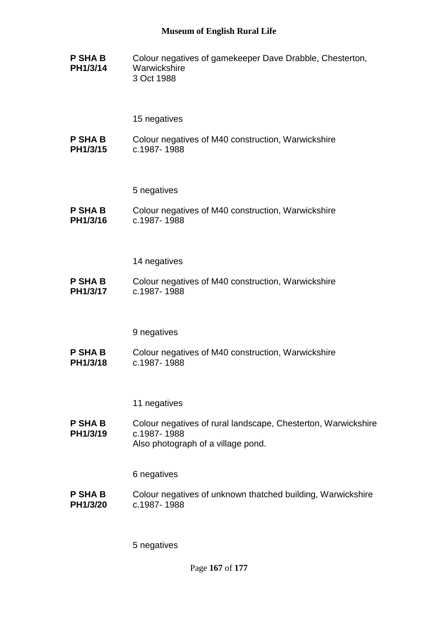**P SHA B PH1/3/14** Colour negatives of gamekeeper Dave Drabble, Chesterton, **Warwickshire** 3 Oct 1988

## 15 negatives

**P SHA B PH1/3/15** Colour negatives of M40 construction, Warwickshire c.1987- 1988

5 negatives

**P SHA B PH1/3/16** Colour negatives of M40 construction, Warwickshire c.1987- 1988

14 negatives

**P SHA B PH1/3/17** Colour negatives of M40 construction, Warwickshire c.1987- 1988

9 negatives

**P SHA B PH1/3/18** Colour negatives of M40 construction, Warwickshire c.1987- 1988

11 negatives

**P SHA B PH1/3/19** Colour negatives of rural landscape, Chesterton, Warwickshire c.1987- 1988 Also photograph of a village pond.

6 negatives

**P SHA B PH1/3/20** Colour negatives of unknown thatched building, Warwickshire c.1987- 1988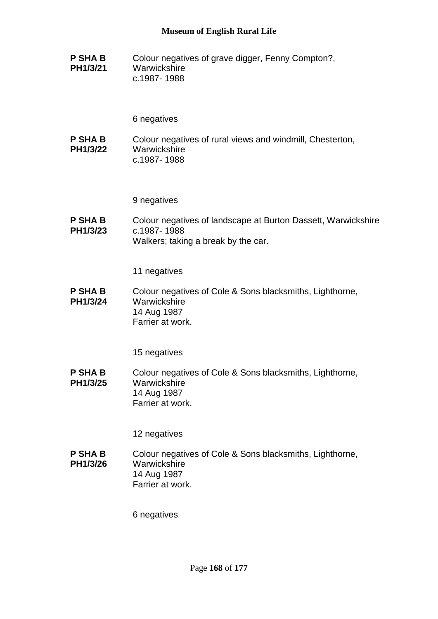**P SHA B PH1/3/21** Colour negatives of grave digger, Fenny Compton?, **Warwickshire** c.1987- 1988

6 negatives

**P SHA B PH1/3/22** Colour negatives of rural views and windmill, Chesterton, **Warwickshire** c.1987- 1988

9 negatives

**P SHA B PH1/3/23** Colour negatives of landscape at Burton Dassett, Warwickshire c.1987- 1988 Walkers; taking a break by the car.

11 negatives

**P SHA B PH1/3/24** Colour negatives of Cole & Sons blacksmiths, Lighthorne, **Warwickshire** 14 Aug 1987 Farrier at work.

15 negatives

**P SHA B PH1/3/25** Colour negatives of Cole & Sons blacksmiths, Lighthorne, **Warwickshire** 14 Aug 1987 Farrier at work.

12 negatives

**P SHA B PH1/3/26** Colour negatives of Cole & Sons blacksmiths, Lighthorne, **Warwickshire** 14 Aug 1987 Farrier at work.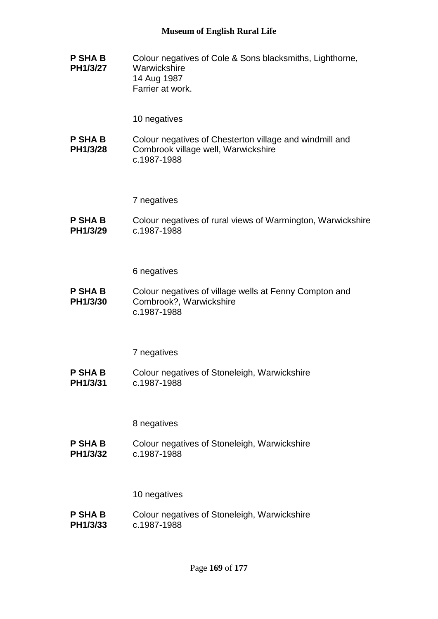**P SHA B PH1/3/27** Colour negatives of Cole & Sons blacksmiths, Lighthorne, **Warwickshire** 14 Aug 1987 Farrier at work.

10 negatives

**P SHA B PH1/3/28** Colour negatives of Chesterton village and windmill and Combrook village well, Warwickshire c.1987-1988

7 negatives

**P SHA B PH1/3/29** Colour negatives of rural views of Warmington, Warwickshire c.1987-1988

6 negatives

**P SHA B PH1/3/30** Colour negatives of village wells at Fenny Compton and Combrook?, Warwickshire c.1987-1988

7 negatives

**P SHA B PH1/3/31** Colour negatives of Stoneleigh, Warwickshire c.1987-1988

8 negatives

**P SHA B PH1/3/32** Colour negatives of Stoneleigh, Warwickshire c.1987-1988

10 negatives

**P SHA B PH1/3/33** Colour negatives of Stoneleigh, Warwickshire c.1987-1988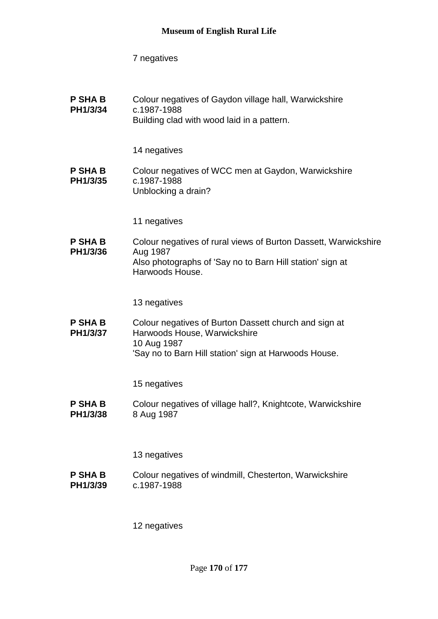**P SHA B PH1/3/34** Colour negatives of Gaydon village hall, Warwickshire c.1987-1988 Building clad with wood laid in a pattern.

14 negatives

- **P SHA B PH1/3/35** Colour negatives of WCC men at Gaydon, Warwickshire c.1987-1988 Unblocking a drain?
	- 11 negatives
- **P SHA B PH1/3/36** Colour negatives of rural views of Burton Dassett, Warwickshire Aug 1987 Also photographs of 'Say no to Barn Hill station' sign at Harwoods House.

13 negatives

**P SHA B PH1/3/37** Colour negatives of Burton Dassett church and sign at Harwoods House, Warwickshire 10 Aug 1987 'Say no to Barn Hill station' sign at Harwoods House.

15 negatives

**P SHA B PH1/3/38** Colour negatives of village hall?, Knightcote, Warwickshire 8 Aug 1987

13 negatives

**P SHA B PH1/3/39** Colour negatives of windmill, Chesterton, Warwickshire c.1987-1988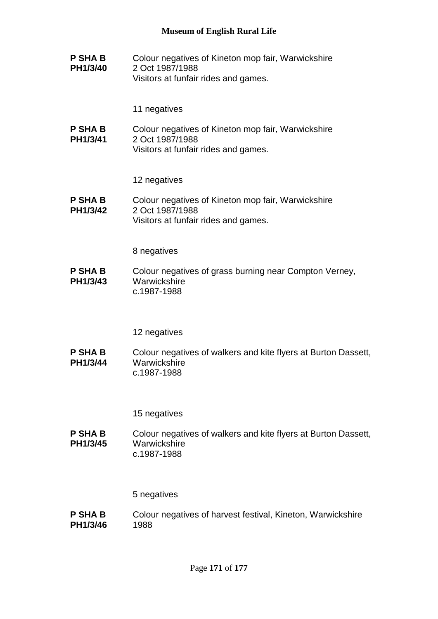**P SHA B PH1/3/40** Colour negatives of Kineton mop fair, Warwickshire 2 Oct 1987/1988 Visitors at funfair rides and games.

11 negatives

**P SHA B PH1/3/41** Colour negatives of Kineton mop fair, Warwickshire 2 Oct 1987/1988 Visitors at funfair rides and games.

12 negatives

**P SHA B PH1/3/42** Colour negatives of Kineton mop fair, Warwickshire 2 Oct 1987/1988 Visitors at funfair rides and games.

8 negatives

**P SHA B PH1/3/43** Colour negatives of grass burning near Compton Verney, **Warwickshire** c.1987-1988

12 negatives

**P SHA B PH1/3/44** Colour negatives of walkers and kite flyers at Burton Dassett, **Warwickshire** c.1987-1988

15 negatives

**P SHA B PH1/3/45** Colour negatives of walkers and kite flyers at Burton Dassett, **Warwickshire** c.1987-1988

5 negatives

**P SHA B PH1/3/46** Colour negatives of harvest festival, Kineton, Warwickshire 1988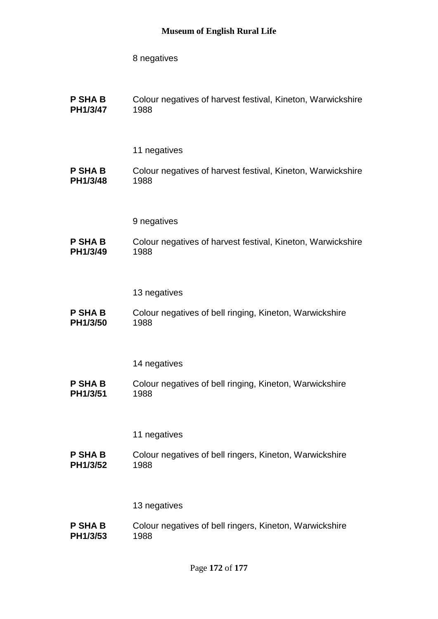| <b>P SHA B</b> | Colour negatives of harvest festival, Kineton, Warwickshire |
|----------------|-------------------------------------------------------------|
| PH1/3/47       | 1988                                                        |

## 11 negatives

#### **P SHA B PH1/3/48** Colour negatives of harvest festival, Kineton, Warwickshire 1988

9 negatives

**P SHA B PH1/3/49** Colour negatives of harvest festival, Kineton, Warwickshire 1988

### 13 negatives

**P SHA B PH1/3/50** Colour negatives of bell ringing, Kineton, Warwickshire 1988

#### 14 negatives

**P SHA B PH1/3/51** Colour negatives of bell ringing, Kineton, Warwickshire 1988

## 11 negatives

**P SHA B PH1/3/52** Colour negatives of bell ringers, Kineton, Warwickshire 1988

#### 13 negatives

**P SHA B PH1/3/53** Colour negatives of bell ringers, Kineton, Warwickshire 1988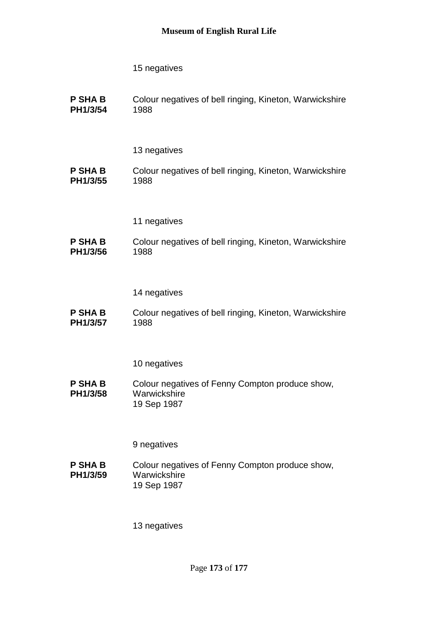**P SHA B PH1/3/54** Colour negatives of bell ringing, Kineton, Warwickshire 1988

## 13 negatives

- **P SHA B PH1/3/55** Colour negatives of bell ringing, Kineton, Warwickshire 1988
	- 11 negatives

#### **P SHA B PH1/3/56** Colour negatives of bell ringing, Kineton, Warwickshire 1988

## 14 negatives

**P SHA B PH1/3/57** Colour negatives of bell ringing, Kineton, Warwickshire 1988

## 10 negatives

**P SHA B PH1/3/58** Colour negatives of Fenny Compton produce show, **Warwickshire** 19 Sep 1987

## 9 negatives

**P SHA B PH1/3/59** Colour negatives of Fenny Compton produce show, **Warwickshire** 19 Sep 1987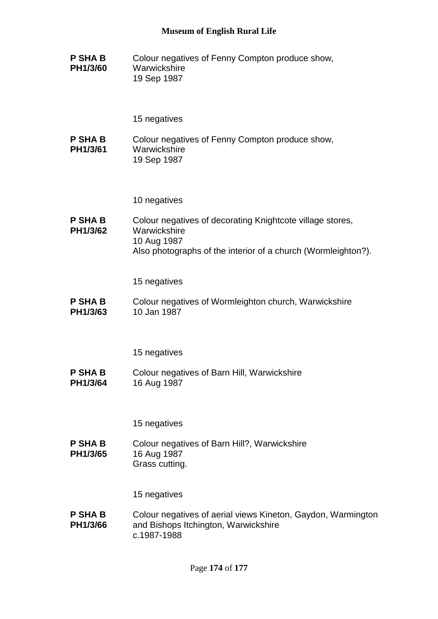**P SHA B PH1/3/60** Colour negatives of Fenny Compton produce show, **Warwickshire** 19 Sep 1987

#### 15 negatives

**P SHA B PH1/3/61** Colour negatives of Fenny Compton produce show, **Warwickshire** 19 Sep 1987

10 negatives

**P SHA B PH1/3/62** Colour negatives of decorating Knightcote village stores, **Warwickshire** 10 Aug 1987 Also photographs of the interior of a church (Wormleighton?).

15 negatives

**P SHA B PH1/3/63** Colour negatives of Wormleighton church, Warwickshire 10 Jan 1987

15 negatives

**P SHA B PH1/3/64** Colour negatives of Barn Hill, Warwickshire 16 Aug 1987

15 negatives

**P SHA B PH1/3/65** Colour negatives of Barn Hill?, Warwickshire 16 Aug 1987 Grass cutting.

15 negatives

**P SHA B PH1/3/66** Colour negatives of aerial views Kineton, Gaydon, Warmington and Bishops Itchington, Warwickshire c.1987-1988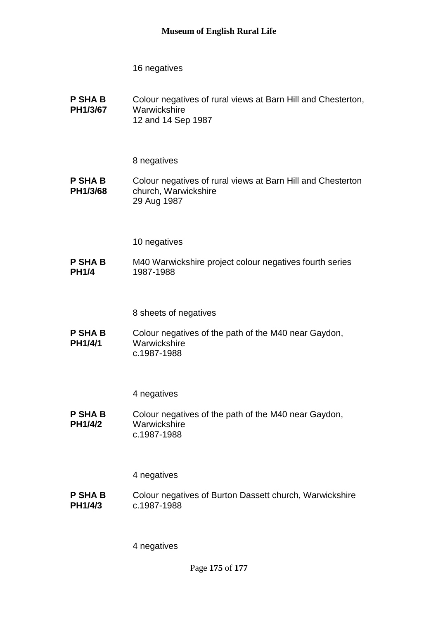**P SHA B PH1/3/67** Colour negatives of rural views at Barn Hill and Chesterton, **Warwickshire** 12 and 14 Sep 1987

## 8 negatives

**P SHA B PH1/3/68** Colour negatives of rural views at Barn Hill and Chesterton church, Warwickshire 29 Aug 1987

## 10 negatives

**P SHA B PH1/4** M40 Warwickshire project colour negatives fourth series 1987-1988

8 sheets of negatives

**P SHA B PH1/4/1** Colour negatives of the path of the M40 near Gaydon, **Warwickshire** c.1987-1988

#### 4 negatives

**P SHA B PH1/4/2** Colour negatives of the path of the M40 near Gaydon, **Warwickshire** c.1987-1988

#### 4 negatives

**P SHA B PH1/4/3** Colour negatives of Burton Dassett church, Warwickshire c.1987-1988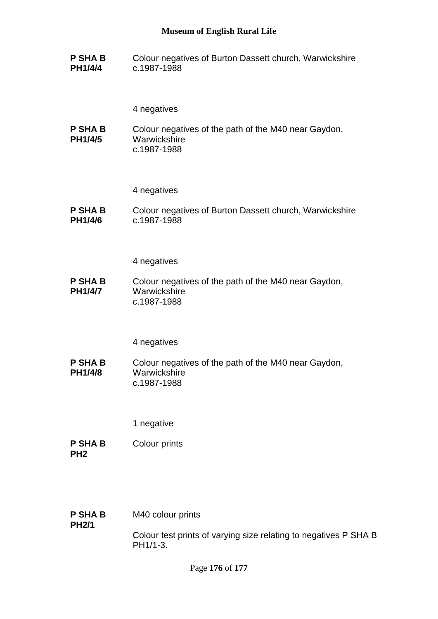**P SHA B PH1/4/4** Colour negatives of Burton Dassett church, Warwickshire c.1987-1988

4 negatives

**P SHA B PH1/4/5** Colour negatives of the path of the M40 near Gaydon, **Warwickshire** c.1987-1988

4 negatives

**P SHA B PH1/4/6** Colour negatives of Burton Dassett church, Warwickshire c.1987-1988

4 negatives

**P SHA B PH1/4/7** Colour negatives of the path of the M40 near Gaydon, Warwickshire c.1987-1988

#### 4 negatives

**P SHA B PH1/4/8** Colour negatives of the path of the M40 near Gaydon, **Warwickshire** c.1987-1988

1 negative

- **P SHA B PH2** Colour prints
- **P SHA B PH2/1** M40 colour prints

Colour test prints of varying size relating to negatives P SHA B PH1/1-3.